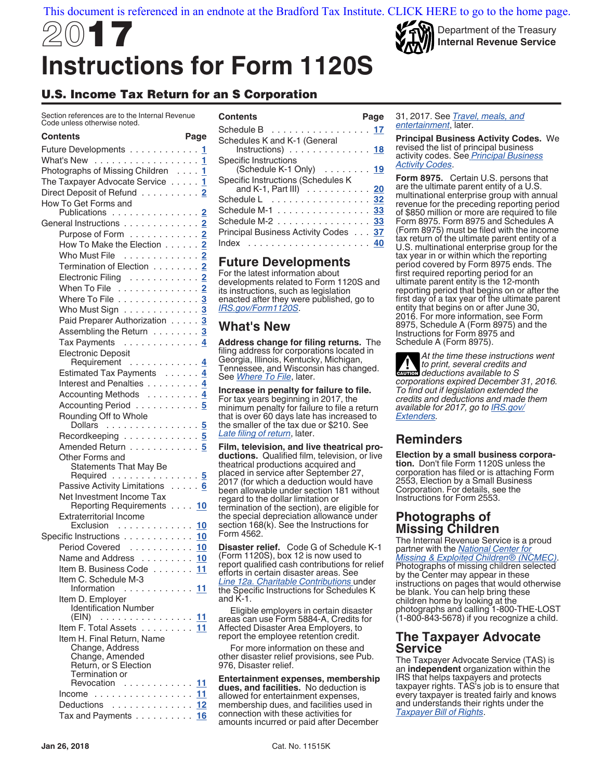#### <span id="page-0-0"></span>[This document is referenced in an endnote at the Bradford Tax Institute. CLICK HERE to go to the home page.](www.bradfordtaxinstitute.com)



### U.S. Income Tax Return for an S Corporation

Section references are to the Internal Revenue Code unless otherwise noted.

| Future Developments 1<br>What's New 1<br>Photographs of Missing Children 1<br>The Taxpayer Advocate Service 1<br>Direct Deposit of Refund 2<br>How To Get Forms and<br>Publications<br>$\overline{2}$<br>General Instructions 2<br>Purpose of Form<br>$\cdot$ 2<br>How To Make the Election.<br>$\cdot$ 2 |
|-----------------------------------------------------------------------------------------------------------------------------------------------------------------------------------------------------------------------------------------------------------------------------------------------------------|
|                                                                                                                                                                                                                                                                                                           |
|                                                                                                                                                                                                                                                                                                           |
|                                                                                                                                                                                                                                                                                                           |
|                                                                                                                                                                                                                                                                                                           |
|                                                                                                                                                                                                                                                                                                           |
|                                                                                                                                                                                                                                                                                                           |
|                                                                                                                                                                                                                                                                                                           |
|                                                                                                                                                                                                                                                                                                           |
|                                                                                                                                                                                                                                                                                                           |
|                                                                                                                                                                                                                                                                                                           |
| Who Must File<br>. <u>2</u>                                                                                                                                                                                                                                                                               |
| Termination of Election 2                                                                                                                                                                                                                                                                                 |
| $\cdot$ 2<br>Electronic Filing                                                                                                                                                                                                                                                                            |
| $\cdot$ 2<br>When To File                                                                                                                                                                                                                                                                                 |
| Where To File 3                                                                                                                                                                                                                                                                                           |
| Who Must Sign 3                                                                                                                                                                                                                                                                                           |
| Paid Preparer Authorization 3                                                                                                                                                                                                                                                                             |
| Assembling the Return 3                                                                                                                                                                                                                                                                                   |
| Tax Payments  4<br><b>Electronic Deposit</b>                                                                                                                                                                                                                                                              |
| Requirement 4                                                                                                                                                                                                                                                                                             |
| Estimated Tax Payments 4                                                                                                                                                                                                                                                                                  |
| Interest and Penalties 4                                                                                                                                                                                                                                                                                  |
| Accounting Methods 4                                                                                                                                                                                                                                                                                      |
| Accounting Period 5                                                                                                                                                                                                                                                                                       |
| Rounding Off to Whole                                                                                                                                                                                                                                                                                     |
| . <u>5</u><br>Dollars                                                                                                                                                                                                                                                                                     |
| Recordkeeping 5                                                                                                                                                                                                                                                                                           |
| Amended Return 5                                                                                                                                                                                                                                                                                          |
| Other Forms and                                                                                                                                                                                                                                                                                           |
| <b>Statements That May Be</b>                                                                                                                                                                                                                                                                             |
| Required 5<br>Passive Activity Limitations 6                                                                                                                                                                                                                                                              |
| Net Investment Income Tax                                                                                                                                                                                                                                                                                 |
| Reporting Requirements 10                                                                                                                                                                                                                                                                                 |
|                                                                                                                                                                                                                                                                                                           |
| Extraterritorial Income<br>Exclusion<br>. . 10                                                                                                                                                                                                                                                            |
| Specific Instructions 10                                                                                                                                                                                                                                                                                  |
| Period Covered  10                                                                                                                                                                                                                                                                                        |
| Name and Address  10                                                                                                                                                                                                                                                                                      |
| Item B. Business Code 11                                                                                                                                                                                                                                                                                  |
| Item C. Schedule M-3                                                                                                                                                                                                                                                                                      |
| Information<br>. <u>11</u>                                                                                                                                                                                                                                                                                |
| Item D. Employer<br><b>Identification Number</b>                                                                                                                                                                                                                                                          |
| (EIN)<br>11<br>.                                                                                                                                                                                                                                                                                          |
| Item F. Total Assets<br>11                                                                                                                                                                                                                                                                                |
| Item H. Final Return, Name                                                                                                                                                                                                                                                                                |
| Change, Address                                                                                                                                                                                                                                                                                           |
| Change, Amended                                                                                                                                                                                                                                                                                           |
| Return, or S Election<br><b>Termination or</b>                                                                                                                                                                                                                                                            |
| Revocation<br>$\therefore$ 11<br>and a straight and                                                                                                                                                                                                                                                       |
| 11<br>$income \dots \dots \dots$                                                                                                                                                                                                                                                                          |
| Deductions<br><u>12</u>                                                                                                                                                                                                                                                                                   |
| Tax and Payments 16                                                                                                                                                                                                                                                                                       |

#### **Contents Page**

| Schedules K and K-1 (General                  |  |
|-----------------------------------------------|--|
| Instructions) $\ldots$ 18                     |  |
| Specific Instructions                         |  |
| (Schedule K-1 Only) $\ldots \ldots \ldots$ 19 |  |
| Specific Instructions (Schedules K            |  |
| and K-1, Part III) 20                         |  |
| Schedule Later  32                            |  |
| Schedule M-1 33                               |  |
| Schedule M-2 33                               |  |
| Principal Business Activity Codes 37          |  |
|                                               |  |
|                                               |  |

### **Future Developments**

For the latest information about developments related to Form 1120S and its instructions, such as legislation enacted after they were published, go to *[IRS.gov/Form1120S](https://www.irs.gov/form1120s)*.

#### **What's New**

**Address change for filing returns.** The filing address for corporations located in Georgia, Illinois, Kentucky, Michigan, Tennessee, and Wisconsin has changed. See *[Where To File](#page-2-0)*, later.

**Increase in penalty for failure to file.**  For tax years beginning in 2017, the minimum penalty for failure to file a return that is over 60 days late has increased to the smaller of the tax due or \$210. See *[Late filing of return](#page-3-0)*, later.

**Film, television, and live theatrical productions.** Qualified film, television, or live theatrical productions acquired and placed in service after September 27, 2017 (for which a deduction would have been allowable under section 181 without regard to the dollar limitation or termination of the section), are eligible for the special depreciation allowance under section 168(k). See the Instructions for Form 4562.

**Disaster relief.** Code G of Schedule K-1 (Form 1120S), box 12 is now used to report qualified cash contributions for relief efforts in certain disaster areas. See *[Line 12a. Charitable Contributions](#page-22-0)* under the Specific Instructions for Schedules K and  $\overline{\mathsf{K}}$ -1.

Eligible employers in certain disaster areas can use Form 5884-A, Credits for Affected Disaster Area Employers, to report the employee retention credit.

For more information on these and other disaster relief provisions, see Pub. 976, Disaster relief.

**Entertainment expenses, membership dues, and facilities.** No deduction is allowed for entertainment expenses, membership dues, and facilities used in connection with these activities for amounts incurred or paid after December

#### 31, 2017. See *[Travel, meals, and](#page-14-0)  [entertainment](#page-14-0)*, later.

**Principal Business Activity Codes.** We revised the list of principal business activity codes. See *[Principal Business](#page-36-0)  [Activity Codes](#page-36-0)*.

**Form 8975.** Certain U.S. persons that are the ultimate parent entity of a U.S. multinational enterprise group with annual revenue for the preceding reporting period of \$850 million or more are required to file Form 8975. Form 8975 and Schedules A (Form 8975) must be filed with the income tax return of the ultimate parent entity of a U.S. multinational enterprise group for the tax year in or within which the reporting period covered by Form 8975 ends. The first required reporting period for an ultimate parent entity is the 12-month reporting period that begins on or after the first day of a tax year of the ultimate parent entity that begins on or after June 30, 2016. For more information, see Form 8975, Schedule A (Form 8975) and the Instructions for Form 8975 and Schedule A (Form 8975).

*At the time these instructions went to print, several credits and*  **deductions** available to S *corporations expired December 31, 2016. To find out if legislation extended the credits and deductions and made them available for 2017, go to [IRS.gov/](https://www.IRS.gov/Extenders) [Extenders](https://www.IRS.gov/Extenders).*

### **Reminders**

**Election by a small business corporation.** Don't file Form 1120S unless the corporation has filed or is attaching Form 2553, Election by a Small Business Corporation. For details, see the Instructions for Form 2553.

### **Photographs of Missing Children**

The Internal Revenue Service is a proud partner with the *[National Center for](http://www.missingkids.com)*  **Missing & Exploited Children® (NCME** Photographs of missing children selected by the Center may appear in these instructions on pages that would otherwise be blank. You can help bring these children home by looking at the photographs and calling 1-800-THE-LOST (1-800-843-5678) if you recognize a child.

### **The Taxpayer Advocate Service**

The Taxpayer Advocate Service (TAS) is an **independent** organization within the IRS that helps taxpayers and protects taxpayer rights. TAS's job is to ensure that every taxpayer is treated fairly and knows and understands their rights under the *[Taxpayer Bill of Rights](https://taxpayeradvocate.irs.gov/About-TAS/Taxpayer-Rights)*.

# Department of the Treasury **Internal Revenue Service**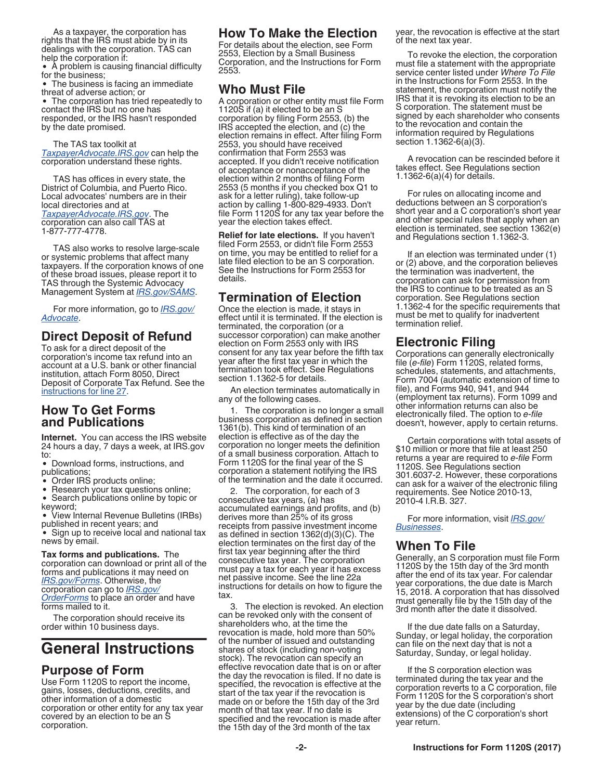<span id="page-1-0"></span>As a taxpayer, the corporation has rights that the IRS must abide by in its dealings with the corporation. TAS can help the corporation if:

• A problem is causing financial difficulty for the business;

The business is facing an immediate threat of adverse action; or

The corporation has tried repeatedly to contact the IRS but no one has responded, or the IRS hasn't responded by the date promised.

The TAS tax toolkit at *[TaxpayerAdvocate.IRS.gov](https://taxpayeradvocate.irs.gov)* can help the corporation understand these rights.

TAS has offices in every state, the District of Columbia, and Puerto Rico. Local advocates' numbers are in their local directories and at *[TaxpayerAdvocate.IRS.gov](https://taxpayeradvocate.irs.gov)*. The corporation can also call TAS at 1-877-777-4778.

TAS also works to resolve large-scale or systemic problems that affect many taxpayers. If the corporation knows of one of these broad issues, please report it to TAS through the Systemic Advocacy Management System at *[IRS.gov/SAMS](https://www.irs.gov/sams)*.

For more information, go to *[IRS.gov/](https://www.irs.gov/advocate) [Advocate](https://www.irs.gov/advocate)*.

# **Direct Deposit of Refund**

To ask for a direct deposit of the corporation's income tax refund into an account at a U.S. bank or other financial institution, attach Form 8050, Direct Deposit of Corporate Tax Refund. See the [instructions for line 27](#page-16-0).

### **How To Get Forms and Publications**

**Internet.** You can access the IRS website 24 hours a day, 7 days a week, at IRS.gov to:

Download forms, instructions, and publications;

- Order IRS products online;
- Research your tax questions online;

Search publications online by topic or keyword;

View Internal Revenue Bulletins (IRBs) published in recent years; and

• Sign up to receive local and national tax news by email.

**Tax forms and publications.** The corporation can download or print all of the forms and publications it may need on *[IRS.gov/Forms](https://www.irs.gov/forms)*. Otherwise, the corporation can go to *[IRS.gov/](https://www.irs.gov/orderforms) [OrderForms](https://www.irs.gov/orderforms)* to place an order and have forms mailed to it.

The corporation should receive its order within 10 business days.

# **General Instructions**

# **Purpose of Form**

Use Form 1120S to report the income, gains, losses, deductions, credits, and other information of a domestic corporation or other entity for any tax year covered by an election to be an S corporation.

# **How To Make the Election**

For details about the election, see Form 2553, Election by a Small Business Corporation, and the Instructions for Form 2553.

# **Who Must File**

A corporation or other entity must file Form 1120S if (a) it elected to be an S corporation by filing Form 2553, (b) the IRS accepted the election, and (c) the election remains in effect. After filing Form 2553, you should have received confirmation that Form 2553 was accepted. If you didn't receive notification of acceptance or nonacceptance of the election within 2 months of filing Form 2553 (5 months if you checked box Q1 to ask for a letter ruling), take follow-up action by calling 1-800-829-4933. Don't file Form 1120S for any tax year before the year the election takes effect.

**Relief for late elections.** If you haven't filed Form 2553, or didn't file Form 2553 on time, you may be entitled to relief for a late filed election to be an S corporation. See the Instructions for Form 2553 for details.

# **Termination of Election**

Once the election is made, it stays in effect until it is terminated. If the election is terminated, the corporation (or a successor corporation) can make another election on Form 2553 only with IRS consent for any tax year before the fifth tax year after the first tax year in which the termination took effect. See Regulations section 1.1362-5 for details.

An election terminates automatically in any of the following cases.

1. The corporation is no longer a small business corporation as defined in section 1361(b). This kind of termination of an election is effective as of the day the corporation no longer meets the definition of a small business corporation. Attach to Form 1120S for the final year of the S corporation a statement notifying the IRS of the termination and the date it occurred.

2. The corporation, for each of 3 consecutive tax years, (a) has accumulated earnings and profits, and (b) derives more than 25% of its gross receipts from passive investment income as defined in section 1362(d)(3)(C). The election terminates on the first day of the first tax year beginning after the third consecutive tax year. The corporation must pay a tax for each year it has excess net passive income. See the line 22a instructions for details on how to figure the tax.

3. The election is revoked. An election can be revoked only with the consent of shareholders who, at the time the revocation is made, hold more than 50% of the number of issued and outstanding shares of stock (including non-voting stock). The revocation can specify an effective revocation date that is on or after the day the revocation is filed. If no date is specified, the revocation is effective at the start of the tax year if the revocation is made on or before the 15th day of the 3rd month of that tax year. If no date is specified and the revocation is made after the 15th day of the 3rd month of the tax

year, the revocation is effective at the start of the next tax year.

To revoke the election, the corporation must file a statement with the appropriate service center listed under *Where To File*  in the Instructions for Form 2553. In the statement, the corporation must notify the IRS that it is revoking its election to be an S corporation. The statement must be signed by each shareholder who consents to the revocation and contain the information required by Regulations section 1.1362-6(a)(3).

A revocation can be rescinded before it takes effect. See Regulations section 1.1362-6(a)(4) for details.

For rules on allocating income and deductions between an S corporation's short year and a C corporation's short year and other special rules that apply when an election is terminated, see section 1362(e) and Regulations section 1.1362-3.

If an election was terminated under (1) or (2) above, and the corporation believes the termination was inadvertent, the corporation can ask for permission from the IRS to continue to be treated as an S corporation. See Regulations section 1.1362-4 for the specific requirements that must be met to qualify for inadvertent termination relief.

# **Electronic Filing**

Corporations can generally electronically file (*e-file*) Form 1120S, related forms, schedules, statements, and attachments, Form 7004 (automatic extension of time to file), and Forms 940, 941, and 944 (employment tax returns). Form 1099 and other information returns can also be electronically filed. The option to *e-file*  doesn't, however, apply to certain returns.

Certain corporations with total assets of \$10 million or more that file at least 250 returns a year are required to *e-file* Form 1120S. See Regulations section 301.6037-2. However, these corporations can ask for a waiver of the electronic filing requirements. See Notice 2010-13, 2010-4 I.R.B. 327.

For more information, visit *[IRS.gov/](https://www.irs.gov/businesses) [Businesses](https://www.irs.gov/businesses)*.

# **When To File**

Generally, an S corporation must file Form 1120S by the 15th day of the 3rd month after the end of its tax year. For calendar year corporations, the due date is March 15, 2018. A corporation that has dissolved must generally file by the 15th day of the 3rd month after the date it dissolved.

If the due date falls on a Saturday, Sunday, or legal holiday, the corporation can file on the next day that is not a Saturday, Sunday, or legal holiday.

If the S corporation election was terminated during the tax year and the corporation reverts to a C corporation, file Form 1120S for the S corporation's short year by the due date (including extensions) of the C corporation's short year return.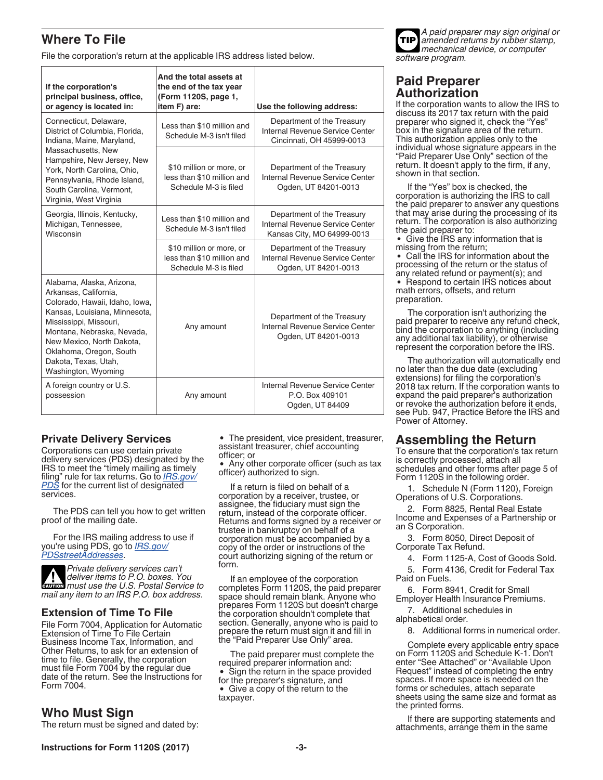# <span id="page-2-0"></span>**Where To File**

File the corporation's return at the applicable IRS address listed below.

| If the corporation's<br>principal business, office,<br>or agency is located in:                                                                                                                                                                                                      | And the total assets at<br>the end of the tax year<br>(Form 1120S, page 1,<br>item F) are: | Use the following address:                                                                  |
|--------------------------------------------------------------------------------------------------------------------------------------------------------------------------------------------------------------------------------------------------------------------------------------|--------------------------------------------------------------------------------------------|---------------------------------------------------------------------------------------------|
| Connecticut, Delaware,<br>District of Columbia, Florida,<br>Indiana, Maine, Maryland,                                                                                                                                                                                                | Less than \$10 million and<br>Schedule M-3 isn't filed                                     | Department of the Treasury<br>Internal Revenue Service Center<br>Cincinnati, OH 45999-0013  |
| Massachusetts, New<br>Hampshire, New Jersey, New<br>York, North Carolina, Ohio,<br>Pennsylvania, Rhode Island,<br>South Carolina, Vermont,<br>Virginia, West Virginia                                                                                                                | \$10 million or more, or<br>less than \$10 million and<br>Schedule M-3 is filed            | Department of the Treasury<br>Internal Revenue Service Center<br>Ogden, UT 84201-0013       |
| Georgia, Illinois, Kentucky,<br>Michigan, Tennessee,<br><b>Wisconsin</b>                                                                                                                                                                                                             | Less than \$10 million and<br>Schedule M-3 isn't filed                                     | Department of the Treasury<br>Internal Revenue Service Center<br>Kansas City, MO 64999-0013 |
|                                                                                                                                                                                                                                                                                      | \$10 million or more, or<br>less than \$10 million and<br>Schedule M-3 is filed            | Department of the Treasury<br>Internal Revenue Service Center<br>Ogden, UT 84201-0013       |
| Alabama, Alaska, Arizona,<br>Arkansas, California,<br>Colorado, Hawaii, Idaho, Iowa,<br>Kansas, Louisiana, Minnesota,<br>Mississippi, Missouri,<br>Montana, Nebraska, Nevada,<br>New Mexico, North Dakota,<br>Oklahoma, Oregon, South<br>Dakota, Texas, Utah,<br>Washington, Wyoming | Any amount                                                                                 | Department of the Treasury<br>Internal Revenue Service Center<br>Ogden, UT 84201-0013       |
| A foreign country or U.S.<br>possession                                                                                                                                                                                                                                              | Any amount                                                                                 | Internal Revenue Service Center<br>P.O. Box 409101<br>Ogden, UT 84409                       |

## **Private Delivery Services**

Corporations can use certain private delivery services (PDS) designated by the IRS to meet the "timely mailing as timely filing" rule for tax returns. Go to *[IRS.gov/](https://www.irs.gov/pds) [PDS](https://www.irs.gov/pds)* for the current list of designated services.

The PDS can tell you how to get written proof of the mailing date.

For the IRS mailing address to use if you're using PDS, go to *[IRS.gov/](https://www.irs.gov/pdsstreetaddresses) [PDSstreetAddresses](https://www.irs.gov/pdsstreetaddresses)*.

*Private delivery services can't deliver items to P.O. boxes. You*  deliver items to P.O. boxes. You<br> **ENDINE:** The U.S. Postal Service to *mail any item to an IRS P.O. box address.*

### **Extension of Time To File**

File Form 7004, Application for Automatic Extension of Time To File Certain Business Income Tax, Information, and Other Returns, to ask for an extension of time to file. Generally, the corporation must file Form 7004 by the regular due date of the return. See the Instructions for Form 7004.

# **Who Must Sign**

The return must be signed and dated by:

The president, vice president, treasurer, assistant treasurer, chief accounting officer; or

Any other corporate officer (such as tax officer) authorized to sign.

If a return is filed on behalf of a corporation by a receiver, trustee, or assignee, the fiduciary must sign the return, instead of the corporate officer. Returns and forms signed by a receiver or trustee in bankruptcy on behalf of a corporation must be accompanied by a copy of the order or instructions of the court authorizing signing of the return or form.

If an employee of the corporation completes Form 1120S, the paid preparer space should remain blank. Anyone who prepares Form 1120S but doesn't charge the corporation shouldn't complete that section. Generally, anyone who is paid to prepare the return must sign it and fill in the "Paid Preparer Use Only" area.

The paid preparer must complete the required preparer information and: • Sign the return in the space provided for the preparer's signature, and • Give a copy of the return to the taxpayer.

*A paid preparer may sign original or amended returns by rubber stamp, mechanical device, or computer software program.* **TIP**

# **Paid Preparer Authorization**

If the corporation wants to allow the IRS to discuss its 2017 tax return with the paid preparer who signed it, check the "Yes" box in the signature area of the return. This authorization applies only to the individual whose signature appears in the "Paid Preparer Use Only" section of the return. It doesn't apply to the firm, if any, shown in that section.

If the "Yes" box is checked, the corporation is authorizing the IRS to call the paid preparer to answer any questions that may arise during the processing of its return. The corporation is also authorizing the paid preparer to:

• Give the IRS any information that is missing from the return;

Call the IRS for information about the processing of the return or the status of any related refund or payment(s); and

• Respond to certain IRS notices about math errors, offsets, and return preparation.

The corporation isn't authorizing the paid preparer to receive any refund check, bind the corporation to anything (including any additional tax liability), or otherwise represent the corporation before the IRS.

The authorization will automatically end no later than the due date (excluding extensions) for filing the corporation's 2018 tax return. If the corporation wants to expand the paid preparer's authorization or revoke the authorization before it ends, see Pub. 947, Practice Before the IRS and Power of Attorney.

### **Assembling the Return**

To ensure that the corporation's tax return is correctly processed, attach all schedules and other forms after page 5 of Form 1120S in the following order.

1. Schedule N (Form 1120), Foreign Operations of U.S. Corporations.

2. Form 8825, Rental Real Estate Income and Expenses of a Partnership or an S Corporation.

3. Form 8050, Direct Deposit of Corporate Tax Refund.

4. Form 1125-A, Cost of Goods Sold.

5. Form 4136, Credit for Federal Tax Paid on Fuels.

6. Form 8941, Credit for Small Employer Health Insurance Premiums.

7. Additional schedules in

alphabetical order.

8. Additional forms in numerical order.

Complete every applicable entry space on Form 1120S and Schedule K-1. Don't enter "See Attached" or "Available Upon Request" instead of completing the entry spaces. If more space is needed on the forms or schedules, attach separate sheets using the same size and format as the printed forms.

If there are supporting statements and attachments, arrange them in the same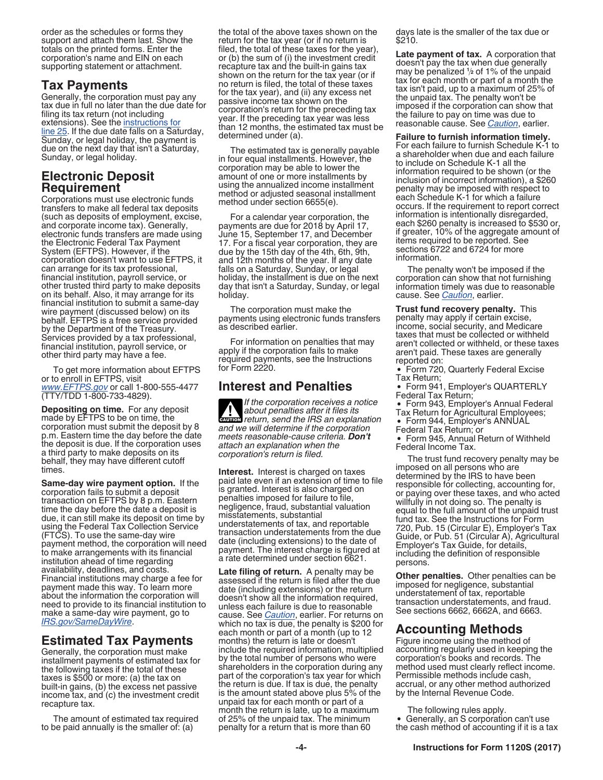<span id="page-3-0"></span>order as the schedules or forms they support and attach them last. Show the totals on the printed forms. Enter the corporation's name and EIN on each supporting statement or attachment.

# **Tax Payments**

Generally, the corporation must pay any tax due in full no later than the due date for filing its tax return (not including extensions). See the [instructions for](#page-16-0) [line 25](#page-16-0). If the due date falls on a Saturday, Sunday, or legal holiday, the payment is due on the next day that isn't a Saturday, Sunday, or legal holiday.

# **Electronic Deposit Requirement**

Corporations must use electronic funds transfers to make all federal tax deposits (such as deposits of employment, excise, and corporate income tax). Generally, electronic funds transfers are made using the Electronic Federal Tax Payment System (EFTPS). However, if the corporation doesn't want to use EFTPS, it can arrange for its tax professional, financial institution, payroll service, or other trusted third party to make deposits on its behalf. Also, it may arrange for its financial institution to submit a same-day wire payment (discussed below) on its behalf. EFTPS is a free service provided by the Department of the Treasury. Services provided by a tax professional, financial institution, payroll service, or other third party may have a fee.

To get more information about EFTPS or to enroll in EFTPS, visit *[www.EFTPS.gov](https://www.eftps.gov)* or call 1-800-555-4477 (TTY/TDD 1-800-733-4829).

**Depositing on time.** For any deposit made by EFTPS to be on time, the corporation must submit the deposit by 8 p.m. Eastern time the day before the date the deposit is due. If the corporation uses a third party to make deposits on its behalf, they may have different cutoff times.

**Same-day wire payment option.** If the corporation fails to submit a deposit transaction on EFTPS by 8 p.m. Eastern time the day before the date a deposit is due, it can still make its deposit on time by using the Federal Tax Collection Service (FTCS). To use the same-day wire payment method, the corporation will need to make arrangements with its financial institution ahead of time regarding availability, deadlines, and costs. Financial institutions may charge a fee for payment made this way. To learn more about the information the corporation will need to provide to its financial institution to make a same-day wire payment, go to *[IRS.gov/SameDayWire](https://www.irs.gov/samedaywire)*.

# **Estimated Tax Payments**

Generally, the corporation must make installment payments of estimated tax for the following taxes if the total of these taxes is \$500 or more: (a) the tax on built-in gains, (b) the excess net passive income tax, and (c) the investment credit recapture tax.

The amount of estimated tax required to be paid annually is the smaller of: (a)

the total of the above taxes shown on the return for the tax year (or if no return is filed, the total of these taxes for the year), or (b) the sum of (i) the investment credit recapture tax and the built-in gains tax shown on the return for the tax year (or if no return is filed, the total of these taxes for the tax year), and (ii) any excess net passive income tax shown on the corporation's return for the preceding tax year. If the preceding tax year was less than 12 months, the estimated tax must be determined under (a).

The estimated tax is generally payable in four equal installments. However, the corporation may be able to lower the amount of one or more installments by using the annualized income installment method or adjusted seasonal installment method under section 6655(e).

For a calendar year corporation, the payments are due for 2018 by April 17, June 15, September 17, and December 17. For a fiscal year corporation, they are due by the 15th day of the 4th, 6th, 9th, and 12th months of the year. If any date falls on a Saturday, Sunday, or legal holiday, the installment is due on the next day that isn't a Saturday, Sunday, or legal holiday.

The corporation must make the payments using electronic funds transfers as described earlier.

For information on penalties that may apply if the corporation fails to make required payments, see the Instructions for Form 2220.

# **Interest and Penalties**

*If the corporation receives a notice about penalties after it files its return, send the IRS an explanation and we will determine if the corporation meets reasonable-cause criteria. Don't attach an explanation when the corporation's return is filed.*  $\sum_{\text{CAUTION}}$ 

**Interest.** Interest is charged on taxes paid late even if an extension of time to file is granted. Interest is also charged on penalties imposed for failure to file, negligence, fraud, substantial valuation misstatements, substantial understatements of tax, and reportable transaction understatements from the due date (including extensions) to the date of payment. The interest charge is figured at a rate determined under section 6621.

**Late filing of return.** A penalty may be assessed if the return is filed after the due date (including extensions) or the return doesn't show all the information required, unless each failure is due to reasonable cause. See *Caution*, earlier. For returns on which no tax is due, the penalty is \$200 for each month or part of a month (up to 12 months) the return is late or doesn't include the required information, multiplied by the total number of persons who were shareholders in the corporation during any part of the corporation's tax year for which the return is due. If tax is due, the penalty is the amount stated above plus 5% of the unpaid tax for each month or part of a month the return is late, up to a maximum of 25% of the unpaid tax. The minimum penalty for a return that is more than 60

days late is the smaller of the tax due or \$210.

**Late payment of tax.** A corporation that doesn't pay the tax when due generally may be penalized **<sup>1</sup> <sup>2</sup>** of 1% of the unpaid tax for each month or part of a month the tax isn't paid, up to a maximum of 25% of the unpaid tax. The penalty won't be imposed if the corporation can show that the failure to pay on time was due to reasonable cause. See *Caution*, earlier.

**Failure to furnish information timely.**  For each failure to furnish Schedule K-1 to a shareholder when due and each failure to include on Schedule K-1 all the information required to be shown (or the inclusion of incorrect information), a \$260 penalty may be imposed with respect to each Schedule K-1 for which a failure occurs. If the requirement to report correct information is intentionally disregarded, each \$260 penalty is increased to \$530 or, if greater, 10% of the aggregate amount of items required to be reported. See sections 6722 and 6724 for more information.

The penalty won't be imposed if the corporation can show that not furnishing information timely was due to reasonable cause. See *Caution*, earlier.

**Trust fund recovery penalty.** This penalty may apply if certain excise, income, social security, and Medicare taxes that must be collected or withheld aren't collected or withheld, or these taxes aren't paid. These taxes are generally reported on:

• Form 720, Quarterly Federal Excise Tax Return;

Form 941, Employer's QUARTERLY Federal Tax Return;

Form 943, Employer's Annual Federal Tax Return for Agricultural Employees;

- Form 944, Employer's ANNUAL
- Federal Tax Return; or

Form 945, Annual Return of Withheld Federal Income Tax.

The trust fund recovery penalty may be imposed on all persons who are determined by the IRS to have been responsible for collecting, accounting for, or paying over these taxes, and who acted willfully in not doing so. The penalty is equal to the full amount of the unpaid trust fund tax. See the Instructions for Form 720, Pub. 15 (Circular E), Employer's Tax Guide, or Pub. 51 (Circular A), Agricultural Employer's Tax Guide, for details, including the definition of responsible persons.

**Other penalties.** Other penalties can be imposed for negligence, substantial understatement of tax, reportable transaction understatements, and fraud. See sections 6662, 6662A, and 6663.

# **Accounting Methods**

Figure income using the method of accounting regularly used in keeping the corporation's books and records. The method used must clearly reflect income. Permissible methods include cash, accrual, or any other method authorized by the Internal Revenue Code.

- The following rules apply.
- Generally, an S corporation can't use the cash method of accounting if it is a tax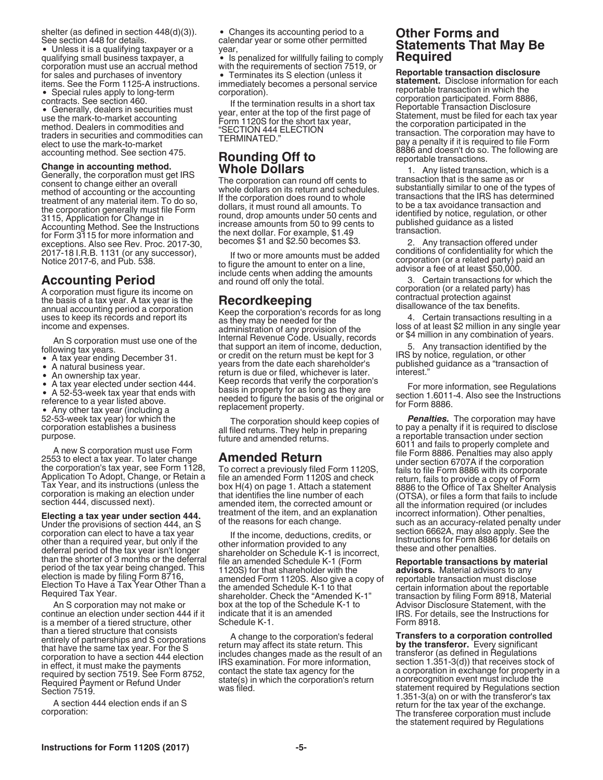<span id="page-4-0"></span>shelter (as defined in section 448(d)(3)). See section 448 for details.

Unless it is a qualifying taxpayer or a qualifying small business taxpayer, a corporation must use an accrual method for sales and purchases of inventory items. See the Form 1125-A instructions.

• Special rules apply to long-term contracts. See section 460.

Generally, dealers in securities must use the mark-to-market accounting method. Dealers in commodities and traders in securities and commodities can elect to use the mark-to-market accounting method. See section 475.

#### **Change in accounting method.**

Generally, the corporation must get IRS consent to change either an overall method of accounting or the accounting treatment of any material item. To do so, the corporation generally must file Form 3115, Application for Change in Accounting Method. See the Instructions for Form 3115 for more information and exceptions. Also see Rev. Proc. 2017-30, 2017-18 I.R.B. 1131 (or any successor), Notice 2017-6, and Pub. 538.

# **Accounting Period**

A corporation must figure its income on the basis of a tax year. A tax year is the annual accounting period a corporation uses to keep its records and report its income and expenses.

An S corporation must use one of the following tax years.

- A tax year ending December 31.  $\bullet$
- A natural business year.
- An ownership tax year.
- A tax year elected under section 444.  $\bullet$

A 52-53-week tax year that ends with reference to a year listed above.

Any other tax year (including a 52-53-week tax year) for which the corporation establishes a business purpose.

A new S corporation must use Form 2553 to elect a tax year. To later change the corporation's tax year, see Form 1128, Application To Adopt, Change, or Retain a Tax Year, and its instructions (unless the corporation is making an election under section 444, discussed next).

**Electing a tax year under section 444.**  Under the provisions of section 444, an S corporation can elect to have a tax year other than a required year, but only if the deferral period of the tax year isn't longer than the shorter of 3 months or the deferral period of the tax year being changed. This election is made by filing Form 8716, Election To Have a Tax Year Other Than a Required Tax Year.

An S corporation may not make or continue an election under section 444 if it is a member of a tiered structure, other than a tiered structure that consists entirely of partnerships and S corporations that have the same tax year. For the S corporation to have a section 444 election in effect, it must make the payments required by section 7519. See Form 8752, Required Payment or Refund Under Section 7519.

A section 444 election ends if an S corporation:

Changes its accounting period to a calendar year or some other permitted year,

• Is penalized for willfully failing to comply with the requirements of section 7519, or Terminates its S election (unless it immediately becomes a personal service corporation).

If the termination results in a short tax year, enter at the top of the first page of Form 1120S for the short tax year, "SECTION 444 ELECTION TERMINATED."

# **Rounding Off to Whole Dollars**

The corporation can round off cents to whole dollars on its return and schedules. If the corporation does round to whole dollars, it must round all amounts. To round, drop amounts under 50 cents and increase amounts from 50 to 99 cents to the next dollar. For example, \$1.49 becomes \$1 and \$2.50 becomes \$3.

If two or more amounts must be added to figure the amount to enter on a line, include cents when adding the amounts and round off only the total.

# **Recordkeeping**

Keep the corporation's records for as long as they may be needed for the administration of any provision of the Internal Revenue Code. Usually, records that support an item of income, deduction, or credit on the return must be kept for 3 years from the date each shareholder's return is due or filed, whichever is later. Keep records that verify the corporation's basis in property for as long as they are needed to figure the basis of the original or replacement property.

The corporation should keep copies of all filed returns. They help in preparing future and amended returns.

## **Amended Return**

To correct a previously filed Form 1120S, file an amended Form 1120S and check box H(4) on page 1. Attach a statement that identifies the line number of each amended item, the corrected amount or treatment of the item, and an explanation of the reasons for each change.

If the income, deductions, credits, or other information provided to any shareholder on Schedule K-1 is incorrect, file an amended Schedule K-1 (Form 1120S) for that shareholder with the amended Form 1120S. Also give a copy of the amended Schedule K-1 to that shareholder. Check the "Amended K-1" box at the top of the Schedule K-1 to indicate that it is an amended Schedule K-1.

A change to the corporation's federal return may affect its state return. This includes changes made as the result of an IRS examination. For more information, contact the state tax agency for the state(s) in which the corporation's return was filed.

### **Other Forms and Statements That May Be Required**

**Reportable transaction disclosure statement.** Disclose information for each reportable transaction in which the corporation participated. Form 8886, Reportable Transaction Disclosure Statement, must be filed for each tax year the corporation participated in the transaction. The corporation may have to pay a penalty if it is required to file Form 8886 and doesn't do so. The following are reportable transactions.

1. Any listed transaction, which is a transaction that is the same as or substantially similar to one of the types of transactions that the IRS has determined to be a tax avoidance transaction and identified by notice, regulation, or other published guidance as a listed transaction.

2. Any transaction offered under conditions of confidentiality for which the corporation (or a related party) paid an advisor a fee of at least \$50,000.

3. Certain transactions for which the corporation (or a related party) has contractual protection against disallowance of the tax benefits.

Certain transactions resulting in a loss of at least \$2 million in any single year or \$4 million in any combination of years.

5. Any transaction identified by the IRS by notice, regulation, or other published guidance as a "transaction of interest."

For more information, see Regulations section 1.6011-4. Also see the Instructions for Form 8886.

*Penalties.* The corporation may have to pay a penalty if it is required to disclose a reportable transaction under section 6011 and fails to properly complete and file Form 8886. Penalties may also apply under section 6707A if the corporation fails to file Form 8886 with its corporate return, fails to provide a copy of Form 8886 to the Office of Tax Shelter Analysis (OTSA), or files a form that fails to include all the information required (or includes incorrect information). Other penalties, such as an accuracy-related penalty under section 6662A, may also apply. See the Instructions for Form 8886 for details on these and other penalties.

**Reportable transactions by material advisors.** Material advisors to any reportable transaction must disclose certain information about the reportable transaction by filing Form 8918, Material Advisor Disclosure Statement, with the IRS. For details, see the Instructions for Form 8918.

**Transfers to a corporation controlled by the transferor.** Every significant transferor (as defined in Regulations section 1.351-3(d)) that receives stock of a corporation in exchange for property in a nonrecognition event must include the statement required by Regulations section 1.351-3(a) on or with the transferor's tax return for the tax year of the exchange. The transferee corporation must include the statement required by Regulations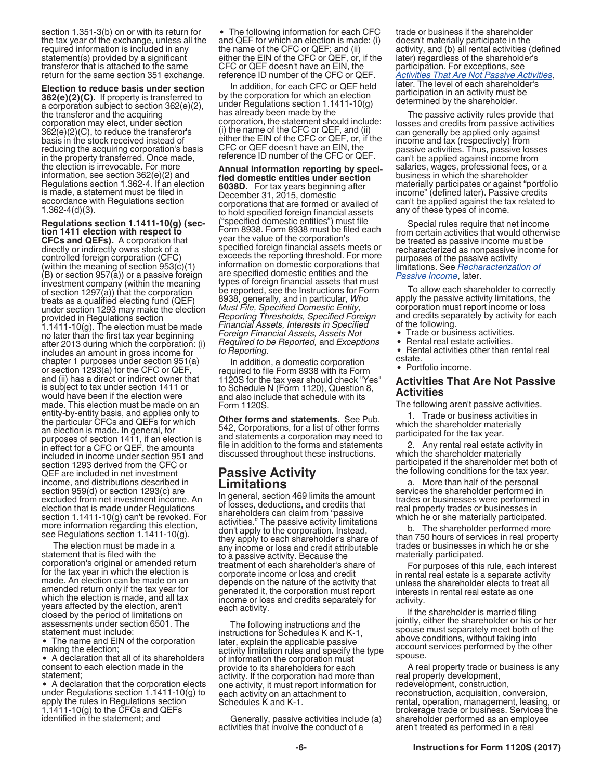<span id="page-5-0"></span>section 1.351-3(b) on or with its return for the tax year of the exchange, unless all the required information is included in any statement(s) provided by a significant transferor that is attached to the same return for the same section 351 exchange.

**Election to reduce basis under section 362(e)(2)(C).** If property is transferred to a corporation subject to section 362(e)(2), the transferor and the acquiring corporation may elect, under section 362(e)(2)(C), to reduce the transferor's basis in the stock received instead of reducing the acquiring corporation's basis in the property transferred. Once made, the election is irrevocable. For more information, see section 362(e)(2) and Regulations section 1.362-4. If an election is made, a statement must be filed in accordance with Regulations section 1.362-4(d)(3).

**Regulations section 1.1411-10(g) (section 1411 election with respect to CFCs and QEFs).** A corporation that directly or indirectly owns stock of a controlled foreign corporation (CFC) (within the meaning of section 953(c)(1) (B) or section 957(a)) or a passive foreign investment company (within the meaning of section 1297(a)) that the corporation treats as a qualified electing fund (QEF) under section 1293 may make the election provided in Regulations section 1.1411-10(g). The election must be made no later than the first tax year beginning after 2013 during which the corporation: (i) includes an amount in gross income for chapter 1 purposes under section 951(a) or section 1293(a) for the CFC or QEF, and (ii) has a direct or indirect owner that is subject to tax under section 1411 or would have been if the election were made. This election must be made on an entity-by-entity basis, and applies only to the particular CFCs and QEFs for which an election is made. In general, for purposes of section 1411, if an election is in effect for a CFC or QEF, the amounts included in income under section 951 and section 1293 derived from the CFC or QEF are included in net investment income, and distributions described in section 959(d) or section 1293(c) are excluded from net investment income. An election that is made under Regulations section 1.1411-10(g) can't be revoked. For more information regarding this election, see Regulations section 1.1411-10(g).

The election must be made in a statement that is filed with the corporation's original or amended return for the tax year in which the election is made. An election can be made on an amended return only if the tax year for which the election is made, and all tax years affected by the election, aren't closed by the period of limitations on assessments under section 6501. The statement must include:

• The name and EIN of the corporation making the election;

• A declaration that all of its shareholders consent to each election made in the statement;

A declaration that the corporation elects under Regulations section 1.1411-10(g) to apply the rules in Regulations section  $1.1411$ -10(g) to the CFCs and QEFs identified in the statement; and

The following information for each CFC and QEF for which an election is made: (i) the name of the CFC or QEF; and (ii) either the EIN of the CFC or QEF, or, if the CFC or QEF doesn't have an EIN, the reference ID number of the CFC or QEF.

In addition, for each CFC or QEF held by the corporation for which an election under Regulations section 1.1411-10(g) has already been made by the corporation, the statement should include: (i) the name of the CFC or QEF, and (ii) either the EIN of the CFC or QEF, or, if the CFC or QEF doesn't have an EIN, the reference ID number of the CFC or QEF.

**Annual information reporting by specified domestic entities under section 6038D.** For tax years beginning after December 31, 2015, domestic corporations that are formed or availed of to hold specified foreign financial assets ("specified domestic entities") must file Form 8938. Form 8938 must be filed each year the value of the corporation's specified foreign financial assets meets or exceeds the reporting threshold. For more information on domestic corporations that are specified domestic entities and the types of foreign financial assets that must be reported, see the Instructions for Form 8938, generally, and in particular, *Who Must File, Specified Domestic Entity, Reporting Thresholds, Specified Foreign Financial Assets, Interests in Specified Foreign Financial Assets, Assets Not Required to be Reported,* and *Exceptions to Reporting*.

In addition, a domestic corporation required to file Form 8938 with its Form 1120S for the tax year should check "Yes" to Schedule N (Form 1120), Question 8, and also include that schedule with its Form 1120S.

**Other forms and statements.** See Pub. 542, Corporations, for a list of other forms and statements a corporation may need to file in addition to the forms and statements discussed throughout these instructions.

## **Passive Activity Limitations**

In general, section 469 limits the amount of losses, deductions, and credits that shareholders can claim from "passive activities." The passive activity limitations don't apply to the corporation. Instead, they apply to each shareholder's share of any income or loss and credit attributable to a passive activity. Because the treatment of each shareholder's share of corporate income or loss and credit depends on the nature of the activity that generated it, the corporation must report income or loss and credits separately for each activity.

The following instructions and the instructions for Schedules K and K-1, later, explain the applicable passive activity limitation rules and specify the type of information the corporation must provide to its shareholders for each activity. If the corporation had more than one activity, it must report information for each activity on an attachment to Schedules K and K-1.

Generally, passive activities include (a) activities that involve the conduct of a

trade or business if the shareholder doesn't materially participate in the activity, and (b) all rental activities (defined later) regardless of the shareholder's participation. For exceptions, see *Activities That Are Not Passive Activities*, later. The level of each shareholder's participation in an activity must be determined by the shareholder.

The passive activity rules provide that losses and credits from passive activities can generally be applied only against income and tax (respectively) from passive activities. Thus, passive losses can't be applied against income from salaries, wages, professional fees, or a business in which the shareholder materially participates or against "portfolio income" (defined later). Passive credits can't be applied against the tax related to any of these types of income.

Special rules require that net income from certain activities that would otherwise be treated as passive income must be recharacterized as nonpassive income for purposes of the passive activity limitations. See *[Recharacterization of](#page-7-0) [Passive Income](#page-7-0)*, later.

To allow each shareholder to correctly apply the passive activity limitations, the corporation must report income or loss and credits separately by activity for each of the following.

- Trade or business activities.
- $\bullet$ Rental real estate activities.
- Rental activities other than rental real estate.

Portfolio income.

### **Activities That Are Not Passive Activities**

The following aren't passive activities.

1. Trade or business activities in which the shareholder materially participated for the tax year.

2. Any rental real estate activity in which the shareholder materially participated if the shareholder met both of the following conditions for the tax year.

a. More than half of the personal services the shareholder performed in trades or businesses were performed in real property trades or businesses in which he or she materially participated.

b. The shareholder performed more than 750 hours of services in real property trades or businesses in which he or she materially participated.

For purposes of this rule, each interest in rental real estate is a separate activity unless the shareholder elects to treat all interests in rental real estate as one activity.

If the shareholder is married filing jointly, either the shareholder or his or her spouse must separately meet both of the above conditions, without taking into account services performed by the other spouse.

A real property trade or business is any real property development, redevelopment, construction, reconstruction, acquisition, conversion, rental, operation, management, leasing, or brokerage trade or business. Services the shareholder performed as an employee aren't treated as performed in a real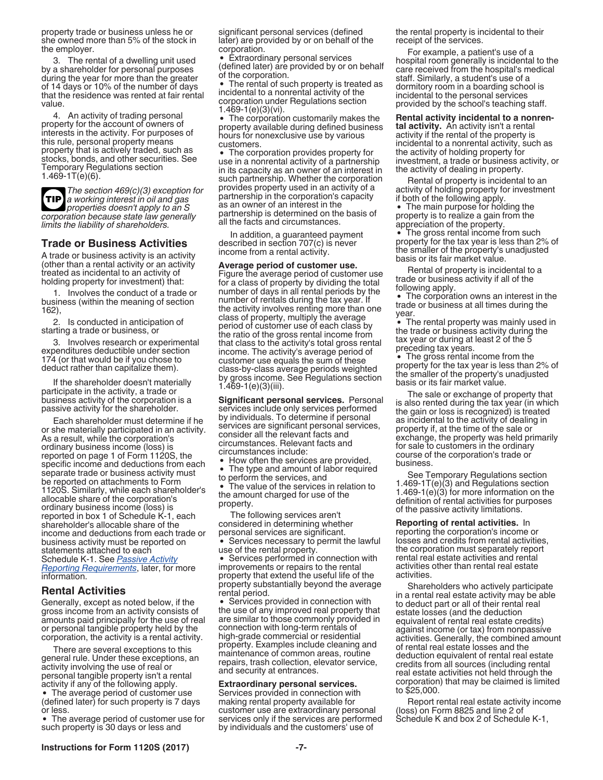<span id="page-6-0"></span>property trade or business unless he or she owned more than 5% of the stock in the employer.

3. The rental of a dwelling unit used by a shareholder for personal purposes during the year for more than the greater of 14 days or 10% of the number of days that the residence was rented at fair rental value.

4. An activity of trading personal property for the account of owners of interests in the activity. For purposes of this rule, personal property means property that is actively traded, such as stocks, bonds, and other securities. See Temporary Regulations section  $1.469 - 1T(e)(6)$ .

*The section 469(c)(3) exception for a working interest in oil and gas*  **TIP** *properties doesn't apply to an S corporation because state law generally limits the liability of shareholders.*

#### **Trade or Business Activities**

A trade or business activity is an activity (other than a rental activity or an activity treated as incidental to an activity of holding property for investment) that:

1. Involves the conduct of a trade or business (within the meaning of section 162),

2. Is conducted in anticipation of starting a trade or business, or

3. Involves research or experimental expenditures deductible under section 174 (or that would be if you chose to deduct rather than capitalize them).

If the shareholder doesn't materially participate in the activity, a trade or business activity of the corporation is a passive activity for the shareholder.

Each shareholder must determine if he or she materially participated in an activity. As a result, while the corporation's ordinary business income (loss) is reported on page 1 of Form 1120S, the specific income and deductions from each separate trade or business activity must be reported on attachments to Form 1120S. Similarly, while each shareholder's allocable share of the corporation's ordinary business income (loss) is reported in box 1 of Schedule K-1, each shareholder's allocable share of the income and deductions from each trade or business activity must be reported on statements attached to each

Schedule K-1. See *[Passive Activity](#page-8-0)  [Reporting Requirements](#page-8-0)*, later, for more information.

#### **Rental Activities**

Generally, except as noted below, if the gross income from an activity consists of amounts paid principally for the use of real or personal tangible property held by the corporation, the activity is a rental activity.

There are several exceptions to this general rule. Under these exceptions, an activity involving the use of real or personal tangible property isn't a rental activity if any of the following apply.

The average period of customer use (defined later) for such property is 7 days or less.

The average period of customer use for such property is 30 days or less and

significant personal services (defined later) are provided by or on behalf of the corporation.

• Extraordinary personal services (defined later) are provided by or on behalf of the corporation.

The rental of such property is treated as incidental to a nonrental activity of the corporation under Regulations section 1.469-1(e)(3)(vi).

• The corporation customarily makes the property available during defined business hours for nonexclusive use by various customers.

The corporation provides property for use in a nonrental activity of a partnership in its capacity as an owner of an interest in such partnership. Whether the corporation provides property used in an activity of a partnership in the corporation's capacity as an owner of an interest in the partnership is determined on the basis of all the facts and circumstances.

In addition, a guaranteed payment described in section 707(c) is never income from a rental activity.

**Average period of customer use.**  Figure the average period of customer use for a class of property by dividing the total number of days in all rental periods by the number of rentals during the tax year. If the activity involves renting more than one class of property, multiply the average period of customer use of each class by the ratio of the gross rental income from that class to the activity's total gross rental income. The activity's average period of customer use equals the sum of these class-by-class average periods weighted by gross income. See Regulations section 1.469-1(e)(3)(iii).

**Significant personal services.** Personal services include only services performed by individuals. To determine if personal services are significant personal services, consider all the relevant facts and circumstances. Relevant facts and circumstances include:

 $\bullet$ How often the services are provided, • The type and amount of labor required

to perform the services, and

The value of the services in relation to the amount charged for use of the property.

The following services aren't considered in determining whether personal services are significant. Services necessary to permit the lawful use of the rental property.

Services performed in connection with improvements or repairs to the rental property that extend the useful life of the property substantially beyond the average rental period.

Services provided in connection with the use of any improved real property that are similar to those commonly provided in connection with long-term rentals of high-grade commercial or residential property. Examples include cleaning and maintenance of common areas, routine repairs, trash collection, elevator service, and security at entrances.

#### **Extraordinary personal services.**

Services provided in connection with making rental property available for customer use are extraordinary personal services only if the services are performed by individuals and the customers' use of

the rental property is incidental to their receipt of the services.

For example, a patient's use of a hospital room generally is incidental to the care received from the hospital's medical staff. Similarly, a student's use of a dormitory room in a boarding school is incidental to the personal services provided by the school's teaching staff.

**Rental activity incidental to a nonrental activity.** An activity isn't a rental activity if the rental of the property is incidental to a nonrental activity, such as the activity of holding property for investment, a trade or business activity, or the activity of dealing in property.

Rental of property is incidental to an activity of holding property for investment if both of the following apply.

The main purpose for holding the property is to realize a gain from the appreciation of the property.

The gross rental income from such property for the tax year is less than 2% of the smaller of the property's unadjusted basis or its fair market value.

Rental of property is incidental to a trade or business activity if all of the following apply.

The corporation owns an interest in the trade or business at all times during the year.

• The rental property was mainly used in the trade or business activity during the tax year or during at least 2 of the 5 preceding tax years.

• The gross rental income from the property for the tax year is less than 2% of the smaller of the property's unadjusted basis or its fair market value.

The sale or exchange of property that is also rented during the tax year (in which the gain or loss is recognized) is treated as incidental to the activity of dealing in property if, at the time of the sale or exchange, the property was held primarily for sale to customers in the ordinary course of the corporation's trade or business.

See Temporary Regulations section 1.469-1T(e)(3) and Regulations section 1.469-1(e)(3) for more information on the definition of rental activities for purposes of the passive activity limitations.

**Reporting of rental activities.** In reporting the corporation's income or losses and credits from rental activities, the corporation must separately report rental real estate activities and rental activities other than rental real estate activities.

Shareholders who actively participate in a rental real estate activity may be able to deduct part or all of their rental real estate losses (and the deduction equivalent of rental real estate credits) against income (or tax) from nonpassive activities. Generally, the combined amount of rental real estate losses and the deduction equivalent of rental real estate credits from all sources (including rental real estate activities not held through the corporation) that may be claimed is limited to \$25,000.

Report rental real estate activity income (loss) on Form 8825 and line 2 of Schedule K and box 2 of Schedule K-1,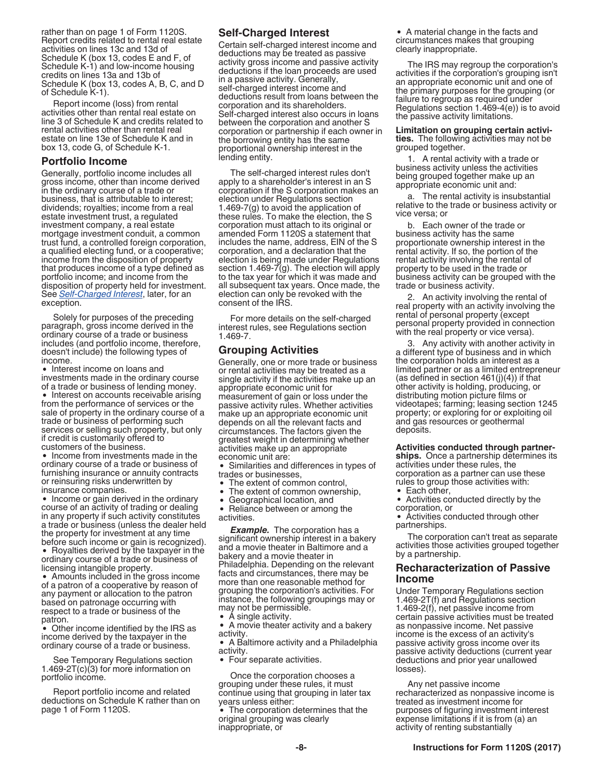<span id="page-7-0"></span>rather than on page 1 of Form 1120S. Report credits related to rental real estate activities on lines 13c and 13d of Schedule K (box 13, codes E and F, of Schedule K-1) and low-income housing credits on lines 13a and 13b of Schedule K (box 13, codes A, B, C, and D of Schedule K-1).

Report income (loss) from rental activities other than rental real estate on line 3 of Schedule K and credits related to rental activities other than rental real estate on line 13e of Schedule K and in box 13, code G, of Schedule K-1.

#### **Portfolio Income**

Generally, portfolio income includes all gross income, other than income derived in the ordinary course of a trade or business, that is attributable to interest; dividends; royalties; income from a real estate investment trust, a regulated investment company, a real estate mortgage investment conduit, a common trust fund, a controlled foreign corporation, a qualified electing fund, or a cooperative; income from the disposition of property that produces income of a type defined as portfolio income; and income from the disposition of property held for investment. See *Self-Charged Interest*, later, for an exception.

Solely for purposes of the preceding paragraph, gross income derived in the ordinary course of a trade or business includes (and portfolio income, therefore, doesn't include) the following types of income.

• Interest income on loans and investments made in the ordinary course of a trade or business of lending money. • Interest on accounts receivable arising

from the performance of services or the sale of property in the ordinary course of a trade or business of performing such services or selling such property, but only if credit is customarily offered to customers of the business.

• Income from investments made in the ordinary course of a trade or business of furnishing insurance or annuity contracts or reinsuring risks underwritten by insurance companies.

• Income or gain derived in the ordinary course of an activity of trading or dealing in any property if such activity constitutes a trade or business (unless the dealer held the property for investment at any time before such income or gain is recognized).

• Royalties derived by the taxpayer in the ordinary course of a trade or business of licensing intangible property.

Amounts included in the gross income of a patron of a cooperative by reason of any payment or allocation to the patron based on patronage occurring with respect to a trade or business of the patron.

Other income identified by the IRS as income derived by the taxpayer in the ordinary course of a trade or business.

See Temporary Regulations section 1.469-2T(c)(3) for more information on portfolio income.

Report portfolio income and related deductions on Schedule K rather than on page 1 of Form 1120S.

#### **Self-Charged Interest**

Certain self-charged interest income and deductions may be treated as passive activity gross income and passive activity deductions if the loan proceeds are used in a passive activity. Generally, self-charged interest income and deductions result from loans between the corporation and its shareholders. Self-charged interest also occurs in loans between the corporation and another S corporation or partnership if each owner in the borrowing entity has the same proportional ownership interest in the lending entity.

The self-charged interest rules don't apply to a shareholder's interest in an S corporation if the S corporation makes an election under Regulations section 1.469-7(g) to avoid the application of these rules. To make the election, the S corporation must attach to its original or amended Form 1120S a statement that includes the name, address, EIN of the S corporation, and a declaration that the election is being made under Regulations section 1.469-7(g). The election will apply to the tax year for which it was made and all subsequent tax years. Once made, the election can only be revoked with the consent of the IRS.

For more details on the self-charged interest rules, see Regulations section 1.469-7.

#### **Grouping Activities**

Generally, one or more trade or business or rental activities may be treated as a single activity if the activities make up an appropriate economic unit for measurement of gain or loss under the passive activity rules. Whether activities make up an appropriate economic unit depends on all the relevant facts and circumstances. The factors given the greatest weight in determining whether activities make up an appropriate economic unit are:

Similarities and differences in types of trades or businesses,

The extent of common control,

The extent of common ownership,

Geographical location, and  $\bullet$ 

• Reliance between or among the activities.

**Example.** The corporation has a significant ownership interest in a bakery and a movie theater in Baltimore and a bakery and a movie theater in Philadelphia. Depending on the relevant facts and circumstances, there may be more than one reasonable method for grouping the corporation's activities. For instance, the following groupings may or may not be permissible.

• A single activity.

 $\bullet$ A movie theater activity and a bakery activity.

A Baltimore activity and a Philadelphia activity.

• Four separate activities.

Once the corporation chooses a grouping under these rules, it must continue using that grouping in later tax years unless either:

• The corporation determines that the original grouping was clearly inappropriate, or

A material change in the facts and circumstances makes that grouping clearly inappropriate.

The IRS may regroup the corporation's activities if the corporation's grouping isn't an appropriate economic unit and one of the primary purposes for the grouping (or failure to regroup as required under Regulations section 1.469-4(e)) is to avoid the passive activity limitations.

**Limitation on grouping certain activities.** The following activities may not be grouped together.

1. A rental activity with a trade or business activity unless the activities being grouped together make up an appropriate economic unit and:

The rental activity is insubstantial relative to the trade or business activity or vice versa; or

b. Each owner of the trade or business activity has the same proportionate ownership interest in the rental activity. If so, the portion of the rental activity involving the rental of property to be used in the trade or business activity can be grouped with the trade or business activity.

2. An activity involving the rental of real property with an activity involving the rental of personal property (except personal property provided in connection with the real property or vice versa).

3. Any activity with another activity in a different type of business and in which the corporation holds an interest as a limited partner or as a limited entrepreneur (as defined in section  $461(j)(4)$ ) if that other activity is holding, producing, or distributing motion picture films or videotapes; farming; leasing section 1245 property; or exploring for or exploiting oil and gas resources or geothermal deposits.

**Activities conducted through partnerships.** Once a partnership determines its activities under these rules, the

corporation as a partner can use these rules to group those activities with: • Each other,

Activities conducted directly by the

corporation, or Activities conducted through other partnerships.

The corporation can't treat as separate activities those activities grouped together by a partnership.

#### **Recharacterization of Passive Income**

Under Temporary Regulations section 1.469-2T(f) and Regulations section 1.469-2(f), net passive income from certain passive activities must be treated as nonpassive income. Net passive income is the excess of an activity's passive activity gross income over its passive activity deductions (current year deductions and prior year unallowed losses).

Any net passive income recharacterized as nonpassive income is treated as investment income for purposes of figuring investment interest expense limitations if it is from (a) an activity of renting substantially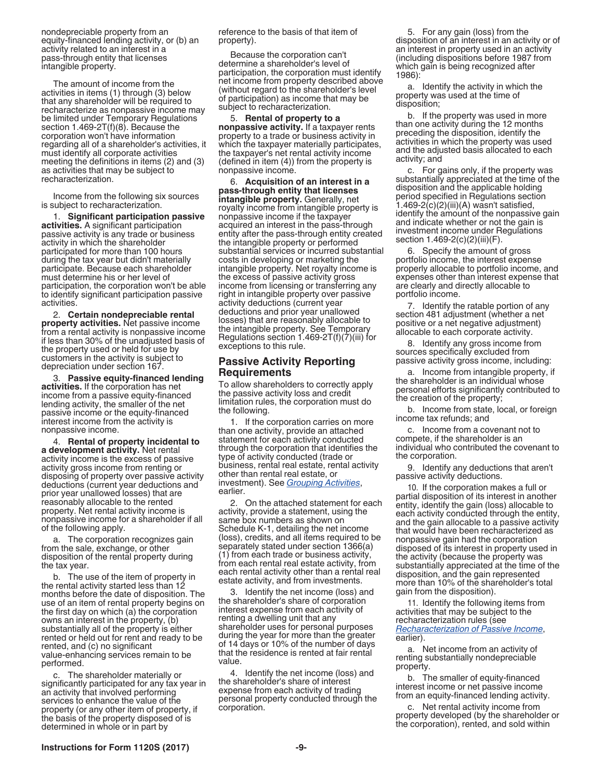<span id="page-8-0"></span>nondepreciable property from an equity-financed lending activity, or (b) an activity related to an interest in a pass-through entity that licenses intangible property.

The amount of income from the activities in items (1) through (3) below that any shareholder will be required to recharacterize as nonpassive income may be limited under Temporary Regulations section 1.469-2T(f)(8). Because the corporation won't have information regarding all of a shareholder's activities, it must identify all corporate activities meeting the definitions in items (2) and (3) as activities that may be subject to recharacterization.

Income from the following six sources is subject to recharacterization.

1. **Significant participation passive activities.** A significant participation passive activity is any trade or business activity in which the shareholder participated for more than 100 hours during the tax year but didn't materially participate. Because each shareholder must determine his or her level of participation, the corporation won't be able to identify significant participation passive activities.

2. **Certain nondepreciable rental property activities.** Net passive income from a rental activity is nonpassive income if less than 30% of the unadjusted basis of the property used or held for use by customers in the activity is subject to depreciation under section 167.

3. **Passive equity-financed lending activities.** If the corporation has net income from a passive equity-financed lending activity, the smaller of the net passive income or the equity-financed interest income from the activity is nonpassive income.

4. **Rental of property incidental to a development activity.** Net rental activity income is the excess of passive activity gross income from renting or disposing of property over passive activity deductions (current year deductions and prior year unallowed losses) that are reasonably allocable to the rented property. Net rental activity income is nonpassive income for a shareholder if all of the following apply.

The corporation recognizes gain from the sale, exchange, or other disposition of the rental property during the tax year.

b. The use of the item of property in the rental activity started less than 12 months before the date of disposition. The use of an item of rental property begins on the first day on which (a) the corporation owns an interest in the property, (b) substantially all of the property is either rented or held out for rent and ready to be rented, and (c) no significant value-enhancing services remain to be performed.

The shareholder materially or significantly participated for any tax year in an activity that involved performing services to enhance the value of the property (or any other item of property, if the basis of the property disposed of is determined in whole or in part by

reference to the basis of that item of property).

Because the corporation can't determine a shareholder's level of participation, the corporation must identify net income from property described above (without regard to the shareholder's level of participation) as income that may be subject to recharacterization.

5. **Rental of property to a nonpassive activity.** If a taxpayer rents property to a trade or business activity in which the taxpayer materially participates, the taxpayer's net rental activity income (defined in item (4)) from the property is nonpassive income.

6. **Acquisition of an interest in a pass-through entity that licenses intangible property.** Generally, net royalty income from intangible property is nonpassive income if the taxpayer acquired an interest in the pass-through entity after the pass-through entity created the intangible property or performed substantial services or incurred substantial costs in developing or marketing the intangible property. Net royalty income is the excess of passive activity gross income from licensing or transferring any right in intangible property over passive activity deductions (current year deductions and prior year unallowed losses) that are reasonably allocable to the intangible property. See Temporary Regulations section  $1.469-2T(f)(7)(iii)$  for exceptions to this rule.

#### **Passive Activity Reporting Requirements**

To allow shareholders to correctly apply the passive activity loss and credit limitation rules, the corporation must do the following.

1. If the corporation carries on more than one activity, provide an attached statement for each activity conducted through the corporation that identifies the type of activity conducted (trade or business, rental real estate, rental activity other than rental real estate, or investment). See *[Grouping Activities](#page-7-0)*, earlier.

2. On the attached statement for each activity, provide a statement, using the same box numbers as shown on Schedule K-1, detailing the net income (loss), credits, and all items required to be separately stated under section 1366(a) (1) from each trade or business activity, from each rental real estate activity, from each rental activity other than a rental real estate activity, and from investments.

3. Identify the net income (loss) and the shareholder's share of corporation interest expense from each activity of renting a dwelling unit that any shareholder uses for personal purposes during the year for more than the greater of 14 days or 10% of the number of days that the residence is rented at fair rental value.

4. Identify the net income (loss) and the shareholder's share of interest expense from each activity of trading personal property conducted through the corporation.

5. For any gain (loss) from the disposition of an interest in an activity or of an interest in property used in an activity (including dispositions before 1987 from which gain is being recognized after 1986):

a. Identify the activity in which the property was used at the time of disposition;

b. If the property was used in more than one activity during the 12 months preceding the disposition, identify the activities in which the property was used and the adjusted basis allocated to each activity; and

c. For gains only, if the property was substantially appreciated at the time of the disposition and the applicable holding period specified in Regulations section 1.469-2(c)(2)(iii)(A) wasn't satisfied, identify the amount of the nonpassive gain and indicate whether or not the gain is investment income under Regulations section 1.469-2(c)(2)(iii)(F).

6. Specify the amount of gross portfolio income, the interest expense properly allocable to portfolio income, and expenses other than interest expense that are clearly and directly allocable to portfolio income.

7. Identify the ratable portion of any section 481 adjustment (whether a net positive or a net negative adjustment) allocable to each corporate activity.

8. Identify any gross income from sources specifically excluded from passive activity gross income, including:

Income from intangible property, if the shareholder is an individual whose personal efforts significantly contributed to the creation of the property;

b. Income from state, local, or foreign income tax refunds; and

c. Income from a covenant not to compete, if the shareholder is an individual who contributed the covenant to the corporation.

9. Identify any deductions that aren't passive activity deductions.

10. If the corporation makes a full or partial disposition of its interest in another entity, identify the gain (loss) allocable to each activity conducted through the entity, and the gain allocable to a passive activity that would have been recharacterized as nonpassive gain had the corporation disposed of its interest in property used in the activity (because the property was substantially appreciated at the time of the disposition, and the gain represented more than 10% of the shareholder's total gain from the disposition).

11. Identify the following items from activities that may be subject to the recharacterization rules (see *[Recharacterization of Passive Income](#page-7-0)*, earlier).

a. Net income from an activity of renting substantially nondepreciable property.

b. The smaller of equity-financed interest income or net passive income from an equity-financed lending activity.

c. Net rental activity income from property developed (by the shareholder or the corporation), rented, and sold within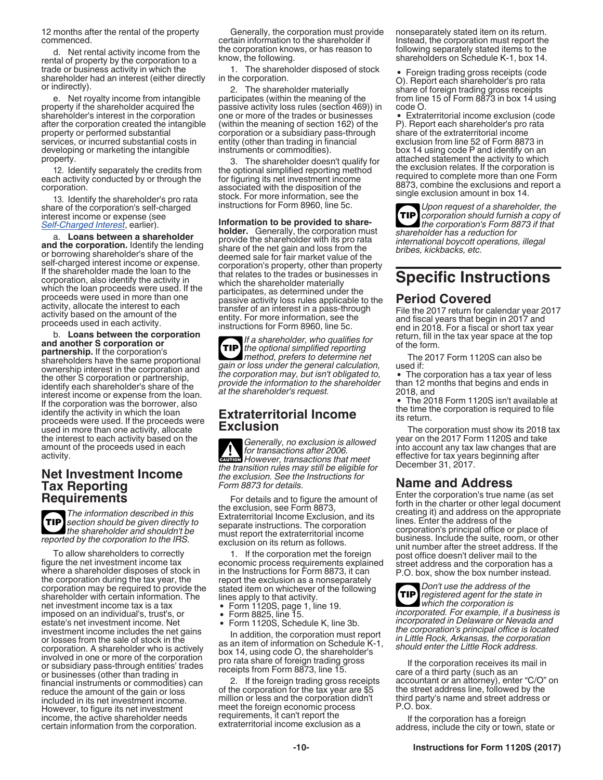<span id="page-9-0"></span>12 months after the rental of the property commenced.

d. Net rental activity income from the rental of property by the corporation to a trade or business activity in which the shareholder had an interest (either directly or indirectly).

e. Net royalty income from intangible property if the shareholder acquired the shareholder's interest in the corporation after the corporation created the intangible property or performed substantial services, or incurred substantial costs in developing or marketing the intangible property.

12. Identify separately the credits from each activity conducted by or through the corporation.

13. Identify the shareholder's pro rata share of the corporation's self-charged interest income or expense (see *[Self-Charged Interest](#page-7-0)*, earlier).

a. **Loans between a shareholder and the corporation.** Identify the lending or borrowing shareholder's share of the self-charged interest income or expense. If the shareholder made the loan to the corporation, also identify the activity in which the loan proceeds were used. If the proceeds were used in more than one activity, allocate the interest to each activity based on the amount of the proceeds used in each activity.

b. **Loans between the corporation and another S corporation or partnership.** If the corporation's shareholders have the same proportional ownership interest in the corporation and the other S corporation or partnership, identify each shareholder's share of the interest income or expense from the loan. If the corporation was the borrower, also identify the activity in which the loan proceeds were used. If the proceeds were used in more than one activity, allocate the interest to each activity based on the amount of the proceeds used in each activity.

### **Net Investment Income Tax Reporting Requirements**

*The information described in this section should be given directly to*  **TIP** *the shareholder and shouldn't be reported by the corporation to the IRS.*

To allow shareholders to correctly figure the net investment income tax where a shareholder disposes of stock in the corporation during the tax year, the corporation may be required to provide the shareholder with certain information. The net investment income tax is a tax imposed on an individual's, trust's, or estate's net investment income. Net investment income includes the net gains or losses from the sale of stock in the corporation. A shareholder who is actively involved in one or more of the corporation or subsidiary pass-through entities' trades or businesses (other than trading in financial instruments or commodities) can reduce the amount of the gain or loss included in its net investment income. However, to figure its net investment income, the active shareholder needs certain information from the corporation.

Generally, the corporation must provide certain information to the shareholder if the corporation knows, or has reason to know, the following.

1. The shareholder disposed of stock in the corporation.

The shareholder materially participates (within the meaning of the passive activity loss rules (section 469)) in one or more of the trades or businesses (within the meaning of section 162) of the corporation or a subsidiary pass-through entity (other than trading in financial instruments or commodities).

3. The shareholder doesn't qualify for the optional simplified reporting method for figuring its net investment income associated with the disposition of the stock. For more information, see the instructions for Form 8960, line 5c.

**Information to be provided to shareholder.** Generally, the corporation must provide the shareholder with its pro rata share of the net gain and loss from the deemed sale for fair market value of the corporation's property, other than property that relates to the trades or businesses in which the shareholder materially participates, as determined under the passive activity loss rules applicable to the transfer of an interest in a pass-through entity. For more information, see the instructions for Form 8960, line 5c.

*If a shareholder, who qualifies for the optional simplified reporting method, prefers to determine net gain or loss under the general calculation, the corporation may, but isn't obligated to, provide the information to the shareholder at the shareholder's request.* **TIP**

### **Extraterritorial Income Exclusion**

*Generally, no exclusion is allowed for transactions after 2006. However, transactions after 2006.***<br>
<b>EAUTION** However, transactions that meet *the transition rules may still be eligible for the exclusion. See the Instructions for Form 8873 for details.*

For details and to figure the amount of the exclusion, see Form 8873, Extraterritorial Income Exclusion, and its separate instructions. The corporation must report the extraterritorial income exclusion on its return as follows.

1. If the corporation met the foreign economic process requirements explained in the Instructions for Form 8873, it can report the exclusion as a nonseparately stated item on whichever of the following lines apply to that activity.

- Form 1120S, page 1, line 19.
- Form 8825, line 15.
- Form 1120S, Schedule K, line 3b.

In addition, the corporation must report as an item of information on Schedule K-1, box 14, using code O, the shareholder's pro rata share of foreign trading gross receipts from Form 8873, line 15.

2. If the foreign trading gross receipts of the corporation for the tax year are \$5 million or less and the corporation didn't meet the foreign economic process requirements, it can't report the extraterritorial income exclusion as a

nonseparately stated item on its return. Instead, the corporation must report the following separately stated items to the shareholders on Schedule K-1, box 14.

Foreign trading gross receipts (code O). Report each shareholder's pro rata share of foreign trading gross receipts from line 15 of Form 8873 in box 14 using code O.

Extraterritorial income exclusion (code P). Report each shareholder's pro rata share of the extraterritorial income exclusion from line 52 of Form 8873 in box 14 using code P and identify on an attached statement the activity to which the exclusion relates. If the corporation is required to complete more than one Form 8873, combine the exclusions and report a single exclusion amount in box 14.

*Upon request of a shareholder, the corporation should furnish a copy of the corporation's Form 8873 if that shareholder has a reduction for international boycott operations, illegal bribes, kickbacks, etc.* **TIP**

# **Specific Instructions**

# **Period Covered**

File the 2017 return for calendar year 2017 and fiscal years that begin in 2017 and end in 2018. For a fiscal or short tax year return, fill in the tax year space at the top of the form.

The 2017 Form 1120S can also be used if:

The corporation has a tax year of less than 12 months that begins and ends in 2018, and

The 2018 Form 1120S isn't available at the time the corporation is required to file its return.

The corporation must show its 2018 tax year on the 2017 Form 1120S and take into account any tax law changes that are effective for tax years beginning after December 31, 2017.

# **Name and Address**

Enter the corporation's true name (as set forth in the charter or other legal document creating it) and address on the appropriate lines. Enter the address of the corporation's principal office or place of business. Include the suite, room, or other unit number after the street address. If the post office doesn't deliver mail to the street address and the corporation has a P.O. box, show the box number instead.

*Don't use the address of the registered agent for the state in which the corporation is incorporated. For example, if a business is incorporated in Delaware or Nevada and the corporation's principal office is located in Little Rock, Arkansas, the corporation should enter the Little Rock address.* **TIP**

If the corporation receives its mail in care of a third party (such as an accountant or an attorney), enter "C/O" on the street address line, followed by the third party's name and street address or P.O. box.

If the corporation has a foreign address, include the city or town, state or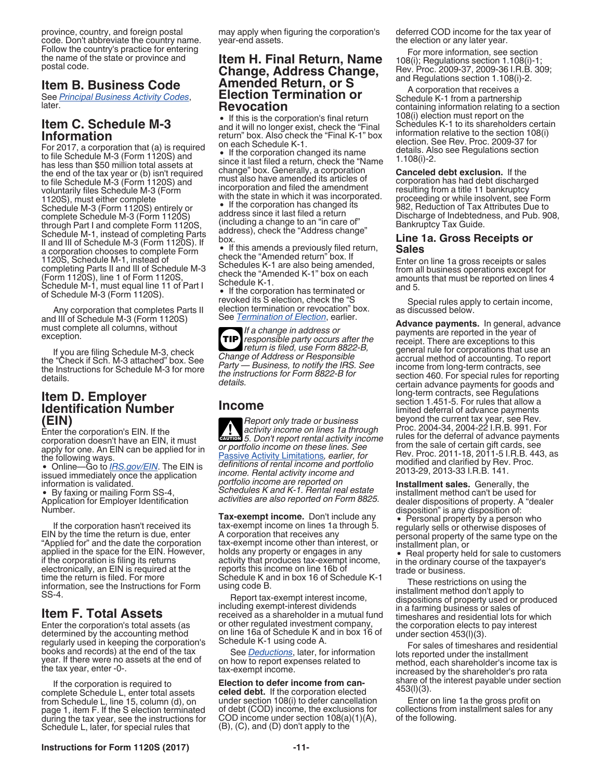<span id="page-10-0"></span>province, country, and foreign postal code. Don't abbreviate the country name. Follow the country's practice for entering the name of the state or province and postal code.

## **Item B. Business Code**

See *[Principal Business Activity Codes](#page-36-0)*, later.

# **Item C. Schedule M-3 Information**

For 2017, a corporation that (a) is required to file Schedule M-3 (Form 1120S) and has less than \$50 million total assets at the end of the tax year or (b) isn't required to file Schedule M-3 (Form 1120S) and voluntarily files Schedule M-3 (Form 1120S), must either complete Schedule M-3 (Form 1120S) entirely or complete Schedule M-3 (Form 1120S) through Part I and complete Form 1120S, Schedule M-1, instead of completing Parts II and III of Schedule M-3 (Form 1120S). If a corporation chooses to complete Form 1120S, Schedule M-1, instead of completing Parts II and III of Schedule M-3 (Form 1120S), line 1 of Form 1120S, Schedule M-1, must equal line 11 of Part I of Schedule M-3 (Form 1120S).

Any corporation that completes Parts II and III of Schedule M-3 (Form 1120S) must complete all columns, without exception.

If you are filing Schedule M-3, check the "Check if Sch. M-3 attached" box. See the Instructions for Schedule M-3 for more details.

### **Item D. Employer Identification Number (EIN)**

Enter the corporation's EIN. If the corporation doesn't have an EIN, it must apply for one. An EIN can be applied for in the following ways.

Online—Go to *[IRS.gov/EIN](https://www.irs.gov/ein)*. The EIN is issued immediately once the application information is validated.

By faxing or mailing Form SS-4, Application for Employer Identification Number.

If the corporation hasn't received its EIN by the time the return is due, enter "Applied for" and the date the corporation applied in the space for the EIN. However, if the corporation is filing its returns electronically, an EIN is required at the time the return is filed. For more information, see the Instructions for Form SS-4.

# **Item F. Total Assets**

Enter the corporation's total assets (as determined by the accounting method regularly used in keeping the corporation's books and records) at the end of the tax year. If there were no assets at the end of the tax year, enter -0-.

If the corporation is required to complete Schedule L, enter total assets from Schedule L, line 15, column (d), on page 1, item F. If the S election terminated during the tax year, see the instructions for Schedule L, later, for special rules that

may apply when figuring the corporation's year-end assets.

### **Item H. Final Return, Name Change, Address Change, Amended Return, or S Election Termination or Revocation**

• If this is the corporation's final return and it will no longer exist, check the "Final return" box. Also check the "Final K-1" box on each Schedule K-1.

• If the corporation changed its name since it last filed a return, check the "Name change" box. Generally, a corporation must also have amended its articles of incorporation and filed the amendment with the state in which it was incorporated.

• If the corporation has changed its address since it last filed a return (including a change to an "in care of" address), check the "Address change" box.

• If this amends a previously filed return, check the "Amended return" box. If Schedules K-1 are also being amended, check the "Amended K-1" box on each Schedule K-1.

• If the corporation has terminated or revoked its S election, check the "S election termination or revocation" box. See *[Termination of Election](#page-1-0)*, earlier.

*If a change in address or responsible party occurs after the*  **TIP** *return is filed, use Form 8822-B, Change of Address or Responsible Party — Business, to notify the IRS. See the instructions for Form 8822-B for details.*

# **Income**

*Report only trade or business activity income on lines 1a through 5. Don't report rental activity income*  **CAUTION** *or portfolio income on these lines. See*  [Passive Activity Limitations](#page-5-0)*, earlier, for definitions of rental income and portfolio income. Rental activity income and portfolio income are reported on Schedules K and K-1. Rental real estate activities are also reported on Form 8825.* **!**

**Tax-exempt income.** Don't include any tax-exempt income on lines 1a through 5. A corporation that receives any tax-exempt income other than interest, or holds any property or engages in any activity that produces tax-exempt income, reports this income on line 16b of Schedule K and in box 16 of Schedule K-1 using code B.

Report tax-exempt interest income, including exempt-interest dividends received as a shareholder in a mutual fund or other regulated investment company, on line 16a of Schedule K and in box 16 of Schedule K-1 using code A.

See *[Deductions](#page-11-0)*, later, for information on how to report expenses related to tax-exempt income.

**Election to defer income from canceled debt.** If the corporation elected under section 108(i) to defer cancellation of debt (COD) income, the exclusions for COD income under section 108(a)(1)(A), (B), (C), and (D) don't apply to the

deferred COD income for the tax year of the election or any later year.

For more information, see section 108(i); Regulations section 1.108(i)-1; Rev. Proc. 2009-37, 2009-36 I.R.B. 309; and Regulations section 1.108(i)-2.

A corporation that receives a Schedule K-1 from a partnership containing information relating to a section 108(i) election must report on the Schedules K-1 to its shareholders certain information relative to the section 108(i) election. See Rev. Proc. 2009-37 for details. Also see Regulations section 1.108(i)-2.

**Canceled debt exclusion.** If the corporation has had debt discharged resulting from a title 11 bankruptcy proceeding or while insolvent, see Form 982, Reduction of Tax Attributes Due to Discharge of Indebtedness, and Pub. 908, Bankruptcy Tax Guide.

#### **Line 1a. Gross Receipts or Sales**

Enter on line 1a gross receipts or sales from all business operations except for amounts that must be reported on lines 4 and 5.

Special rules apply to certain income, as discussed below.

**Advance payments.** In general, advance payments are reported in the year of receipt. There are exceptions to this general rule for corporations that use an accrual method of accounting. To report income from long-term contracts, see section 460. For special rules for reporting certain advance payments for goods and long-term contracts, see Regulations section 1.451-5. For rules that allow a limited deferral of advance payments beyond the current tax year, see Rev. Proc. 2004-34, 2004-22 I.R.B. 991. For rules for the deferral of advance payments from the sale of certain gift cards, see Rev. Proc. 2011-18, 2011-5 I.R.B. 443, as modified and clarified by Rev. Proc. 2013-29, 2013-33 I.R.B. 141.

**Installment sales.** Generally, the installment method can't be used for dealer dispositions of property. A "dealer disposition" is any disposition of:

• Personal property by a person who regularly sells or otherwise disposes of personal property of the same type on the installment plan, or

• Real property held for sale to customers in the ordinary course of the taxpayer's trade or business.

These restrictions on using the installment method don't apply to dispositions of property used or produced in a farming business or sales of timeshares and residential lots for which the corporation elects to pay interest under section 453(l)(3).

For sales of timeshares and residential lots reported under the installment method, each shareholder's income tax is increased by the shareholder's pro rata share of the interest payable under section 453(l)(3).

Enter on line 1a the gross profit on collections from installment sales for any of the following.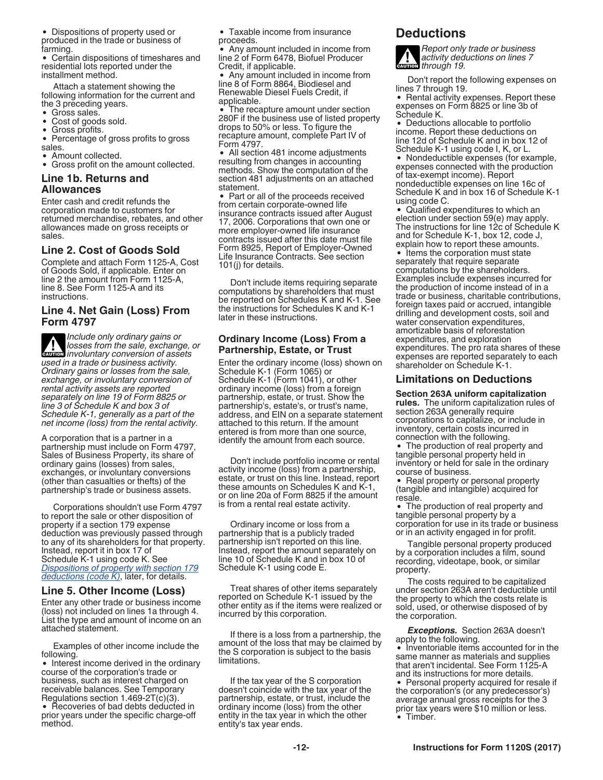<span id="page-11-0"></span>Dispositions of property used or produced in the trade or business of farming.

• Certain dispositions of timeshares and residential lots reported under the installment method.

Attach a statement showing the following information for the current and the 3 preceding years.

- Gross sales.
- Cost of goods sold.  $\bullet$
- Gross profits.
- Percentage of gross profits to gross sales.
- Amount collected.
- Gross profit on the amount collected.

#### **Line 1b. Returns and Allowances**

Enter cash and credit refunds the corporation made to customers for returned merchandise, rebates, and other allowances made on gross receipts or sales.

### **Line 2. Cost of Goods Sold**

Complete and attach Form 1125-A, Cost of Goods Sold, if applicable. Enter on line 2 the amount from Form 1125-A, line 8. See Form 1125-A and its instructions.

#### **Line 4. Net Gain (Loss) From Form 4797**

*Include only ordinary gains or losses from the sale, exchange, or involuntary conversion of assets used in a trade or business activity. Ordinary gains or losses from the sale, exchange, or involuntary conversion of rental activity assets are reported separately on line 19 of Form 8825 or line 3 of Schedule K and box 3 of Schedule K-1, generally as a part of the net income (loss) from the rental activity.*

A corporation that is a partner in a partnership must include on Form 4797, Sales of Business Property, its share of ordinary gains (losses) from sales, exchanges, or involuntary conversions (other than casualties or thefts) of the partnership's trade or business assets.

Corporations shouldn't use Form 4797 to report the sale or other disposition of property if a section 179 expense deduction was previously passed through to any of its shareholders for that property. Instead, report it in box 17 of Schedule K-1 using code K. See *[Dispositions of property with section 179](#page-30-0)  [deductions \(code K\)](#page-30-0)*, later, for details.

#### **Line 5. Other Income (Loss)**

Enter any other trade or business income (loss) not included on lines 1a through 4. List the type and amount of income on an attached statement.

Examples of other income include the following.

• Interest income derived in the ordinary course of the corporation's trade or business, such as interest charged on receivable balances. See Temporary Regulations section 1.469-2T(c)(3). • Recoveries of bad debts deducted in prior years under the specific charge-off method.

Taxable income from insurance proceeds.

Any amount included in income from line 2 of Form 6478, Biofuel Producer Credit, if applicable.

Any amount included in income from line 8 of Form 8864, Biodiesel and Renewable Diesel Fuels Credit, if applicable.

The recapture amount under section 280F if the business use of listed property drops to 50% or less. To figure the recapture amount, complete Part IV of Form 4797.

All section 481 income adjustments resulting from changes in accounting methods. Show the computation of the section 481 adjustments on an attached statement.

• Part or all of the proceeds received from certain corporate-owned life insurance contracts issued after August 17, 2006. Corporations that own one or more employer-owned life insurance contracts issued after this date must file Form 8925, Report of Employer-Owned Life Insurance Contracts. See section 101(j) for details.

Don't include items requiring separate computations by shareholders that must be reported on Schedules K and K-1. See the instructions for Schedules K and K-1 later in these instructions.

#### **Ordinary Income (Loss) From a Partnership, Estate, or Trust**

Enter the ordinary income (loss) shown on Schedule K-1 (Form 1065) or Schedule K-1 (Form 1041), or other ordinary income (loss) from a foreign partnership, estate, or trust. Show the partnership's, estate's, or trust's name, address, and EIN on a separate statement attached to this return. If the amount entered is from more than one source, identify the amount from each source.

Don't include portfolio income or rental activity income (loss) from a partnership, estate, or trust on this line. Instead, report these amounts on Schedules K and K-1, or on line 20a of Form 8825 if the amount is from a rental real estate activity.

Ordinary income or loss from a partnership that is a publicly traded partnership isn't reported on this line. Instead, report the amount separately on line 10 of Schedule K and in box 10 of Schedule K-1 using code E.

Treat shares of other items separately reported on Schedule K-1 issued by the other entity as if the items were realized or incurred by this corporation.

If there is a loss from a partnership, the amount of the loss that may be claimed by the S corporation is subject to the basis limitations.

If the tax year of the S corporation doesn't coincide with the tax year of the partnership, estate, or trust, include the ordinary income (loss) from the other entity in the tax year in which the other entity's tax year ends.

# **Deductions**

*Report only trade or business activity deductions on lines 7 through 19.* **CAUTION !**

Don't report the following expenses on lines 7 through 19.

• Rental activity expenses. Report these expenses on Form 8825 or line 3b of Schedule K.

Deductions allocable to portfolio income. Report these deductions on line 12d of Schedule K and in box 12 of Schedule K-1 using code I, K, or L.

Nondeductible expenses (for example, expenses connected with the production of tax-exempt income). Report nondeductible expenses on line 16c of Schedule K and in box 16 of Schedule K-1 using code C.

Qualified expenditures to which an election under section 59(e) may apply. The instructions for line 12c of Schedule K and for Schedule K-1, box 12, code J, explain how to report these amounts.

• Items the corporation must state separately that require separate computations by the shareholders. Examples include expenses incurred for the production of income instead of in a trade or business, charitable contributions, foreign taxes paid or accrued, intangible drilling and development costs, soil and water conservation expenditures, amortizable basis of reforestation expenditures, and exploration expenditures. The pro rata shares of these expenses are reported separately to each shareholder on Schedule K-1.

### **Limitations on Deductions**

**Section 263A uniform capitalization rules.** The uniform capitalization rules of section 263A generally require corporations to capitalize, or include in inventory, certain costs incurred in connection with the following.

The production of real property and tangible personal property held in inventory or held for sale in the ordinary course of business.

• Real property or personal property (tangible and intangible) acquired for resale.

The production of real property and tangible personal property by a corporation for use in its trade or business or in an activity engaged in for profit.

Tangible personal property produced by a corporation includes a film, sound recording, videotape, book, or similar property.

The costs required to be capitalized under section 263A aren't deductible until the property to which the costs relate is sold, used, or otherwise disposed of by the corporation.

*Exceptions.* Section 263A doesn't apply to the following.<br>• Inventoriable items

Inventoriable items accounted for in the same manner as materials and supplies that aren't incidental. See Form 1125-A and its instructions for more details. Personal property acquired for resale if the corporation's (or any predecessor's) average annual gross receipts for the 3 prior tax years were \$10 million or less.

Timber.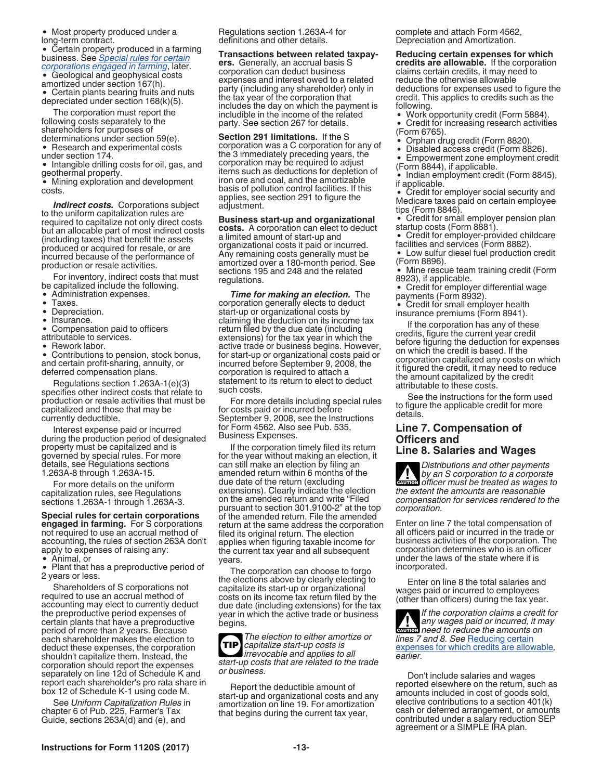<span id="page-12-0"></span>Most property produced under a long-term contract.

Certain property produced in a farming business. See *Special rules for certain corporations engaged in farming*, later.

Geological and geophysical costs amortized under section 167(h).

Certain plants bearing fruits and nuts depreciated under section 168(k)(5).

The corporation must report the following costs separately to the shareholders for purposes of determinations under section 59(e). • Research and experimental costs under section 174.

• Intangible drilling costs for oil, gas, and geothermal property.

Mining exploration and development costs.

*Indirect costs.* Corporations subject to the uniform capitalization rules are required to capitalize not only direct costs but an allocable part of most indirect costs (including taxes) that benefit the assets produced or acquired for resale, or are incurred because of the performance of production or resale activities.

For inventory, indirect costs that must be capitalized include the following.

- $\bullet$ Administration expenses.
- $\bullet$ Taxes.
- Depreciation.
- Insurance.

Compensation paid to officers attributable to services.

Rework labor.

Contributions to pension, stock bonus, and certain profit-sharing, annuity, or deferred compensation plans.

Regulations section 1.263A-1(e)(3) specifies other indirect costs that relate to production or resale activities that must be capitalized and those that may be currently deductible.

Interest expense paid or incurred during the production period of designated property must be capitalized and is governed by special rules. For more details, see Regulations sections 1.263A-8 through 1.263A-15.

For more details on the uniform capitalization rules, see Regulations sections 1.263A-1 through 1.263A-3.

**Special rules for certain corporations engaged in farming.** For S corporations not required to use an accrual method of accounting, the rules of section 263A don't apply to expenses of raising any: Animal, or

Plant that has a preproductive period of 2 years or less.

Shareholders of S corporations not required to use an accrual method of accounting may elect to currently deduct the preproductive period expenses of certain plants that have a preproductive period of more than 2 years. Because each shareholder makes the election to deduct these expenses, the corporation shouldn't capitalize them. Instead, the corporation should report the expenses separately on line 12d of Schedule K and report each shareholder's pro rata share in box 12 of Schedule K-1 using code M.

See *Uniform Capitalization Rules* in chapter 6 of Pub. 225, Farmer's Tax Guide, sections 263A(d) and (e), and

Regulations section 1.263A-4 for definitions and other details.

**Transactions between related taxpayers.** Generally, an accrual basis S corporation can deduct business expenses and interest owed to a related party (including any shareholder) only in the tax year of the corporation that includes the day on which the payment is includible in the income of the related party. See section 267 for details.

**Section 291 limitations.** If the S corporation was a C corporation for any of the 3 immediately preceding years, the corporation may be required to adjust items such as deductions for depletion of iron ore and coal, and the amortizable basis of pollution control facilities. If this applies, see section 291 to figure the adiustment.

**Business start-up and organizational costs.** A corporation can elect to deduct a limited amount of start-up and organizational costs it paid or incurred. Any remaining costs generally must be amortized over a 180-month period. See sections 195 and 248 and the related regulations.

*Time for making an election.* The corporation generally elects to deduct start-up or organizational costs by claiming the deduction on its income tax return filed by the due date (including extensions) for the tax year in which the active trade or business begins. However, for start-up or organizational costs paid or incurred before September 9, 2008, the corporation is required to attach a statement to its return to elect to deduct such costs.

For more details including special rules for costs paid or incurred before September 9, 2008, see the Instructions for Form 4562. Also see Pub. 535, Business Expenses.

If the corporation timely filed its return for the year without making an election, it can still make an election by filing an amended return within 6 months of the due date of the return (excluding extensions). Clearly indicate the election on the amended return and write "Filed pursuant to section 301.9100-2" at the top of the amended return. File the amended return at the same address the corporation filed its original return. The election applies when figuring taxable income for the current tax year and all subsequent years.

The corporation can choose to forgo the elections above by clearly electing to capitalize its start-up or organizational costs on its income tax return filed by the due date (including extensions) for the tax year in which the active trade or business begins.

*The election to either amortize or capitalize start-up costs is irrevocable and applies to all start-up costs that are related to the trade or business.* **TIP**

Report the deductible amount of start-up and organizational costs and any amortization on line 19. For amortization that begins during the current tax year,

complete and attach Form 4562, Depreciation and Amortization.

**Reducing certain expenses for which credits are allowable.** If the corporation claims certain credits, it may need to reduce the otherwise allowable deductions for expenses used to figure the credit. This applies to credits such as the following.

- Work opportunity credit (Form 5884).
- Credit for increasing research activities (Form 6765).
- Orphan drug credit (Form 8820).
- Disabled access credit (Form 8826).
- $\bullet$ Empowerment zone employment credit (Form 8844), if applicable.

• Indian employment credit (Form 8845), if applicable.

Credit for employer social security and Medicare taxes paid on certain employee tips (Form 8846).

Credit for small employer pension plan startup costs (Form 8881).

- Credit for employer-provided childcare facilities and services (Form 8882).
- Low sulfur diesel fuel production credit (Form 8896).
- Mine rescue team training credit (Form 8923), if applicable.
- Credit for employer differential wage payments (Form 8932).
- Credit for small employer health insurance premiums (Form 8941).

If the corporation has any of these credits, figure the current year credit before figuring the deduction for expenses on which the credit is based. If the corporation capitalized any costs on which it figured the credit, it may need to reduce the amount capitalized by the credit attributable to these costs.

See the instructions for the form used to figure the applicable credit for more details.

#### **Line 7. Compensation of Officers and Line 8. Salaries and Wages**

*Distributions and other payments by an S corporation to a corporate officer must be treated as wages to the extent the amounts are reasonable compensation for services rendered to the corporation.* **CAUTION !**

Enter on line 7 the total compensation of all officers paid or incurred in the trade or business activities of the corporation. The corporation determines who is an officer under the laws of the state where it is incorporated.

Enter on line 8 the total salaries and wages paid or incurred to employees (other than officers) during the tax year.

*If the corporation claims a credit for any wages paid or incurred, it may need to reduce the amounts on*  **CAUTION** *lines 7 and 8. See* Reducing certain expenses for which credits are allowable*, earlier.* **!**

Don't include salaries and wages reported elsewhere on the return, such as amounts included in cost of goods sold, elective contributions to a section 401(k) cash or deferred arrangement, or amounts contributed under a salary reduction SEP agreement or a SIMPLE IRA plan.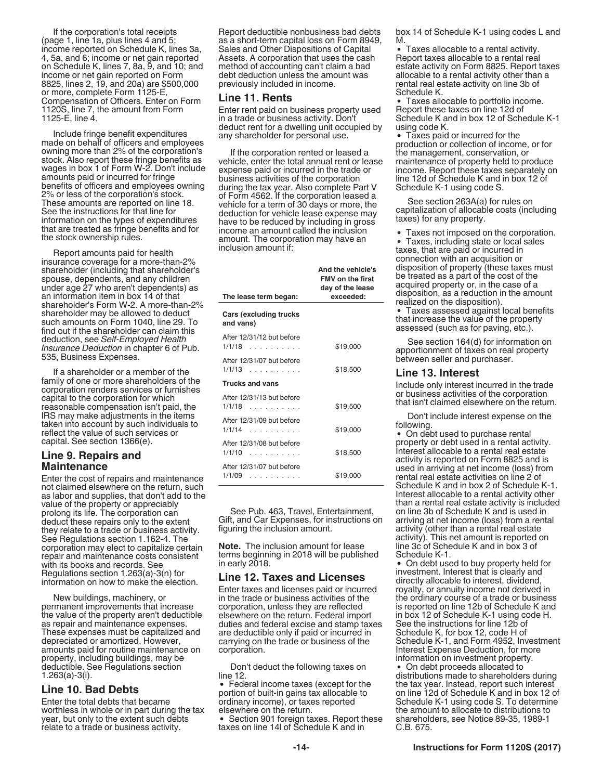<span id="page-13-0"></span>If the corporation's total receipts (page 1, line 1a, plus lines 4 and 5; income reported on Schedule K, lines 3a, 4, 5a, and 6; income or net gain reported on Schedule K, lines 7, 8a, 9, and 10; and income or net gain reported on Form 8825, lines 2, 19, and 20a) are \$500,000 or more, complete Form 1125-E, Compensation of Officers. Enter on Form 1120S, line 7, the amount from Form 1125-E, line 4.

Include fringe benefit expenditures made on behalf of officers and employees owning more than 2% of the corporation's stock. Also report these fringe benefits as wages in box 1 of Form W-2. Don't include amounts paid or incurred for fringe benefits of officers and employees owning 2% or less of the corporation's stock. These amounts are reported on line 18. See the instructions for that line for information on the types of expenditures that are treated as fringe benefits and for the stock ownership rules.

Report amounts paid for health insurance coverage for a more-than-2% shareholder (including that shareholder's spouse, dependents, and any children under age 27 who aren't dependents) as an information item in box 14 of that shareholder's Form W-2. A more-than-2% shareholder may be allowed to deduct such amounts on Form 1040, line 29. To find out if the shareholder can claim this deduction, see *Self-Employed Health Insurance Deduction* in chapter 6 of Pub. 535, Business Expenses.

If a shareholder or a member of the family of one or more shareholders of the corporation renders services or furnishes capital to the corporation for which reasonable compensation isn't paid, the IRS may make adjustments in the items taken into account by such individuals to reflect the value of such services or capital. See section 1366(e).

### **Line 9. Repairs and Maintenance**

Enter the cost of repairs and maintenance not claimed elsewhere on the return, such as labor and supplies, that don't add to the value of the property or appreciably prolong its life. The corporation can deduct these repairs only to the extent they relate to a trade or business activity. See Regulations section 1.162-4. The corporation may elect to capitalize certain repair and maintenance costs consistent with its books and records. See Regulations section 1.263(a)-3(n) for information on how to make the election.

New buildings, machinery, or permanent improvements that increase the value of the property aren't deductible as repair and maintenance expenses. These expenses must be capitalized and depreciated or amortized. However, amounts paid for routine maintenance on property, including buildings, may be deductible. See Regulations section 1.263(a)-3(i).

### **Line 10. Bad Debts**

Enter the total debts that became worthless in whole or in part during the tax year, but only to the extent such debts relate to a trade or business activity.

Report deductible nonbusiness bad debts as a short-term capital loss on Form 8949, Sales and Other Dispositions of Capital Assets. A corporation that uses the cash method of accounting can't claim a bad debt deduction unless the amount was previously included in income.

#### **Line 11. Rents**

Enter rent paid on business property used in a trade or business activity. Don't deduct rent for a dwelling unit occupied by any shareholder for personal use.

If the corporation rented or leased a vehicle, enter the total annual rent or lease expense paid or incurred in the trade or business activities of the corporation during the tax year. Also complete Part V of Form 4562. If the corporation leased a vehicle for a term of 30 days or more, the deduction for vehicle lease expense may have to be reduced by including in gross income an amount called the inclusion amount. The corporation may have an inclusion amount if:

| The lease term began:                                       | And the vehicle's<br><b>FMV on the first</b><br>day of the lease<br>exceeded: |
|-------------------------------------------------------------|-------------------------------------------------------------------------------|
| <b>Cars (excluding trucks)</b><br>and vans)                 |                                                                               |
| After 12/31/12 but before<br>$1/1/18$                       | \$19,000                                                                      |
| After 12/31/07 but before<br>$1/1/13$                       | \$18,500                                                                      |
| <b>Trucks and vans</b>                                      |                                                                               |
| After 12/31/13 but before<br>$1/1/18$                       | \$19,500                                                                      |
| After 12/31/09 but before<br>1/1/14<br>and a straight and a | \$19,000                                                                      |
| After 12/31/08 but before<br>$1/1/10$                       | \$18,500                                                                      |
| After 12/31/07 but before<br>1/1/09<br>.                    | \$19,000                                                                      |

See Pub. 463, Travel, Entertainment, Gift, and Car Expenses, for instructions on figuring the inclusion amount.

**Note.** The inclusion amount for lease terms beginning in 2018 will be published in early 2018.

### **Line 12. Taxes and Licenses**

Enter taxes and licenses paid or incurred in the trade or business activities of the corporation, unless they are reflected elsewhere on the return. Federal import duties and federal excise and stamp taxes are deductible only if paid or incurred in carrying on the trade or business of the corporation.

Don't deduct the following taxes on line 12.

Federal income taxes (except for the portion of built-in gains tax allocable to ordinary income), or taxes reported elsewhere on the return.

Section 901 foreign taxes. Report these taxes on line 14l of Schedule K and in

box 14 of Schedule K-1 using codes L and M.

Taxes allocable to a rental activity. Report taxes allocable to a rental real estate activity on Form 8825. Report taxes allocable to a rental activity other than a rental real estate activity on line 3b of Schedule K.

Taxes allocable to portfolio income. Report these taxes on line 12d of Schedule K and in box 12 of Schedule K-1 using code K.

Taxes paid or incurred for the production or collection of income, or for the management, conservation, or maintenance of property held to produce income. Report these taxes separately on line 12d of Schedule K and in box 12 of Schedule K-1 using code S.

See section 263A(a) for rules on capitalization of allocable costs (including taxes) for any property.

Taxes not imposed on the corporation. Taxes, including state or local sales taxes, that are paid or incurred in connection with an acquisition or disposition of property (these taxes must be treated as a part of the cost of the acquired property or, in the case of a disposition, as a reduction in the amount realized on the disposition).

Taxes assessed against local benefits that increase the value of the property assessed (such as for paving, etc.).

See section 164(d) for information on apportionment of taxes on real property between seller and purchaser.

#### **Line 13. Interest**

Include only interest incurred in the trade or business activities of the corporation that isn't claimed elsewhere on the return.

Don't include interest expense on the following.

On debt used to purchase rental property or debt used in a rental activity. Interest allocable to a rental real estate activity is reported on Form 8825 and is used in arriving at net income (loss) from rental real estate activities on line 2 of Schedule K and in box 2 of Schedule K-1. Interest allocable to a rental activity other than a rental real estate activity is included on line 3b of Schedule K and is used in arriving at net income (loss) from a rental activity (other than a rental real estate activity). This net amount is reported on line 3c of Schedule K and in box 3 of Schedule K-1.

On debt used to buy property held for investment. Interest that is clearly and directly allocable to interest, dividend, royalty, or annuity income not derived in the ordinary course of a trade or business is reported on line 12b of Schedule K and in box 12 of Schedule K-1 using code H. See the instructions for line 12b of Schedule K, for box 12, code H of Schedule K-1, and Form 4952, Investment Interest Expense Deduction, for more information on investment property.

On debt proceeds allocated to distributions made to shareholders during the tax year. Instead, report such interest on line 12d of Schedule K and in box 12 of Schedule K-1 using code S. To determine the amount to allocate to distributions to shareholders, see Notice 89-35, 1989-1 C.B. 675.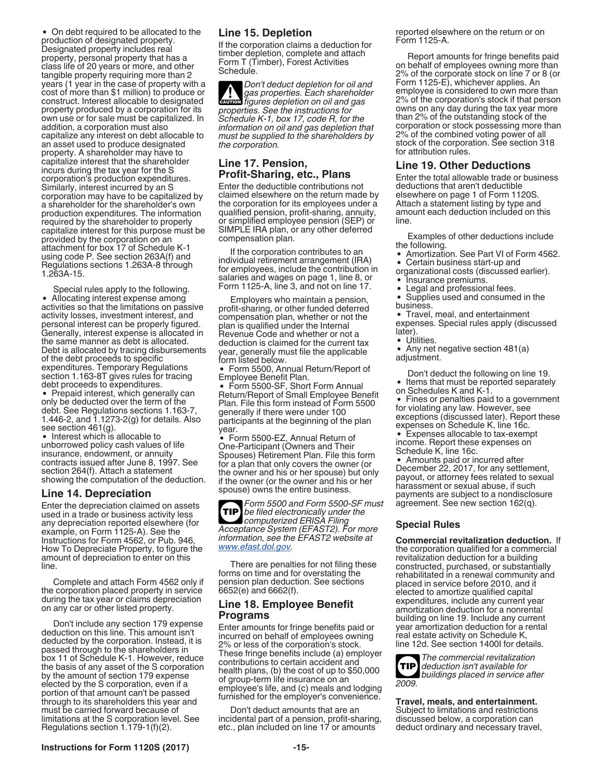<span id="page-14-0"></span>On debt required to be allocated to the production of designated property. Designated property includes real property, personal property that has a class life of 20 years or more, and other tangible property requiring more than 2 years (1 year in the case of property with a cost of more than \$1 million) to produce or construct. Interest allocable to designated property produced by a corporation for its own use or for sale must be capitalized. In addition, a corporation must also capitalize any interest on debt allocable to an asset used to produce designated property. A shareholder may have to capitalize interest that the shareholder incurs during the tax year for the S corporation's production expenditures. Similarly, interest incurred by an S corporation may have to be capitalized by a shareholder for the shareholder's own production expenditures. The information required by the shareholder to properly capitalize interest for this purpose must be provided by the corporation on an attachment for box 17 of Schedule K-1 using code P. See section 263A(f) and Regulations sections 1.263A-8 through 1.263A-15.

Special rules apply to the following. Allocating interest expense among activities so that the limitations on passive activity losses, investment interest, and personal interest can be properly figured. Generally, interest expense is allocated in the same manner as debt is allocated. Debt is allocated by tracing disbursements of the debt proceeds to specific expenditures. Temporary Regulations section 1.163-8T gives rules for tracing debt proceeds to expenditures.

• Prepaid interest, which generally can only be deducted over the term of the debt. See Regulations sections 1.163-7, 1.446-2, and  $1.1273-2(g)$  for details. Also see section 461(g).

• Interest which is allocable to unborrowed policy cash values of life insurance, endowment, or annuity contracts issued after June 8, 1997. See section 264(f). Attach a statement showing the computation of the deduction.

#### **Line 14. Depreciation**

Enter the depreciation claimed on assets used in a trade or business activity less any depreciation reported elsewhere (for example, on Form 1125-A). See the Instructions for Form 4562, or Pub. 946, How To Depreciate Property, to figure the amount of depreciation to enter on this line.

Complete and attach Form 4562 only if the corporation placed property in service during the tax year or claims depreciation on any car or other listed property.

Don't include any section 179 expense deduction on this line. This amount isn't deducted by the corporation. Instead, it is passed through to the shareholders in box 11 of Schedule K-1. However, reduce the basis of any asset of the S corporation by the amount of section 179 expense elected by the S corporation, even if a portion of that amount can't be passed through to its shareholders this year and must be carried forward because of limitations at the S corporation level. See Regulations section 1.179-1(f)(2).

### **Line 15. Depletion**

If the corporation claims a deduction for timber depletion, complete and attach Form T (Timber), Forest Activities Schedule.

*Don't deduct depletion for oil and gas properties. Each shareholder gas properties. Each shareholde*<br> **EXULTER**<br> **EXULTER** *properties. See the instructions for Schedule K-1, box 17, code R, for the information on oil and gas depletion that must be supplied to the shareholders by the corporation.*

### **Line 17. Pension, Profit-Sharing, etc., Plans**

Enter the deductible contributions not claimed elsewhere on the return made by the corporation for its employees under a qualified pension, profit-sharing, annuity, or simplified employee pension (SEP) or SIMPLE IRA plan, or any other deferred compensation plan.

If the corporation contributes to an individual retirement arrangement (IRA) for employees, include the contribution in salaries and wages on page 1, line 8, or Form 1125-A, line 3, and not on line 17.

Employers who maintain a pension, profit-sharing, or other funded deferred compensation plan, whether or not the plan is qualified under the Internal Revenue Code and whether or not a deduction is claimed for the current tax year, generally must file the applicable form listed below.

Form 5500, Annual Return/Report of Employee Benefit Plan.

• Form 5500-SF, Short Form Annual Return/Report of Small Employee Benefit Plan. File this form instead of Form 5500 generally if there were under 100 participants at the beginning of the plan year.

Form 5500-EZ, Annual Return of One-Participant (Owners and Their Spouses) Retirement Plan. File this form for a plan that only covers the owner (or the owner and his or her spouse) but only if the owner (or the owner and his or her spouse) owns the entire business.

*Form 5500 and Form 5500-SF must be filed electronically under the computerized ERISA Filing Acceptance System (EFAST2). For more information, see the EFAST2 website at [www.efast.dol.gov](https://www.efast.dol.gov).* **TIP**

There are penalties for not filing these forms on time and for overstating the pension plan deduction. See sections 6652(e) and 6662(f).

#### **Line 18. Employee Benefit Programs**

Enter amounts for fringe benefits paid or incurred on behalf of employees owning 2% or less of the corporation's stock. These fringe benefits include (a) employer contributions to certain accident and health plans, (b) the cost of up to \$50,000 of group-term life insurance on an employee's life, and (c) meals and lodging furnished for the employer's convenience.

Don't deduct amounts that are an incidental part of a pension, profit-sharing, etc., plan included on line 17 or amounts

reported elsewhere on the return or on Form 1125-A.

Report amounts for fringe benefits paid on behalf of employees owning more than 2% of the corporate stock on line 7 or 8 (or Form 1125-E), whichever applies. An employee is considered to own more than 2% of the corporation's stock if that person owns on any day during the tax year more than 2% of the outstanding stock of the corporation or stock possessing more than 2% of the combined voting power of all stock of the corporation. See section 318 for attribution rules.

#### **Line 19. Other Deductions**

Enter the total allowable trade or business deductions that aren't deductible elsewhere on page 1 of Form 1120S. Attach a statement listing by type and amount each deduction included on this line.

Examples of other deductions include the following.

- Amortization. See Part VI of Form 4562.
- Certain business start-up and organizational costs (discussed earlier).
- Insurance premiums.
- Legal and professional fees.
- Supplies used and consumed in the business.

Travel, meal, and entertainment expenses. Special rules apply (discussed

- later).
- Utilities.

Any net negative section 481(a) adjustment.

- Don't deduct the following on line 19.
- Items that must be reported separately
- on Schedules K and K-1.

Fines or penalties paid to a government  $\bullet$ for violating any law. However, see exceptions (discussed later). Report these expenses on Schedule K, line 16c.

Expenses allocable to tax-exempt income. Report these expenses on Schedule K, line 16c.

Amounts paid or incurred after December 22, 2017, for any settlement, payout, or attorney fees related to sexual harassment or sexual abuse, if such payments are subject to a nondisclosure agreement. See new section 162(q).

#### **Special Rules**

**Commercial revitalization deduction.** If the corporation qualified for a commercial revitalization deduction for a building constructed, purchased, or substantially rehabilitated in a renewal community and placed in service before 2010, and it elected to amortize qualified capital expenditures, include any current year amortization deduction for a nonrental building on line 19. Include any current year amortization deduction for a rental real estate activity on Schedule K, line 12d. See section 1400I for details.

*The commercial revitalization deduction isn't available for buildings placed in service after 2009.* **TIP**

**Travel, meals, and entertainment.** Subject to limitations and restrictions discussed below, a corporation can deduct ordinary and necessary travel,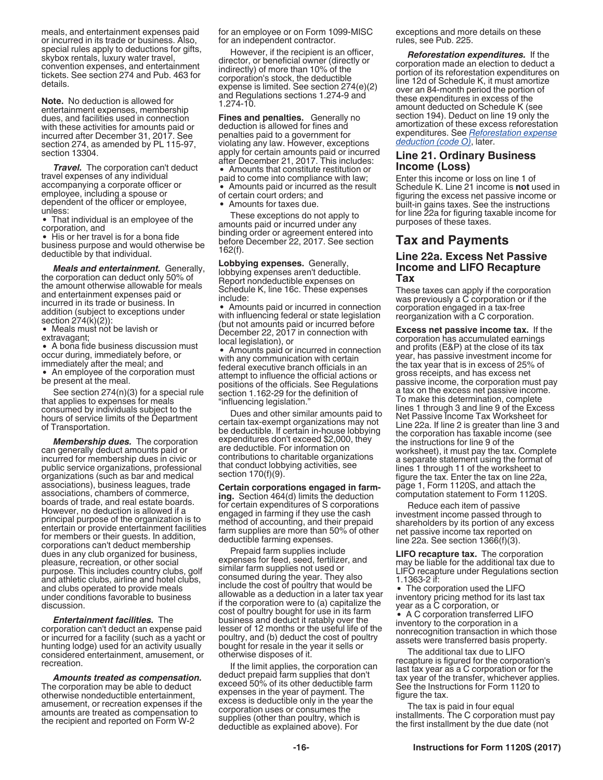<span id="page-15-0"></span>meals, and entertainment expenses paid or incurred in its trade or business. Also, special rules apply to deductions for gifts, skybox rentals, luxury water travel, convention expenses, and entertainment tickets. See section 274 and Pub. 463 for details.

**Note.** No deduction is allowed for entertainment expenses, membership dues, and facilities used in connection with these activities for amounts paid or incurred after December 31, 2017. See section 274, as amended by PL 115-97, section 13304.

*Travel.* The corporation can't deduct travel expenses of any individual accompanying a corporate officer or employee, including a spouse or dependent of the officer or employee, unless:

That individual is an employee of the corporation, and

• His or her travel is for a bona fide business purpose and would otherwise be deductible by that individual.

*Meals and entertainment.* Generally, the corporation can deduct only 50% of the amount otherwise allowable for meals and entertainment expenses paid or incurred in its trade or business. In addition (subject to exceptions under section 274(k)(2)):

Meals must not be lavish or extravagant;

A bona fide business discussion must occur during, immediately before, or immediately after the meal; and

An employee of the corporation must be present at the meal.

See section 274(n)(3) for a special rule that applies to expenses for meals consumed by individuals subject to the hours of service limits of the Department of Transportation.

*Membership dues.* The corporation can generally deduct amounts paid or incurred for membership dues in civic or public service organizations, professional organizations (such as bar and medical associations), business leagues, trade associations, chambers of commerce, boards of trade, and real estate boards. However, no deduction is allowed if a principal purpose of the organization is to entertain or provide entertainment facilities for members or their guests. In addition, corporations can't deduct membership dues in any club organized for business, pleasure, recreation, or other social purpose. This includes country clubs, golf and athletic clubs, airline and hotel clubs, and clubs operated to provide meals under conditions favorable to business discussion.

*Entertainment facilities.* The corporation can't deduct an expense paid or incurred for a facility (such as a yacht or hunting lodge) used for an activity usually considered entertainment, amusement, or recreation.

*Amounts treated as compensation.*  The corporation may be able to deduct otherwise nondeductible entertainment, amusement, or recreation expenses if the amounts are treated as compensation to the recipient and reported on Form W-2

for an employee or on Form 1099-MISC for an independent contractor.

However, if the recipient is an officer, director, or beneficial owner (directly or indirectly) of more than 10% of the corporation's stock, the deductible expense is limited. See section 274(e)(2) and Regulations sections 1.274-9 and 1.274-10.

**Fines and penalties.** Generally no deduction is allowed for fines and penalties paid to a government for violating any law. However, exceptions apply for certain amounts paid or incurred after December 21, 2017. This includes: Amounts that constitute restitution or paid to come into compliance with law; Amounts paid or incurred as the result of certain court orders; and

Amounts for taxes due.

These exceptions do not apply to amounts paid or incurred under any binding order or agreement entered into before December 22, 2017. See section 162(f).

**Lobbying expenses.** Generally, lobbying expenses aren't deductible. Report nondeductible expenses on Schedule K, line 16c. These expenses include:

Amounts paid or incurred in connection with influencing federal or state legislation (but not amounts paid or incurred before December 22, 2017 in connection with local legislation), or

Amounts paid or incurred in connection with any communication with certain federal executive branch officials in an attempt to influence the official actions or positions of the officials. See Regulations section 1.162-29 for the definition of "influencing legislation."

Dues and other similar amounts paid to certain tax-exempt organizations may not be deductible. If certain in-house lobbying expenditures don't exceed \$2,000, they are deductible. For information on contributions to charitable organizations that conduct lobbying activities, see section 170(f)(9).

**Certain corporations engaged in farming.** Section 464(d) limits the deduction for certain expenditures of S corporations engaged in farming if they use the cash method of accounting, and their prepaid farm supplies are more than 50% of other deductible farming expenses.

Prepaid farm supplies include expenses for feed, seed, fertilizer, and similar farm supplies not used or consumed during the year. They also include the cost of poultry that would be allowable as a deduction in a later tax year if the corporation were to (a) capitalize the cost of poultry bought for use in its farm business and deduct it ratably over the lesser of 12 months or the useful life of the poultry, and (b) deduct the cost of poultry bought for resale in the year it sells or otherwise disposes of it.

If the limit applies, the corporation can deduct prepaid farm supplies that don't exceed 50% of its other deductible farm expenses in the year of payment. The excess is deductible only in the year the corporation uses or consumes the supplies (other than poultry, which is deductible as explained above). For

exceptions and more details on these rules, see Pub. 225.

*Reforestation expenditures.* If the corporation made an election to deduct a portion of its reforestation expenditures on line 12d of Schedule K, it must amortize over an 84-month period the portion of these expenditures in excess of the amount deducted on Schedule K (see section 194). Deduct on line 19 only the amortization of these excess reforestation expenditures. See *[Reforestation expense](#page-23-0)  [deduction \(code O\)](#page-23-0)*, later.

#### **Line 21. Ordinary Business Income (Loss)**

Enter this income or loss on line 1 of Schedule K. Line 21 income is **not** used in figuring the excess net passive income or built-in gains taxes. See the instructions for line 22a for figuring taxable income for purposes of these taxes.

### **Tax and Payments Line 22a. Excess Net Passive Income and LIFO Recapture Tax**

These taxes can apply if the corporation was previously a C corporation or if the corporation engaged in a tax-free reorganization with a C corporation.

**Excess net passive income tax.** If the corporation has accumulated earnings and profits (E&P) at the close of its tax year, has passive investment income for the tax year that is in excess of 25% of gross receipts, and has excess net passive income, the corporation must pay a tax on the excess net passive income. To make this determination, complete lines 1 through 3 and line 9 of the Excess Net Passive Income Tax Worksheet for Line 22a. If line 2 is greater than line 3 and the corporation has taxable income (see the instructions for line 9 of the worksheet), it must pay the tax. Complete a separate statement using the format of lines 1 through 11 of the worksheet to figure the tax. Enter the tax on line 22a, page 1, Form 1120S, and attach the computation statement to Form 1120S.

Reduce each item of passive investment income passed through to shareholders by its portion of any excess net passive income tax reported on line 22a. See section 1366(f)(3).

**LIFO recapture tax.** The corporation may be liable for the additional tax due to LIFO recapture under Regulations section 1.1363-2 if:

The corporation used the LIFO inventory pricing method for its last tax year as a C corporation, or

A C corporation transferred LIFO inventory to the corporation in a nonrecognition transaction in which those assets were transferred basis property.

The additional tax due to LIFO recapture is figured for the corporation's last tax year as a C corporation or for the tax year of the transfer, whichever applies. See the Instructions for Form 1120 to figure the tax.

The tax is paid in four equal installments. The C corporation must pay the first installment by the due date (not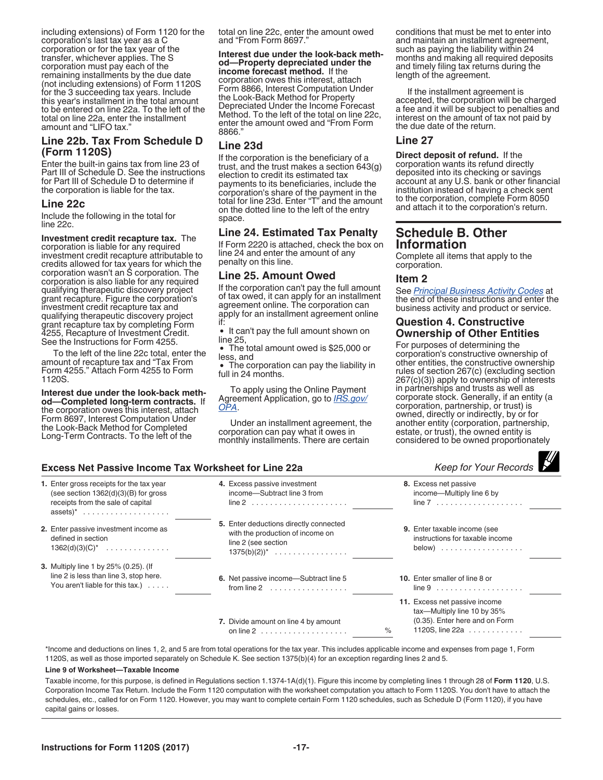<span id="page-16-0"></span>including extensions) of Form 1120 for the corporation's last tax year as a C corporation or for the tax year of the transfer, whichever applies. The S corporation must pay each of the remaining installments by the due date (not including extensions) of Form 1120S for the 3 succeeding tax years. Include this year's installment in the total amount to be entered on line 22a. To the left of the total on line 22a, enter the installment amount and "LIFO tax."

#### **Line 22b. Tax From Schedule D (Form 1120S)**

Enter the built-in gains tax from line 23 of Part III of Schedule D. See the instructions for Part III of Schedule D to determine if the corporation is liable for the tax.

#### **Line 22c**

Include the following in the total for line 22c.

**Investment credit recapture tax.** The corporation is liable for any required investment credit recapture attributable to credits allowed for tax years for which the corporation wasn't an S corporation. The corporation is also liable for any required qualifying therapeutic discovery project grant recapture. Figure the corporation's investment credit recapture tax and qualifying therapeutic discovery project grant recapture tax by completing Form 4255, Recapture of Investment Credit. See the Instructions for Form 4255.

To the left of the line 22c total, enter the amount of recapture tax and "Tax From Form 4255." Attach Form 4255 to Form 1120S.

**Interest due under the look-back method—Completed long-term contracts.** If the corporation owes this interest, attach Form 8697, Interest Computation Under the Look-Back Method for Completed Long-Term Contracts. To the left of the

total on line 22c, enter the amount owed and "From Form 8697."

**Interest due under the look-back method—Property depreciated under the income forecast method.** If the corporation owes this interest, attach Form 8866, Interest Computation Under the Look-Back Method for Property Depreciated Under the Income Forecast Method. To the left of the total on line 22c, enter the amount owed and "From Form 8866."

### **Line 23d**

If the corporation is the beneficiary of a trust, and the trust makes a section 643(g) election to credit its estimated tax payments to its beneficiaries, include the corporation's share of the payment in the total for line 23d. Enter "T" and the amount on the dotted line to the left of the entry space.

### **Line 24. Estimated Tax Penalty**

If Form 2220 is attached, check the box on line 24 and enter the amount of any penalty on this line.

### **Line 25. Amount Owed**

If the corporation can't pay the full amount of tax owed, it can apply for an installment agreement online. The corporation can apply for an installment agreement online if:

• It can't pay the full amount shown on line 25,

The total amount owed is \$25,000 or less, and

The corporation can pay the liability in full in 24 months.

To apply using the Online Payment Agreement Application, go to *[IRS.gov/](https://irs.gov/opa) [OPA](https://irs.gov/opa)*.

Under an installment agreement, the corporation can pay what it owes in monthly installments. There are certain

conditions that must be met to enter into and maintain an installment agreement, such as paying the liability within 24 months and making all required deposits and timely filing tax returns during the length of the agreement.

If the installment agreement is accepted, the corporation will be charged a fee and it will be subject to penalties and interest on the amount of tax not paid by the due date of the return.

#### **Line 27**

**Direct deposit of refund.** If the corporation wants its refund directly deposited into its checking or savings account at any U.S. bank or other financial institution instead of having a check sent to the corporation, complete Form 8050 and attach it to the corporation's return.

### **Schedule B. Other Information**

Complete all items that apply to the corporation.

#### **Item 2**

See *[Principal Business Activity Codes](#page-36-0)* at the end of these instructions and enter the business activity and product or service.

#### **Question 4. Constructive Ownership of Other Entities**

For purposes of determining the corporation's constructive ownership of other entities, the constructive ownership rules of section 267(c) (excluding section 267(c)(3)) apply to ownership of interests in partnerships and trusts as well as corporate stock. Generally, if an entity (a corporation, partnership, or trust) is owned, directly or indirectly, by or for another entity (corporation, partnership, estate, or trust), the owned entity is considered to be owned proportionately

## **Excess Net Passive Income Tax Worksheet for Line 22a** *Keep for Your Records*

| 1. Enter gross receipts for the tax year<br>(see section $1362(d)(3)(B)$ for gross<br>receipts from the sale of capital<br>$assets)^*$ | 4. Excess passive investment<br>income-Subtract line 3 from<br>$line 2$                                              | 8. Excess net passive<br>income-Multiply line 6 by<br>$line 7$                                                            |
|----------------------------------------------------------------------------------------------------------------------------------------|----------------------------------------------------------------------------------------------------------------------|---------------------------------------------------------------------------------------------------------------------------|
| 2. Enter passive investment income as<br>defined in section<br>$1362(d)(3)(C)^*$                                                       | 5. Enter deductions directly connected<br>with the production of income on<br>line 2 (see section<br>$1375(b)(2))^*$ | 9. Enter taxable income (see<br>instructions for taxable income<br>below) $\ldots \ldots \ldots \ldots \ldots$            |
| <b>3.</b> Multiply line 1 by 25% (0.25). (If<br>line 2 is less than line 3, stop here.<br>You aren't liable for this tax.)             | 6. Net passive income—Subtract line 5<br>from line $2 \ldots \ldots \ldots \ldots$                                   | 10. Enter smaller of line 8 or<br>$line 9$                                                                                |
|                                                                                                                                        | 7. Divide amount on line 4 by amount<br>on line $2$ ,                                                                | 11. Excess net passive income<br>tax—Multiply line 10 by 35%<br>(0.35). Enter here and on Form<br>1120S, line 22a<br>$\%$ |

\*Income and deductions on lines 1, 2, and 5 are from total operations for the tax year. This includes applicable income and expenses from page 1, Form 1120S, as well as those imported separately on Schedule K. See section 1375(b)(4) for an exception regarding lines 2 and 5.

#### **Line 9 of Worksheet—Taxable Income**

Taxable income, for this purpose, is defined in Regulations section 1.1374-1A(d)(1). Figure this income by completing lines 1 through 28 of **Form 1120**, U.S. Corporation Income Tax Return. Include the Form 1120 computation with the worksheet computation you attach to Form 1120S. You don't have to attach the schedules, etc., called for on Form 1120. However, you may want to complete certain Form 1120 schedules, such as Schedule D (Form 1120), if you have capital gains or losses.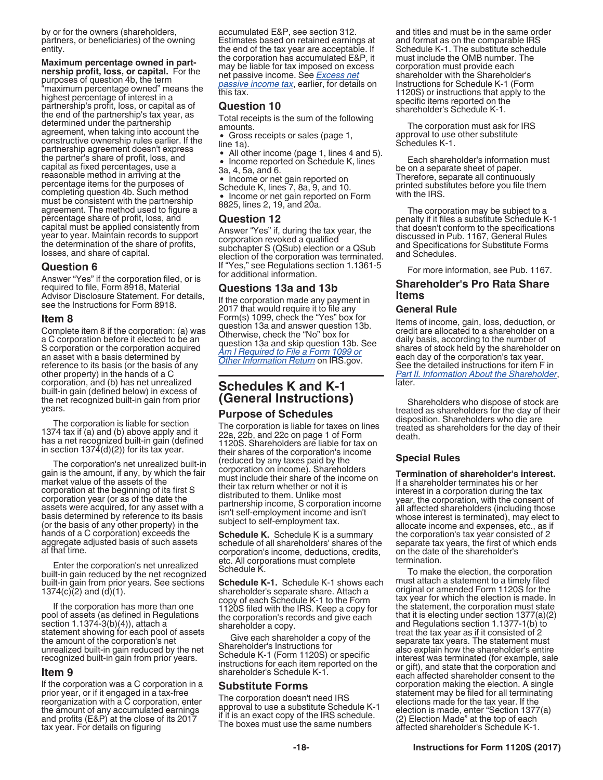<span id="page-17-0"></span>by or for the owners (shareholders, partners, or beneficiaries) of the owning entity.

**Maximum percentage owned in partnership profit, loss, or capital.** For the purposes of question 4b, the term "maximum percentage owned" means the highest percentage of interest in a partnership's profit, loss, or capital as of the end of the partnership's tax year, as determined under the partnership agreement, when taking into account the constructive ownership rules earlier. If the partnership agreement doesn't express the partner's share of profit, loss, and capital as fixed percentages, use a reasonable method in arriving at the percentage items for the purposes of completing question 4b. Such method must be consistent with the partnership agreement. The method used to figure a percentage share of profit, loss, and capital must be applied consistently from year to year. Maintain records to support the determination of the share of profits, losses, and share of capital.

#### **Question 6**

Answer "Yes" if the corporation filed, or is required to file, Form 8918, Material Advisor Disclosure Statement. For details, see the Instructions for Form 8918.

#### **Item 8**

Complete item 8 if the corporation: (a) was a C corporation before it elected to be an S corporation or the corporation acquired an asset with a basis determined by reference to its basis (or the basis of any other property) in the hands of a C corporation, and (b) has net unrealized built-in gain (defined below) in excess of the net recognized built-in gain from prior years.

The corporation is liable for section 1374 tax if (a) and (b) above apply and it has a net recognized built-in gain (defined in section  $137\overline{4}(\text{d})(2)$ ) for its tax year.

The corporation's net unrealized built-in gain is the amount, if any, by which the fair market value of the assets of the corporation at the beginning of its first S corporation year (or as of the date the assets were acquired, for any asset with a basis determined by reference to its basis (or the basis of any other property) in the hands of a C corporation) exceeds the aggregate adjusted basis of such assets at that time.

Enter the corporation's net unrealized built-in gain reduced by the net recognized built-in gain from prior years. See sections  $1374(c)(2)$  and  $(d)(1)$ .

If the corporation has more than one pool of assets (as defined in Regulations section 1.1374-3(b)(4)), attach a statement showing for each pool of assets the amount of the corporation's net unrealized built-in gain reduced by the net recognized built-in gain from prior years.

#### **Item 9**

If the corporation was a C corporation in a prior year, or if it engaged in a tax-free reorganization with a C corporation, enter the amount of any accumulated earnings and profits (E&P) at the close of its 2017 tax year. For details on figuring

accumulated E&P, see section 312. Estimates based on retained earnings at the end of the tax year are acceptable. If the corporation has accumulated E&P, it may be liable for tax imposed on excess net passive income. See *[Excess net](#page-15-0)  [passive income tax](#page-15-0)*, earlier, for details on this tax.

#### **Question 10**

Total receipts is the sum of the following amounts.

Gross receipts or sales (page 1, line 1a).

- All other income (page 1, lines 4 and 5). • Income reported on Schedule K, lines
- 3a, 4, 5a, and 6.

• Income or net gain reported on Schedule K, lines 7, 8a, 9, and 10.

- Income or net gain reported on Form
- 8825, lines 2, 19, and 20a.

#### **Question 12**

Answer "Yes" if, during the tax year, the corporation revoked a qualified subchapter S (QSub) election or a QSub election of the corporation was terminated. If "Yes," see Regulations section 1.1361-5 for additional information.

#### **Questions 13a and 13b**

If the corporation made any payment in 2017 that would require it to file any Form(s) 1099, check the "Yes" box for question 13a and answer question 13b. Otherwise, check the "No" box for question 13a and skip question 13b. See *[Am I Required to File a Form 1099 or](https://www.irs.gov/Businesses/Small-Businesses-&-Self-Employed/Am-I-Required-to-File-a-Form-1099-or-Other-Information-Return) [Other Information Return](https://www.irs.gov/Businesses/Small-Businesses-&-Self-Employed/Am-I-Required-to-File-a-Form-1099-or-Other-Information-Return)* on IRS.gov.

## **Schedules K and K-1 (General Instructions)**

#### **Purpose of Schedules**

The corporation is liable for taxes on lines 22a, 22b, and 22c on page 1 of Form 1120S. Shareholders are liable for tax on their shares of the corporation's income (reduced by any taxes paid by the corporation on income). Shareholders must include their share of the income on their tax return whether or not it is distributed to them. Unlike most partnership income, S corporation income isn't self-employment income and isn't subject to self-employment tax.

**Schedule K.** Schedule K is a summary schedule of all shareholders' shares of the corporation's income, deductions, credits, etc. All corporations must complete Schedule K.

**Schedule K-1.** Schedule K-1 shows each shareholder's separate share. Attach a copy of each Schedule K-1 to the Form 1120S filed with the IRS. Keep a copy for the corporation's records and give each shareholder a copy.

Give each shareholder a copy of the Shareholder's Instructions for Schedule K-1 (Form 1120S) or specific instructions for each item reported on the shareholder's Schedule K-1.

#### **Substitute Forms**

The corporation doesn't need IRS approval to use a substitute Schedule K-1 if it is an exact copy of the IRS schedule. The boxes must use the same numbers

and titles and must be in the same order and format as on the comparable IRS Schedule K-1. The substitute schedule must include the OMB number. The corporation must provide each shareholder with the Shareholder's Instructions for Schedule K-1 (Form 1120S) or instructions that apply to the specific items reported on the shareholder's Schedule K-1.

The corporation must ask for IRS approval to use other substitute Schedules K-1.

Each shareholder's information must be on a separate sheet of paper. Therefore, separate all continuously printed substitutes before you file them with the IRS.

The corporation may be subject to a penalty if it files a substitute Schedule K-1 that doesn't conform to the specifications discussed in Pub. 1167, General Rules and Specifications for Substitute Forms and Schedules.

For more information, see Pub. 1167.

#### **Shareholder's Pro Rata Share Items**

#### **General Rule**

Items of income, gain, loss, deduction, or credit are allocated to a shareholder on a daily basis, according to the number of shares of stock held by the shareholder on each day of the corporation's tax year. See the detailed instructions for item F in *[Part II. Information About the Shareholder](#page-18-0)*, later.

Shareholders who dispose of stock are treated as shareholders for the day of their disposition. Shareholders who die are treated as shareholders for the day of their death.

#### **Special Rules**

**Termination of shareholder's interest.** 

If a shareholder terminates his or her interest in a corporation during the tax year, the corporation, with the consent of all affected shareholders (including those whose interest is terminated), may elect to allocate income and expenses, etc., as if the corporation's tax year consisted of 2 separate tax years, the first of which ends on the date of the shareholder's termination.

To make the election, the corporation must attach a statement to a timely filed original or amended Form 1120S for the tax year for which the election is made. In the statement, the corporation must state that it is electing under section 1377(a)(2) and Regulations section 1.1377-1(b) to treat the tax year as if it consisted of 2 separate tax years. The statement must also explain how the shareholder's entire interest was terminated (for example, sale or gift), and state that the corporation and each affected shareholder consent to the corporation making the election. A single statement may be filed for all terminating elections made for the tax year. If the election is made, enter "Section 1377(a) (2) Election Made" at the top of each affected shareholder's Schedule K-1.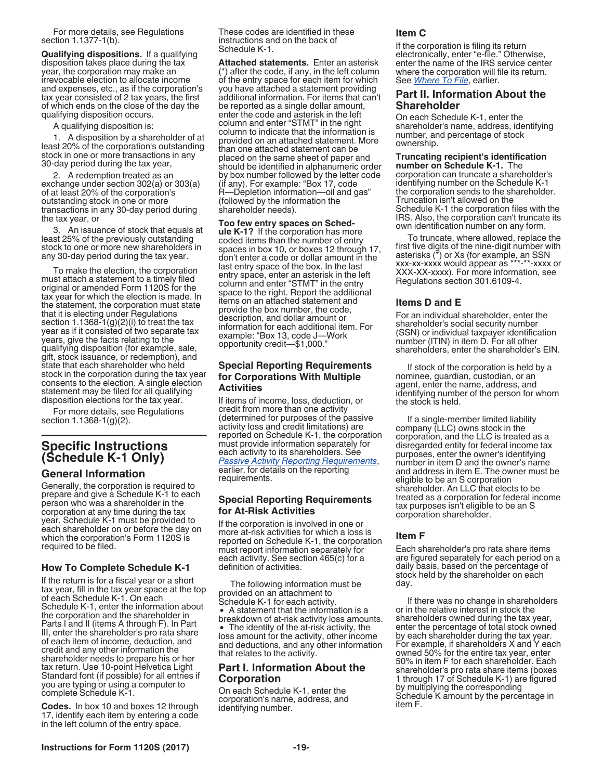<span id="page-18-0"></span>For more details, see Regulations section 1.1377-1(b).

**Qualifying dispositions.** If a qualifying disposition takes place during the tax year, the corporation may make an irrevocable election to allocate income and expenses, etc., as if the corporation's tax year consisted of 2 tax years, the first of which ends on the close of the day the qualifying disposition occurs.

A qualifying disposition is:

1. A disposition by a shareholder of at least 20% of the corporation's outstanding stock in one or more transactions in any 30-day period during the tax year,

2. A redemption treated as an exchange under section 302(a) or 303(a) of at least 20% of the corporation's outstanding stock in one or more transactions in any 30-day period during the tax year, or

3. An issuance of stock that equals at least 25% of the previously outstanding stock to one or more new shareholders in any 30-day period during the tax year.

To make the election, the corporation must attach a statement to a timely filed original or amended Form 1120S for the tax year for which the election is made. In the statement, the corporation must state that it is electing under Regulations section 1.1368-1(g)(2)(i) to treat the tax year as if it consisted of two separate tax years, give the facts relating to the qualifying disposition (for example, sale, gift, stock issuance, or redemption), and state that each shareholder who held stock in the corporation during the tax year consents to the election. A single election statement may be filed for all qualifying disposition elections for the tax year.

For more details, see Regulations section 1.1368-1(g)(2).

# **Specific Instructions (Schedule K-1 Only)**

#### **General Information**

Generally, the corporation is required to prepare and give a Schedule K-1 to each person who was a shareholder in the corporation at any time during the tax year. Schedule K-1 must be provided to each shareholder on or before the day on which the corporation's Form 1120S is required to be filed.

#### **How To Complete Schedule K-1**

If the return is for a fiscal year or a short tax year, fill in the tax year space at the top of each Schedule K-1. On each Schedule K-1, enter the information about the corporation and the shareholder in Parts I and II (items A through F). In Part III, enter the shareholder's pro rata share of each item of income, deduction, and credit and any other information the shareholder needs to prepare his or her tax return. Use 10-point Helvetica Light Standard font (if possible) for all entries if you are typing or using a computer to complete Schedule K-1.

**Codes.** In box 10 and boxes 12 through 17, identify each item by entering a code in the left column of the entry space.

These codes are identified in these instructions and on the back of Schedule K-1.

**Attached statements.** Enter an asterisk after the code, if any, in the left column of the entry space for each item for which you have attached a statement providing additional information. For items that can't be reported as a single dollar amount, enter the code and asterisk in the left column and enter "STMT" in the right column to indicate that the information is provided on an attached statement. More than one attached statement can be placed on the same sheet of paper and should be identified in alphanumeric order by box number followed by the letter code (if any). For example: "Box 17, code -Depletion information—oil and gas" (followed by the information the shareholder needs).

**Too few entry spaces on Schedule K-1?** If the corporation has more coded items than the number of entry spaces in box 10, or boxes 12 through 17, don't enter a code or dollar amount in the last entry space of the box. In the last entry space, enter an asterisk in the left column and enter "STMT" in the entry space to the right. Report the additional items on an attached statement and provide the box number, the code, description, and dollar amount or information for each additional item. For example: "Box 13, code J—Work opportunity credit—\$1,000."

#### **Special Reporting Requirements for Corporations With Multiple Activities**

If items of income, loss, deduction, or credit from more than one activity (determined for purposes of the passive activity loss and credit limitations) are reported on Schedule K-1, the corporation must provide information separately for each activity to its shareholders. See *[Passive Activity Reporting Requirements](#page-8-0)*, earlier, for details on the reporting requirements.

#### **Special Reporting Requirements for At-Risk Activities**

If the corporation is involved in one or more at-risk activities for which a loss is reported on Schedule K-1, the corporation must report information separately for each activity. See section 465(c) for a definition of activities.

The following information must be provided on an attachment to Schedule K-1 for each activity.

A statement that the information is a breakdown of at-risk activity loss amounts. The identity of the at-risk activity, the loss amount for the activity, other income and deductions, and any other information that relates to the activity.

#### **Part I. Information About the Corporation**

On each Schedule K-1, enter the corporation's name, address, and identifying number.

#### **Item C**

If the corporation is filing its return electronically, enter "e-file." Otherwise, enter the name of the IRS service center where the corporation will file its return. See *[Where To File](#page-2-0)*, earlier.

#### **Part II. Information About the Shareholder**

On each Schedule K-1, enter the shareholder's name, address, identifying number, and percentage of stock ownership.

#### **Truncating recipient's identification number on Schedule K-1.** The

corporation can truncate a shareholder's identifying number on the Schedule K-1 the corporation sends to the shareholder. Truncation isn't allowed on the Schedule K-1 the corporation files with the IRS. Also, the corporation can't truncate its own identification number on any form.

To truncate, where allowed, replace the first five digits of the nine-digit number with asterisks (\*) or Xs (for example, an SSN xxx-xx-xxxx would appear as \*\*\*-\*\*-xxxx or XXX-XX-xxxx). For more information, see Regulations section 301.6109-4.

#### **Items D and E**

For an individual shareholder, enter the shareholder's social security number (SSN) or individual taxpayer identification number (ITIN) in item D. For all other shareholders, enter the shareholder's EIN.

If stock of the corporation is held by a nominee, guardian, custodian, or an agent, enter the name, address, and identifying number of the person for whom the stock is held.

If a single-member limited liability company (LLC) owns stock in the corporation, and the LLC is treated as a disregarded entity for federal income tax purposes, enter the owner's identifying number in item D and the owner's name and address in item E. The owner must be eligible to be an S corporation shareholder. An LLC that elects to be treated as a corporation for federal income tax purposes isn't eligible to be an S corporation shareholder.

#### **Item F**

Each shareholder's pro rata share items are figured separately for each period on a daily basis, based on the percentage of stock held by the shareholder on each day.

If there was no change in shareholders or in the relative interest in stock the shareholders owned during the tax year, enter the percentage of total stock owned by each shareholder during the tax year. For example, if shareholders X and Y each owned 50% for the entire tax year, enter 50% in item F for each shareholder. Each shareholder's pro rata share items (boxes 1 through 17 of Schedule K-1) are figured by multiplying the corresponding Schedule K amount by the percentage in item F.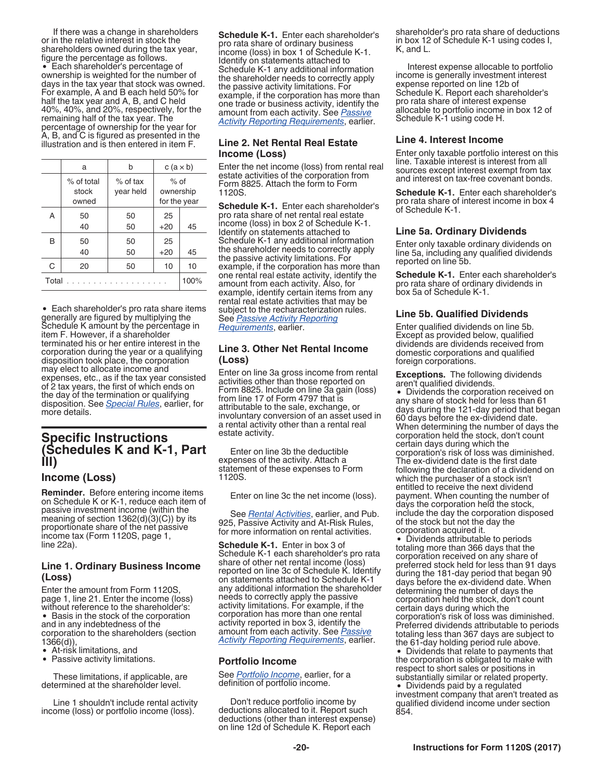<span id="page-19-0"></span>If there was a change in shareholders or in the relative interest in stock the shareholders owned during the tax year, figure the percentage as follows.

Each shareholder's percentage of ownership is weighted for the number of days in the tax year that stock was owned. For example, A and B each held 50% for half the tax year and A, B, and C held 40%, 40%, and 20%, respectively, for the remaining half of the tax year. The percentage of ownership for the year for A, B, and C is figured as presented in the illustration and is then entered in item F.

|       | a                            | b                       | $c (a \times b)$                    |      |
|-------|------------------------------|-------------------------|-------------------------------------|------|
|       | % of total<br>stock<br>owned | $%$ of tax<br>year held | $%$ of<br>ownership<br>for the year |      |
| А     | 50<br>40                     | 50<br>50                | 25<br>$+20$                         | 45   |
| B     | 50<br>40                     | 50<br>50                | 25<br>$+20$                         | 45   |
| С     | 20                           | 50                      | 10                                  | 10   |
| Total |                              |                         |                                     | 100% |

Each shareholder's pro rata share items generally are figured by multiplying the Schedule K amount by the percentage in item F. However, if a shareholder terminated his or her entire interest in the corporation during the year or a qualifying disposition took place, the corporation may elect to allocate income and expenses, etc., as if the tax year consisted of 2 tax years, the first of which ends on the day of the termination or qualifying disposition. See *[Special Rules](#page-17-0)*, earlier, for more details.

### **Specific Instructions (Schedules K and K-1, Part III)**

#### **Income (Loss)**

**Reminder.** Before entering income items on Schedule K or K-1, reduce each item of passive investment income (within the meaning of section 1362(d)(3)(C)) by its proportionate share of the net passive income tax (Form 1120S, page 1, line 22a).

#### **Line 1. Ordinary Business Income (Loss)**

Enter the amount from Form 1120S, page 1, line 21. Enter the income (loss) without reference to the shareholder's:

• Basis in the stock of the corporation and in any indebtedness of the corporation to the shareholders (section 1366(d)),

- At-risk limitations, and
- Passive activity limitations.

These limitations, if applicable, are determined at the shareholder level.

Line 1 shouldn't include rental activity income (loss) or portfolio income (loss).

**Schedule K-1.** Enter each shareholder's pro rata share of ordinary business income (loss) in box 1 of Schedule K-1. Identify on statements attached to Schedule K-1 any additional information the shareholder needs to correctly apply the passive activity limitations. For example, if the corporation has more than one trade or business activity, identify the amount from each activity. See *[Passive](#page-8-0) [Activity Reporting Requirements](#page-8-0)*, earlier.

#### **Line 2. Net Rental Real Estate Income (Loss)**

Enter the net income (loss) from rental real estate activities of the corporation from Form 8825. Attach the form to Form 1120S.

**Schedule K-1.** Enter each shareholder's pro rata share of net rental real estate income (loss) in box 2 of Schedule K-1. Identify on statements attached to Schedule K-1 any additional information the shareholder needs to correctly apply the passive activity limitations. For example, if the corporation has more than one rental real estate activity, identify the amount from each activity. Also, for example, identify certain items from any rental real estate activities that may be subject to the recharacterization rules. See *[Passive Activity Reporting](#page-8-0) [Requirements](#page-8-0)*, earlier.

#### **Line 3. Other Net Rental Income (Loss)**

Enter on line 3a gross income from rental activities other than those reported on Form 8825. Include on line 3a gain (loss) from line 17 of Form 4797 that is attributable to the sale, exchange, or involuntary conversion of an asset used in a rental activity other than a rental real estate activity.

Enter on line 3b the deductible expenses of the activity. Attach a statement of these expenses to Form 1120S.

Enter on line 3c the net income (loss).

See *[Rental Activities](#page-6-0)*, earlier, and Pub. 925, Passive Activity and At-Risk Rules. for more information on rental activities.

**Schedule K-1.** Enter in box 3 of Schedule K-1 each shareholder's pro rata share of other net rental income (loss) reported on line 3c of Schedule K. Identify on statements attached to Schedule K-1 any additional information the shareholder needs to correctly apply the passive activity limitations. For example, if the corporation has more than one rental activity reported in box 3, identify the amount from each activity. See *[Passive](#page-8-0) [Activity Reporting Requirements](#page-8-0)*, earlier.

#### **Portfolio Income**

See *[Portfolio Income](#page-7-0)*, earlier, for a definition of portfolio income.

Don't reduce portfolio income by deductions allocated to it. Report such deductions (other than interest expense) on line 12d of Schedule K. Report each

shareholder's pro rata share of deductions in box 12 of Schedule K-1 using codes I, K, and L.

Interest expense allocable to portfolio income is generally investment interest expense reported on line 12b of Schedule K. Report each shareholder's pro rata share of interest expense allocable to portfolio income in box 12 of Schedule K-1 using code H.

#### **Line 4. Interest Income**

Enter only taxable portfolio interest on this line. Taxable interest is interest from all sources except interest exempt from tax and interest on tax-free covenant bonds.

**Schedule K-1.** Enter each shareholder's pro rata share of interest income in box 4 of Schedule K-1.

#### **Line 5a. Ordinary Dividends**

Enter only taxable ordinary dividends on line 5a, including any qualified dividends reported on line 5b.

**Schedule K-1.** Enter each shareholder's pro rata share of ordinary dividends in box 5a of Schedule K-1.

#### **Line 5b. Qualified Dividends**

Enter qualified dividends on line 5b. Except as provided below, qualified dividends are dividends received from domestic corporations and qualified foreign corporations.

**Exceptions.** The following dividends aren't qualified dividends.

Dividends the corporation received on any share of stock held for less than 61 days during the 121-day period that began 60 days before the ex-dividend date. When determining the number of days the corporation held the stock, don't count certain days during which the corporation's risk of loss was diminished. The ex-dividend date is the first date following the declaration of a dividend on which the purchaser of a stock isn't entitled to receive the next dividend payment. When counting the number of days the corporation held the stock, include the day the corporation disposed of the stock but not the day the corporation acquired it.

Dividends attributable to periods totaling more than 366 days that the corporation received on any share of preferred stock held for less than 91 days during the 181-day period that began 90 days before the ex-dividend date. When determining the number of days the corporation held the stock, don't count certain days during which the corporation's risk of loss was diminished. Preferred dividends attributable to periods totaling less than 367 days are subject to the 61-day holding period rule above.

Dividends that relate to payments that the corporation is obligated to make with respect to short sales or positions in substantially similar or related property.

Dividends paid by a regulated investment company that aren't treated as qualified dividend income under section 854.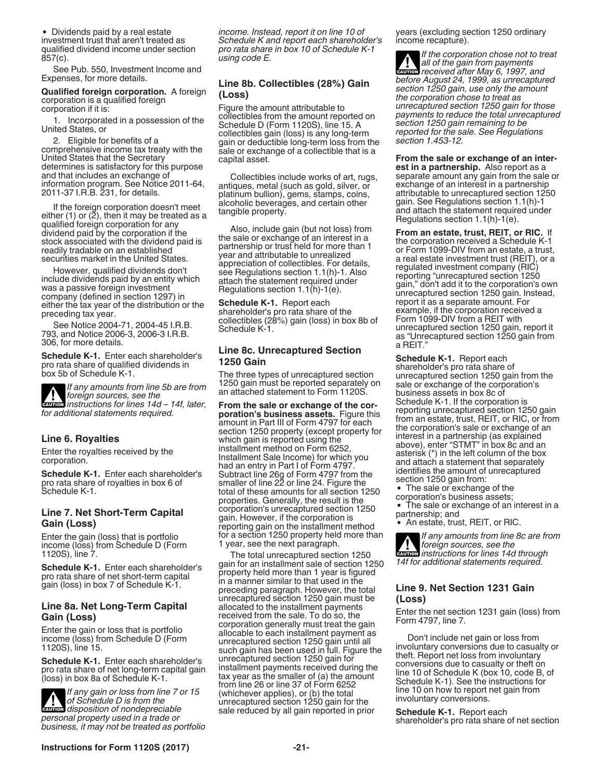<span id="page-20-0"></span>Dividends paid by a real estate investment trust that aren't treated as qualified dividend income under section 857(c).

See Pub. 550, Investment Income and Expenses, for more details.

**Qualified foreign corporation.** A foreign corporation is a qualified foreign corporation if it is:

1. Incorporated in a possession of the United States, or

2. Eligible for benefits of a comprehensive income tax treaty with the United States that the Secretary determines is satisfactory for this purpose and that includes an exchange of information program. See Notice 2011-64, 2011-37 I.R.B. 231, for details.

If the foreign corporation doesn't meet either (1) or (2), then it may be treated as a qualified foreign corporation for any dividend paid by the corporation if the stock associated with the dividend paid is readily tradable on an established securities market in the United States.

However, qualified dividends don't include dividends paid by an entity which was a passive foreign investment company (defined in section 1297) in either the tax year of the distribution or the preceding tax year.

See Notice 2004-71, 2004-45 I.R.B. 793, and Notice 2006-3, 2006-3 I.R.B. 306, for more details.

**Schedule K-1.** Enter each shareholder's pro rata share of qualified dividends in box 5b of Schedule K-1.



*If any amounts from line 5b are from foreign sources, see the foreign sources, see the*<br> **EAUTION** *instructions for lines 14d – 14f, later, for additional statements required.*

#### **Line 6. Royalties**

Enter the royalties received by the corporation.

**Schedule K-1.** Enter each shareholder's pro rata share of royalties in box 6 of Schedule K-1.

#### **Line 7. Net Short-Term Capital Gain (Loss)**

Enter the gain (loss) that is portfolio income (loss) from Schedule D (Form 1120S), line 7.

**Schedule K-1.** Enter each shareholder's pro rata share of net short-term capital gain (loss) in box 7 of Schedule K-1.

#### **Line 8a. Net Long-Term Capital Gain (Loss)**

Enter the gain or loss that is portfolio income (loss) from Schedule D (Form 1120S), line 15.

**Schedule K-1.** Enter each shareholder's pro rata share of net long-term capital gain (loss) in box 8a of Schedule K-1.

*If any gain or loss from line 7 or 15 of Schedule D is from the*  of Schedule D is from the<br> **CAUTION** disposition of nondepreciable *personal property used in a trade or business, it may not be treated as portfolio* 

*income. Instead, report it on line 10 of Schedule K and report each shareholder's pro rata share in box 10 of Schedule K-1 using code E.*

#### **Line 8b. Collectibles (28%) Gain (Loss)**

Figure the amount attributable to collectibles from the amount reported on Schedule D (Form 1120S), line 15. A collectibles gain (loss) is any long-term gain or deductible long-term loss from the sale or exchange of a collectible that is a capital asset.

Collectibles include works of art, rugs, antiques, metal (such as gold, silver, or platinum bullion), gems, stamps, coins, alcoholic beverages, and certain other tangible property.

Also, include gain (but not loss) from the sale or exchange of an interest in a partnership or trust held for more than 1 year and attributable to unrealized appreciation of collectibles. For details, see Regulations section 1.1(h)-1. Also attach the statement required under Regulations section 1.1(h)-1(e).

**Schedule K-1.** Report each shareholder's pro rata share of the collectibles (28%) gain (loss) in box 8b of Schedule K-1.

#### **Line 8c. Unrecaptured Section 1250 Gain**

The three types of unrecaptured section 1250 gain must be reported separately on an attached statement to Form 1120S.

**From the sale or exchange of the corporation's business assets.** Figure this amount in Part III of Form 4797 for each section 1250 property (except property for which gain is reported using the installment method on Form 6252, Installment Sale Income) for which you had an entry in Part I of Form 4797. Subtract line 26g of Form 4797 from the smaller of line 22 or line 24. Figure the total of these amounts for all section 1250 properties. Generally, the result is the corporation's unrecaptured section 1250 gain. However, if the corporation is reporting gain on the installment method for a section 1250 property held more than 1 year, see the next paragraph.

The total unrecaptured section 1250 gain for an installment sale of section 1250 property held more than 1 year is figured in a manner similar to that used in the preceding paragraph. However, the total unrecaptured section 1250 gain must be allocated to the installment payments received from the sale. To do so, the corporation generally must treat the gain allocable to each installment payment as unrecaptured section 1250 gain until all such gain has been used in full. Figure the unrecaptured section 1250 gain for installment payments received during the tax year as the smaller of (a) the amount from line 26 or line 37 of Form 6252 (whichever applies), or (b) the total unrecaptured section 1250 gain for the sale reduced by all gain reported in prior

years (excluding section 1250 ordinary income recapture).

*If the corporation chose not to treat all of the gain from payments*  **z**<br>*cauton* received after May 6, 1997, and *before August 24, 1999, as unrecaptured section 1250 gain, use only the amount the corporation chose to treat as unrecaptured section 1250 gain for those payments to reduce the total unrecaptured section 1250 gain remaining to be reported for the sale. See Regulations section 1.453-12.*

**From the sale or exchange of an interest in a partnership.** Also report as a separate amount any gain from the sale or exchange of an interest in a partnership attributable to unrecaptured section 1250 gain. See Regulations section 1.1(h)-1 and attach the statement required under Regulations section 1.1(h)-1(e).

**From an estate, trust, REIT, or RIC.** If the corporation received a Schedule K-1 or Form 1099-DIV from an estate, a trust, a real estate investment trust (REIT), or a regulated investment company (RIC) reporting "unrecaptured section 1250 gain," don't add it to the corporation's own unrecaptured section 1250 gain. Instead, report it as a separate amount. For example, if the corporation received a Form 1099-DIV from a REIT with unrecaptured section 1250 gain, report it as "Unrecaptured section 1250 gain from a REIT."

**Schedule K-1.** Report each shareholder's pro rata share of unrecaptured section 1250 gain from the sale or exchange of the corporation's business assets in box 8c of Schedule K-1. If the corporation is reporting unrecaptured section 1250 gain from an estate, trust, REIT, or RIC, or from the corporation's sale or exchange of an interest in a partnership (as explained above), enter "STMT" in box 8c and an asterisk (\*) in the left column of the box and attach a statement that separately identifies the amount of unrecaptured section 1250 gain from:

The sale or exchange of the

corporation's business assets; The sale or exchange of an interest in a partnership; and

An estate, trust, REIT, or RIC.

*If any amounts from line 8c are from foreign sources, see the foreign sources, see the*<br> **CAUTION** *instructions for lines 14d through 14f for additional statements required.*

#### **Line 9. Net Section 1231 Gain (Loss)**

Enter the net section 1231 gain (loss) from Form 4797, line 7.

Don't include net gain or loss from involuntary conversions due to casualty or theft. Report net loss from involuntary conversions due to casualty or theft on line 10 of Schedule K (box 10, code B, of Schedule K-1). See the instructions for line 10 on how to report net gain from involuntary conversions.

**Schedule K-1.** Report each shareholder's pro rata share of net section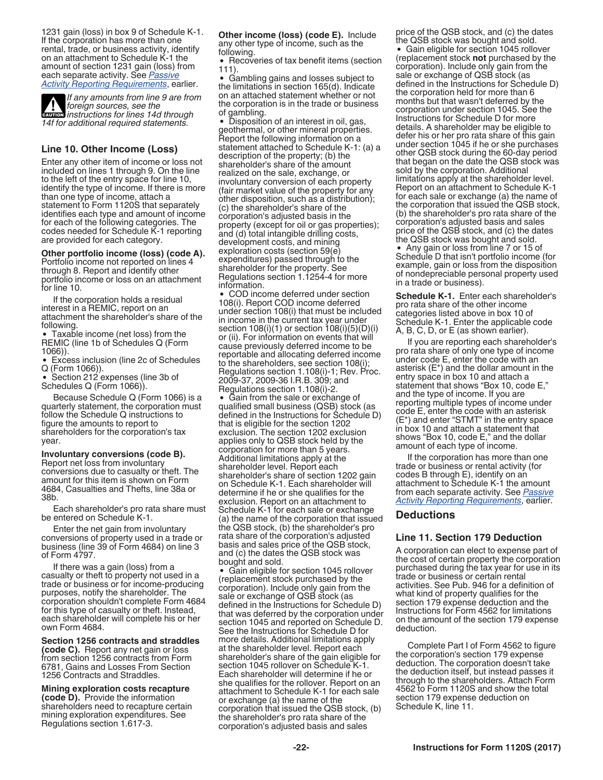<span id="page-21-0"></span>1231 gain (loss) in box 9 of Schedule K-1. If the corporation has more than one rental, trade, or business activity, identify on an attachment to Schedule K-1 the amount of section 1231 gain (loss) from each separate activity. See *[Passive](#page-8-0) [Activity Reporting Requirements](#page-8-0)*, earlier.



*If any amounts from line 9 are from foreign sources, see the foreign sources, see the*<br> **CAUTION** *instructions for lines 14d through 14f for additional required statements.*

#### **Line 10. Other Income (Loss)**

Enter any other item of income or loss not included on lines 1 through 9. On the line to the left of the entry space for line 10, identify the type of income. If there is more than one type of income, attach a statement to Form 1120S that separately identifies each type and amount of income for each of the following categories. The codes needed for Schedule K-1 reporting are provided for each category.

#### **Other portfolio income (loss) (code A).**

Portfolio income not reported on lines 4 through 8. Report and identify other portfolio income or loss on an attachment for line 10.

If the corporation holds a residual interest in a REMIC, report on an attachment the shareholder's share of the following.

Taxable income (net loss) from the REMIC (line 1b of Schedules Q (Form 1066)).

Excess inclusion (line 2c of Schedules Q (Form 1066)).

• Section 212 expenses (line 3b of Schedules Q (Form 1066)).

Because Schedule Q (Form 1066) is a quarterly statement, the corporation must follow the Schedule Q instructions to figure the amounts to report to shareholders for the corporation's tax year.

#### **Involuntary conversions (code B).**  Report net loss from involuntary conversions due to casualty or theft. The amount for this item is shown on Form 4684, Casualties and Thefts, line 38a or 38b.

Each shareholder's pro rata share must be entered on Schedule K-1.

Enter the net gain from involuntary conversions of property used in a trade or business (line 39 of Form 4684) on line 3 of Form 4797.

If there was a gain (loss) from a casualty or theft to property not used in a trade or business or for income-producing purposes, notify the shareholder. The corporation shouldn't complete Form 4684 for this type of casualty or theft. Instead, each shareholder will complete his or her own Form 4684.

**Section 1256 contracts and straddles (code C).** Report any net gain or loss from section 1256 contracts from Form 6781, Gains and Losses From Section 1256 Contracts and Straddles.

**Mining exploration costs recapture (code D).** Provide the information shareholders need to recapture certain mining exploration expenditures. See Regulations section 1.617-3.

**Other income (loss) (code E).** Include any other type of income, such as the following.

• Recoveries of tax benefit items (section 111).

Gambling gains and losses subject to the limitations in section 165(d). Indicate on an attached statement whether or not the corporation is in the trade or business of gambling.

• Disposition of an interest in oil, gas, geothermal, or other mineral properties. Report the following information on a statement attached to Schedule K-1: (a) a description of the property; (b) the shareholder's share of the amount realized on the sale, exchange, or involuntary conversion of each property (fair market value of the property for any other disposition, such as a distribution); (c) the shareholder's share of the corporation's adjusted basis in the property (except for oil or gas properties); and (d) total intangible drilling costs, development costs, and mining exploration costs (section 59(e) expenditures) passed through to the shareholder for the property. See Regulations section 1.1254-4 for more information.

COD income deferred under section 108(i). Report COD income deferred under section 108(i) that must be included in income in the current tax year under section 108(i)(1) or section 108(i)(5)(D)(i) or (ii). For information on events that will cause previously deferred income to be reportable and allocating deferred income to the shareholders, see section 108(i); Regulations section 1.108(i)-1; Rev. Proc. 2009-37, 2009-36 I.R.B. 309; and Regulations section 1.108(i)-2.

Gain from the sale or exchange of qualified small business (QSB) stock (as defined in the Instructions for Schedule D) that is eligible for the section 1202 exclusion. The section 1202 exclusion applies only to QSB stock held by the corporation for more than 5 years. Additional limitations apply at the shareholder level. Report each shareholder's share of section 1202 gain on Schedule K-1. Each shareholder will determine if he or she qualifies for the exclusion. Report on an attachment to Schedule K-1 for each sale or exchange (a) the name of the corporation that issued the QSB stock, (b) the shareholder's pro rata share of the corporation's adjusted basis and sales price of the QSB stock, and (c) the dates the QSB stock was bought and sold.

Gain eligible for section 1045 rollover (replacement stock purchased by the corporation). Include only gain from the sale or exchange of QSB stock (as defined in the Instructions for Schedule D) that was deferred by the corporation under section 1045 and reported on Schedule D. See the Instructions for Schedule D for more details. Additional limitations apply at the shareholder level. Report each shareholder's share of the gain eligible for section 1045 rollover on Schedule K-1. Each shareholder will determine if he or she qualifies for the rollover. Report on an attachment to Schedule K-1 for each sale or exchange (a) the name of the corporation that issued the QSB stock, (b) the shareholder's pro rata share of the corporation's adjusted basis and sales

price of the QSB stock, and (c) the dates the QSB stock was bought and sold.

Gain eligible for section 1045 rollover (replacement stock **not** purchased by the corporation). Include only gain from the sale or exchange of QSB stock (as defined in the Instructions for Schedule D) the corporation held for more than 6 months but that wasn't deferred by the corporation under section 1045. See the Instructions for Schedule D for more details. A shareholder may be eligible to defer his or her pro rata share of this gain under section 1045 if he or she purchases other QSB stock during the 60-day period that began on the date the QSB stock was sold by the corporation. Additional limitations apply at the shareholder level. Report on an attachment to Schedule K-1 for each sale or exchange (a) the name of the corporation that issued the QSB stock, (b) the shareholder's pro rata share of the corporation's adjusted basis and sales price of the QSB stock, and (c) the dates the QSB stock was bought and sold. Any gain or loss from line 7 or 15 of

Schedule D that isn't portfolio income (for example, gain or loss from the disposition of nondepreciable personal property used in a trade or business).

**Schedule K-1.** Enter each shareholder's pro rata share of the other income categories listed above in box 10 of Schedule K-1. Enter the applicable code A, B, C, D, or E (as shown earlier).

If you are reporting each shareholder's pro rata share of only one type of income under code E, enter the code with an asterisk (E\*) and the dollar amount in the entry space in box 10 and attach a statement that shows "Box 10, code E," and the type of income. If you are reporting multiple types of income under code E, enter the code with an asterisk (E\*) and enter "STMT" in the entry space in box 10 and attach a statement that shows "Box 10, code E," and the dollar amount of each type of income.

If the corporation has more than one trade or business or rental activity (for codes B through E), identify on an attachment to Schedule K-1 the amount from each separate activity. See *[Passive](#page-8-0) [Activity Reporting Requirements](#page-8-0)*, earlier.

#### **Deductions**

#### **Line 11. Section 179 Deduction**

A corporation can elect to expense part of the cost of certain property the corporation purchased during the tax year for use in its trade or business or certain rental activities. See Pub. 946 for a definition of what kind of property qualifies for the section 179 expense deduction and the Instructions for Form 4562 for limitations on the amount of the section 179 expense deduction.

Complete Part I of Form 4562 to figure the corporation's section 179 expense deduction. The corporation doesn't take the deduction itself, but instead passes it through to the shareholders. Attach Form 4562 to Form 1120S and show the total section 179 expense deduction on Schedule K, line 11.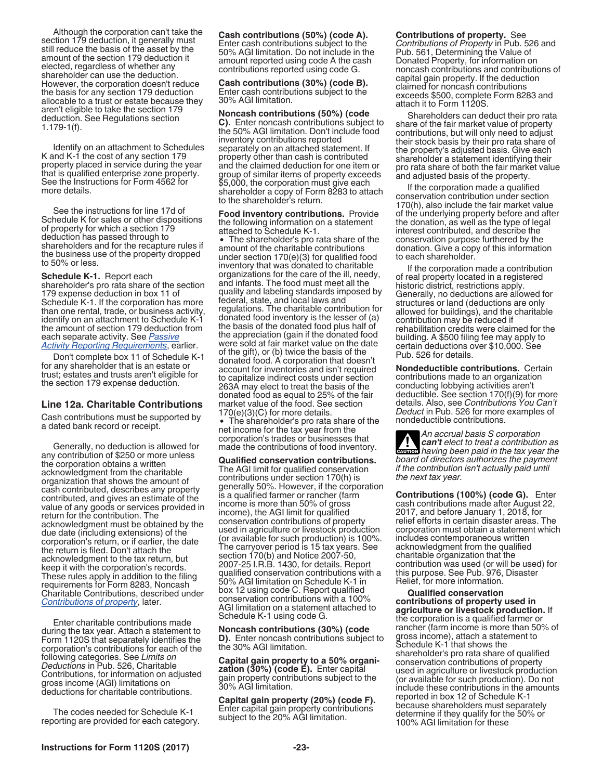<span id="page-22-0"></span>Although the corporation can't take the section 179 deduction, it generally must still reduce the basis of the asset by the amount of the section 179 deduction it elected, regardless of whether any shareholder can use the deduction. However, the corporation doesn't reduce the basis for any section 179 deduction allocable to a trust or estate because they aren't eligible to take the section 179 deduction. See Regulations section 1.179-1(f).

Identify on an attachment to Schedules K and K-1 the cost of any section 179 property placed in service during the year that is qualified enterprise zone property. See the Instructions for Form 4562 for more details.

See the instructions for line 17d of Schedule K for sales or other dispositions of property for which a section 179 deduction has passed through to shareholders and for the recapture rules if the business use of the property dropped to 50% or less.

**Schedule K-1.** Report each shareholder's pro rata share of the section 179 expense deduction in box 11 of Schedule K-1. If the corporation has more than one rental, trade, or business activity, identify on an attachment to Schedule K-1 the amount of section 179 deduction from each separate activity. See *[Passive](#page-8-0) [Activity Reporting Requirements](#page-8-0)*, earlier.

Don't complete box 11 of Schedule K-1 for any shareholder that is an estate or trust; estates and trusts aren't eligible for the section 179 expense deduction.

#### **Line 12a. Charitable Contributions**

Cash contributions must be supported by a dated bank record or receipt.

Generally, no deduction is allowed for any contribution of \$250 or more unless the corporation obtains a written acknowledgment from the charitable organization that shows the amount of cash contributed, describes any property contributed, and gives an estimate of the value of any goods or services provided in return for the contribution. The acknowledgment must be obtained by the due date (including extensions) of the corporation's return, or if earlier, the date the return is filed. Don't attach the acknowledgment to the tax return, but keep it with the corporation's records. These rules apply in addition to the filing requirements for Form 8283, Noncash Charitable Contributions, described under *Contributions of property*, later.

Enter charitable contributions made during the tax year. Attach a statement to Form 1120S that separately identifies the corporation's contributions for each of the following categories. See *Limits on Deductions* in Pub. 526, Charitable Contributions, for information on adjusted gross income (AGI) limitations on deductions for charitable contributions.

The codes needed for Schedule K-1 reporting are provided for each category. **Cash contributions (50%) (code A).**  Enter cash contributions subject to the 50% AGI limitation. Do not include in the amount reported using code A the cash contributions reported using code G.

**Cash contributions (30%) (code B).**  Enter cash contributions subject to the 30% AGI limitation.

**Noncash contributions (50%) (code C).** Enter noncash contributions subject to the 50% AGI limitation. Don't include food inventory contributions reported separately on an attached statement. If property other than cash is contributed and the claimed deduction for one item or group of similar items of property exceeds \$5,000, the corporation must give each shareholder a copy of Form 8283 to attach to the shareholder's return.

**Food inventory contributions.** Provide the following information on a statement attached to Schedule K-1.

The shareholder's pro rata share of the amount of the charitable contributions under section 170(e)(3) for qualified food inventory that was donated to charitable organizations for the care of the ill, needy, and infants. The food must meet all the quality and labeling standards imposed by federal, state, and local laws and regulations. The charitable contribution for donated food inventory is the lesser of (a) the basis of the donated food plus half of the appreciation (gain if the donated food were sold at fair market value on the date of the gift), or (b) twice the basis of the donated food. A corporation that doesn't account for inventories and isn't required to capitalize indirect costs under section 263A may elect to treat the basis of the donated food as equal to 25% of the fair market value of the food. See section 170(e)(3)(C) for more details.

• The shareholder's pro rata share of the net income for the tax year from the corporation's trades or businesses that made the contributions of food inventory.

**Qualified conservation contributions.**  The AGI limit for qualified conservation contributions under section 170(h) is generally 50%. However, if the corporation is a qualified farmer or rancher (farm income is more than 50% of gross income), the AGI limit for qualified conservation contributions of property used in agriculture or livestock production (or available for such production) is 100%. The carryover period is 15 tax years. See section 170(b) and Notice 2007-50, 2007-25 I.R.B. 1430, for details. Report qualified conservation contributions with a 50% AGI limitation on Schedule K-1 in box 12 using code C. Report qualified conservation contributions with a 100% AGI limitation on a statement attached to Schedule K-1 using code G.

**Noncash contributions (30%) (code D).** Enter noncash contributions subject to the 30% AGI limitation.

**Capital gain property to a 50% organization (30%) (code E).** Enter capital gain property contributions subject to the 30% AGI limitation.

**Capital gain property (20%) (code F).**  Enter capital gain property contributions subject to the 20% AGI limitation.

**Contributions of property.** See *Contributions of Property* in Pub. 526 and Pub. 561, Determining the Value of Donated Property, for information on noncash contributions and contributions of capital gain property. If the deduction claimed for noncash contributions exceeds \$500, complete Form 8283 and attach it to Form 1120S.

Shareholders can deduct their pro rata share of the fair market value of property contributions, but will only need to adjust their stock basis by their pro rata share of the property's adjusted basis. Give each shareholder a statement identifying their pro rata share of both the fair market value and adjusted basis of the property.

If the corporation made a qualified conservation contribution under section 170(h), also include the fair market value of the underlying property before and after the donation, as well as the type of legal interest contributed, and describe the conservation purpose furthered by the donation. Give a copy of this information to each shareholder.

If the corporation made a contribution of real property located in a registered historic district, restrictions apply. Generally, no deductions are allowed for structures or land (deductions are only allowed for buildings), and the charitable contribution may be reduced if rehabilitation credits were claimed for the building. A \$500 filing fee may apply to certain deductions over \$10,000. See Pub. 526 for details.

**Nondeductible contributions.** Certain contributions made to an organization conducting lobbying activities aren't deductible. See section 170(f)(9) for more details. Also, see *Contributions You Can't Deduct* in Pub. 526 for more examples of nondeductible contributions.

*An accrual basis S corporation can't elect to treat a contribution as can't elect to treat a contribution as*<br>*extrem having been paid in the tax year the board of directors authorizes the payment if the contribution isn't actually paid until the next tax year.*

**Contributions (100%) (code G).** Enter cash contributions made after August 22, 2017, and before January 1, 2018, for relief efforts in certain disaster areas. The corporation must obtain a statement which includes contemporaneous written acknowledgment from the qualified charitable organization that the contribution was used (or will be used) for this purpose. See Pub. 976, Disaster Relief, for more information.

**Qualified conservation contributions of property used in agriculture or livestock production.** If the corporation is a qualified farmer or rancher (farm income is more than 50% of gross income), attach a statement to Schedule K-1 that shows the shareholder's pro rata share of qualified conservation contributions of property used in agriculture or livestock production (or available for such production). Do not include these contributions in the amounts reported in box 12 of Schedule K-1 because shareholders must separately determine if they qualify for the 50% or 100% AGI limitation for these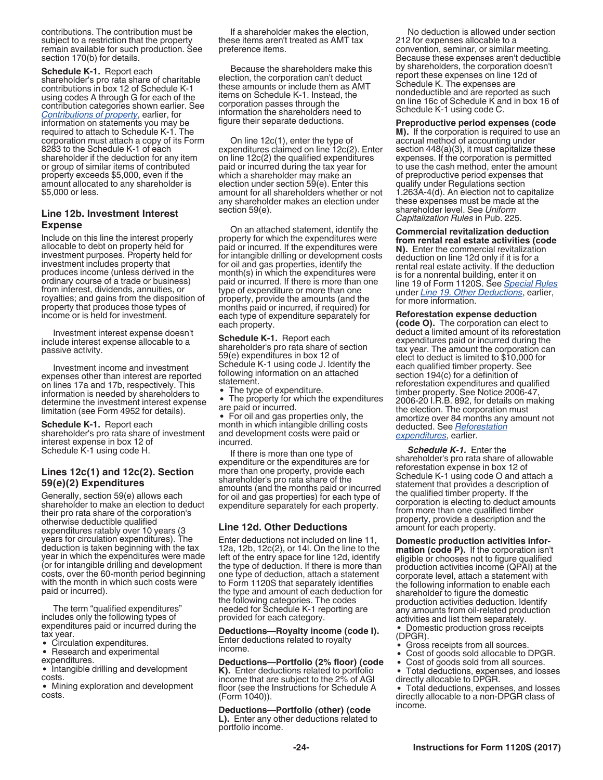<span id="page-23-0"></span>contributions. The contribution must be subject to a restriction that the property remain available for such production. See section 170(b) for details.

**Schedule K-1.** Report each shareholder's pro rata share of charitable contributions in box 12 of Schedule K-1 using codes A through G for each of the contribution categories shown earlier. See *[Contributions of property](#page-22-0)*, earlier, for information on statements you may be required to attach to Schedule K-1. The corporation must attach a copy of its Form 8283 to the Schedule K-1 of each shareholder if the deduction for any item or group of similar items of contributed property exceeds \$5,000, even if the amount allocated to any shareholder is \$5,000 or less.

#### **Line 12b. Investment Interest Expense**

Include on this line the interest properly allocable to debt on property held for investment purposes. Property held for investment includes property that produces income (unless derived in the ordinary course of a trade or business) from interest, dividends, annuities, or royalties; and gains from the disposition of property that produces those types of income or is held for investment.

Investment interest expense doesn't include interest expense allocable to a passive activity.

Investment income and investment expenses other than interest are reported on lines 17a and 17b, respectively. This information is needed by shareholders to determine the investment interest expense limitation (see Form 4952 for details).

**Schedule K-1.** Report each shareholder's pro rata share of investment interest expense in box 12 of Schedule K-1 using code H.

#### **Lines 12c(1) and 12c(2). Section 59(e)(2) Expenditures**

Generally, section 59(e) allows each shareholder to make an election to deduct their pro rata share of the corporation's otherwise deductible qualified expenditures ratably over 10 years (3 years for circulation expenditures). The deduction is taken beginning with the tax year in which the expenditures were made (or for intangible drilling and development costs, over the 60-month period beginning with the month in which such costs were paid or incurred).

The term "qualified expenditures" includes only the following types of expenditures paid or incurred during the tax year.

Circulation expenditures.

• Research and experimental expenditures.

• Intangible drilling and development costs.

• Mining exploration and development costs.

If a shareholder makes the election, these items aren't treated as AMT tax preference items.

Because the shareholders make this election, the corporation can't deduct these amounts or include them as AMT items on Schedule K-1. Instead, the corporation passes through the information the shareholders need to figure their separate deductions.

On line 12c(1), enter the type of expenditures claimed on line 12c(2). Enter on line 12c(2) the qualified expenditures paid or incurred during the tax year for which a shareholder may make an election under section 59(e). Enter this amount for all shareholders whether or not any shareholder makes an election under section 59(e).

On an attached statement, identify the property for which the expenditures were paid or incurred. If the expenditures were for intangible drilling or development costs for oil and gas properties, identify the month(s) in which the expenditures were paid or incurred. If there is more than one type of expenditure or more than one property, provide the amounts (and the months paid or incurred, if required) for each type of expenditure separately for each property.

**Schedule K-1.** Report each shareholder's pro rata share of section 59(e) expenditures in box 12 of Schedule K-1 using code J. Identify the following information on an attached statement.

The type of expenditure.

The property for which the expenditures are paid or incurred.

For oil and gas properties only, the month in which intangible drilling costs and development costs were paid or incurred.

If there is more than one type of expenditure or the expenditures are for more than one property, provide each shareholder's pro rata share of the amounts (and the months paid or incurred for oil and gas properties) for each type of expenditure separately for each property.

#### **Line 12d. Other Deductions**

Enter deductions not included on line 11, 12a, 12b, 12c(2), or 14l. On the line to the left of the entry space for line 12d, identify the type of deduction. If there is more than one type of deduction, attach a statement to Form 1120S that separately identifies the type and amount of each deduction for the following categories. The codes needed for Schedule K-1 reporting are provided for each category.

**Deductions—Royalty income (code I).**  Enter deductions related to royalty income.

**Deductions—Portfolio (2% floor) (code K).** Enter deductions related to portfolio income that are subject to the 2% of AGI floor (see the Instructions for Schedule A (Form 1040)).

**Deductions—Portfolio (other) (code L).** Enter any other deductions related to portfolio income.

No deduction is allowed under section 212 for expenses allocable to a convention, seminar, or similar meeting. Because these expenses aren't deductible by shareholders, the corporation doesn't report these expenses on line 12d of Schedule K. The expenses are nondeductible and are reported as such on line 16c of Schedule K and in box 16 of Schedule K-1 using code C.

**Preproductive period expenses (code M).** If the corporation is required to use an accrual method of accounting under section 448(a)(3), it must capitalize these expenses. If the corporation is permitted to use the cash method, enter the amount of preproductive period expenses that qualify under Regulations section 1.263A-4(d). An election not to capitalize these expenses must be made at the shareholder level. See *Uniform Capitalization Rules* in Pub. 225.

**Commercial revitalization deduction from rental real estate activities (code N).** Enter the commercial revitalization deduction on line 12d only if it is for a rental real estate activity. If the deduction is for a nonrental building, enter it on line 19 of Form 1120S. See *[Special Rules](#page-14-0)*  under *[Line 19. Other Deductions](#page-14-0)*, earlier, for more information.

**Reforestation expense deduction (code O).** The corporation can elect to deduct a limited amount of its reforestation expenditures paid or incurred during the tax year. The amount the corporation can elect to deduct is limited to \$10,000 for each qualified timber property. See section 194(c) for a definition of reforestation expenditures and qualified timber property. See Notice 2006-47, 2006-20 I.R.B. 892, for details on making the election. The corporation must amortize over 84 months any amount not deducted. See *[Reforestation](#page-15-0) [expenditures](#page-15-0)*, earlier.

**Schedule K-1.** Enter the shareholder's pro rata share of allowable reforestation expense in box 12 of Schedule K-1 using code O and attach a statement that provides a description of the qualified timber property. If the corporation is electing to deduct amounts from more than one qualified timber property, provide a description and the amount for each property.

**Domestic production activities information (code P).** If the corporation isn't eligible or chooses not to figure qualified production activities income (QPAI) at the corporate level, attach a statement with the following information to enable each shareholder to figure the domestic production activities deduction. Identify any amounts from oil-related production activities and list them separately.

- Domestic production gross receipts (DPGR).
- Gross receipts from all sources.
- Cost of goods sold allocable to DPGR.  $\bullet$
- Cost of goods sold from all sources. Total deductions, expenses, and losses
- directly allocable to DPGR.

Total deductions, expenses, and losses directly allocable to a non-DPGR class of income.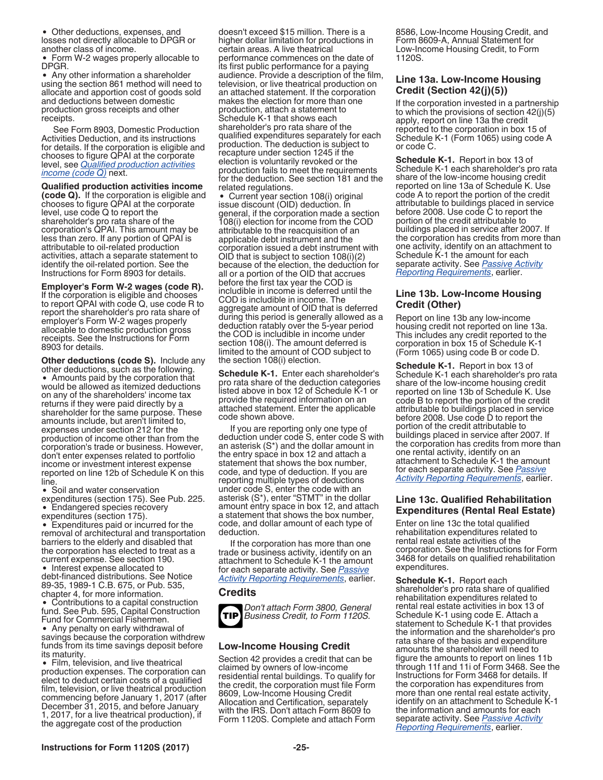<span id="page-24-0"></span>Other deductions, expenses, and losses not directly allocable to DPGR or another class of income.

Form W-2 wages properly allocable to DPGR.

• Any other information a shareholder using the section 861 method will need to allocate and apportion cost of goods sold and deductions between domestic production gross receipts and other receipts.

See Form 8903, Domestic Production Activities Deduction, and its instructions for details. If the corporation is eligible and chooses to figure QPAI at the corporate level, see *Qualified production activities income (code Q)* next.

**Qualified production activities income (code Q).** If the corporation is eligible and chooses to figure QPAI at the corporate level, use code Q to report the shareholder's pro rata share of the corporation's QPAI. This amount may be less than zero. If any portion of QPAI is attributable to oil-related production activities, attach a separate statement to identify the oil-related portion. See the Instructions for Form 8903 for details.

**Employer's Form W-2 wages (code R).**  If the corporation is eligible and chooses to report QPAI with code Q, use code R to report the shareholder's pro rata share of employer's Form W-2 wages properly allocable to domestic production gross receipts. See the Instructions for Form 8903 for details.

**Other deductions (code S).** Include any other deductions, such as the following.

Amounts paid by the corporation that would be allowed as itemized deductions on any of the shareholders' income tax returns if they were paid directly by a shareholder for the same purpose. These amounts include, but aren't limited to, expenses under section 212 for the production of income other than from the corporation's trade or business. However, don't enter expenses related to portfolio income or investment interest expense reported on line 12b of Schedule K on this line.

• Soil and water conservation

expenditures (section 175). See Pub. 225. Endangered species recovery

expenditures (section 175).

Expenditures paid or incurred for the removal of architectural and transportation barriers to the elderly and disabled that the corporation has elected to treat as a current expense. See section 190.

• Interest expense allocated to debt-financed distributions. See Notice 89-35, 1989-1 C.B. 675, or Pub. 535, chapter 4, for more information.

Contributions to a capital construction fund. See Pub. 595, Capital Construction Fund for Commercial Fishermen.

Any penalty on early withdrawal of savings because the corporation withdrew funds from its time savings deposit before its maturity.

• Film, television, and live theatrical production expenses. The corporation can elect to deduct certain costs of a qualified film, television, or live theatrical production commencing before January 1, 2017 (after December 31, 2015, and before January 1, 2017, for a live theatrical production), if the aggregate cost of the production

doesn't exceed \$15 million. There is a higher dollar limitation for productions in certain areas. A live theatrical performance commences on the date of its first public performance for a paying audience. Provide a description of the film, television, or live theatrical production on an attached statement. If the corporation makes the election for more than one production, attach a statement to Schedule K-1 that shows each shareholder's pro rata share of the qualified expenditures separately for each production. The deduction is subject to recapture under section 1245 if the election is voluntarily revoked or the production fails to meet the requirements for the deduction. See section 181 and the related regulations.

Current year section 108(i) original issue discount (OID) deduction. In general, if the corporation made a section 108(i) election for income from the COD attributable to the reacquisition of an applicable debt instrument and the corporation issued a debt instrument with OID that is subject to section 108(i)(2) because of the election, the deduction for all or a portion of the OID that accrues before the first tax year the COD is includible in income is deferred until the COD is includible in income. The aggregate amount of OID that is deferred during this period is generally allowed as a deduction ratably over the 5-year period the COD is includible in income under section 108(i). The amount deferred is limited to the amount of COD subject to the section 108(i) election.

**Schedule K-1.** Enter each shareholder's pro rata share of the deduction categories listed above in box 12 of Schedule K-1 or provide the required information on an attached statement. Enter the applicable code shown above.

If you are reporting only one type of deduction under code S, enter code S with an asterisk (S\*) and the dollar amount in the entry space in box 12 and attach a statement that shows the box number, code, and type of deduction. If you are reporting multiple types of deductions under code S, enter the code with an asterisk (S\*), enter "STMT" in the dollar amount entry space in box 12, and attach a statement that shows the box number, code, and dollar amount of each type of deduction.

If the corporation has more than one trade or business activity, identify on an attachment to Schedule K-1 the amount for each separate activity. See *[Passive](#page-8-0)  [Activity Reporting Requirements](#page-8-0)*, earlier.

#### **Credits**



## **Low-Income Housing Credit**

Section 42 provides a credit that can be claimed by owners of low-income residential rental buildings. To qualify for the credit, the corporation must file Form 8609, Low-Income Housing Credit Allocation and Certification, separately with the IRS. Don't attach Form 8609 to Form 1120S. Complete and attach Form 8586, Low-Income Housing Credit, and Form 8609-A, Annual Statement for Low-Income Housing Credit, to Form 1120S.

#### **Line 13a. Low-Income Housing Credit (Section 42(j)(5))**

If the corporation invested in a partnership to which the provisions of section 42(j)(5) apply, report on line 13a the credit reported to the corporation in box 15 of Schedule K-1 (Form 1065) using code A or code C.

**Schedule K-1.** Report in box 13 of Schedule K-1 each shareholder's pro rata share of the low-income housing credit reported on line 13a of Schedule K. Use code A to report the portion of the credit attributable to buildings placed in service before 2008. Use code C to report the portion of the credit attributable to buildings placed in service after 2007. If the corporation has credits from more than one activity, identify on an attachment to Schedule K-1 the amount for each separate activity. See *[Passive Activity](#page-8-0) [Reporting Requirements](#page-8-0)*, earlier.

#### **Line 13b. Low-Income Housing Credit (Other)**

Report on line 13b any low-income housing credit not reported on line 13a. This includes any credit reported to the corporation in box 15 of Schedule K-1 (Form 1065) using code B or code D.

**Schedule K-1.** Report in box 13 of Schedule K-1 each shareholder's pro rata share of the low-income housing credit reported on line 13b of Schedule K. Use code B to report the portion of the credit attributable to buildings placed in service before 2008. Use code D to report the portion of the credit attributable to buildings placed in service after 2007. If the corporation has credits from more than one rental activity, identify on an attachment to Schedule K-1 the amount for each separate activity. See *[Passive](#page-8-0)  [Activity Reporting Requirements](#page-8-0)*, earlier.

#### **Line 13c. Qualified Rehabilitation Expenditures (Rental Real Estate)**

Enter on line 13c the total qualified rehabilitation expenditures related to rental real estate activities of the corporation. See the Instructions for Form 3468 for details on qualified rehabilitation expenditures.

**Schedule K-1.** Report each shareholder's pro rata share of qualified rehabilitation expenditures related to rental real estate activities in box 13 of Schedule K-1 using code E. Attach a statement to Schedule K-1 that provides the information and the shareholder's pro rata share of the basis and expenditure amounts the shareholder will need to figure the amounts to report on lines 11b through 11f and 11i of Form 3468. See the Instructions for Form 3468 for details. If the corporation has expenditures from more than one rental real estate activity, identify on an attachment to Schedule K-1 the information and amounts for each separate activity. See *[Passive Activity](#page-8-0) [Reporting Requirements](#page-8-0)*, earlier.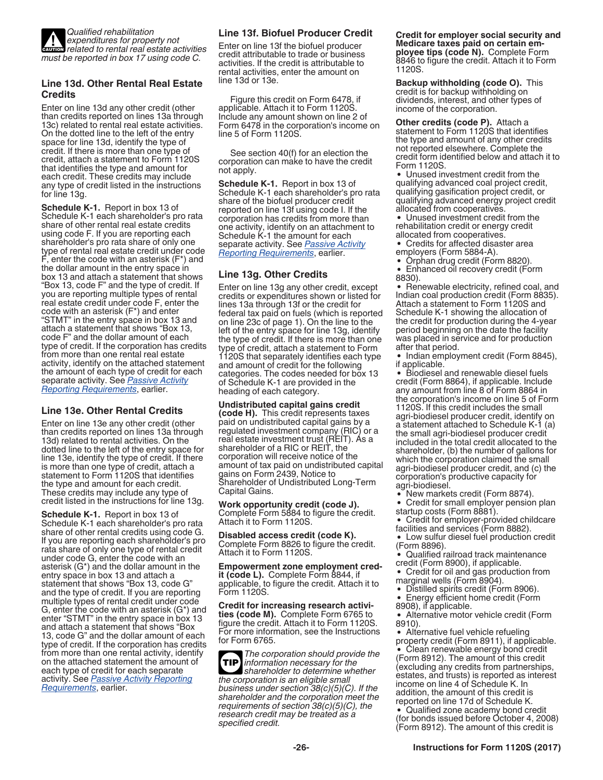

*Qualified rehabilitation expenditures for property not*  **Property and** *expenditures for property not***<br>
<b>CAUTION** related to rental real estate activities *must be reported in box 17 using code C.*

#### **Line 13d. Other Rental Real Estate Credits**

Enter on line 13d any other credit (other than credits reported on lines 13a through 13c) related to rental real estate activities. On the dotted line to the left of the entry space for line 13d, identify the type of credit. If there is more than one type of credit, attach a statement to Form 1120S that identifies the type and amount for each credit. These credits may include any type of credit listed in the instructions for line 13g.

**Schedule K-1.** Report in box 13 of Schedule K-1 each shareholder's pro rata share of other rental real estate credits using code F. If you are reporting each shareholder's pro rata share of only one type of rental real estate credit under code F, enter the code with an asterisk (F\*) and the dollar amount in the entry space in box 13 and attach a statement that shows "Box 13, code F" and the type of credit. If you are reporting multiple types of rental real estate credit under code F, enter the code with an asterisk (F\*) and enter "STMT" in the entry space in box 13 and attach a statement that shows "Box 13, code F" and the dollar amount of each type of credit. If the corporation has credits from more than one rental real estate activity, identify on the attached statement the amount of each type of credit for each separate activity. See *[Passive Activity](#page-8-0) [Reporting Requirements](#page-8-0)*, earlier.

#### **Line 13e. Other Rental Credits**

Enter on line 13e any other credit (other than credits reported on lines 13a through 13d) related to rental activities. On the dotted line to the left of the entry space for line 13e, identify the type of credit. If there is more than one type of credit, attach a statement to Form 1120S that identifies the type and amount for each credit. These credits may include any type of credit listed in the instructions for line 13g.

**Schedule K-1.** Report in box 13 of Schedule K-1 each shareholder's pro rata share of other rental credits using code G. If you are reporting each shareholder's pro rata share of only one type of rental credit under code G, enter the code with an asterisk (G\*) and the dollar amount in the entry space in box 13 and attach a statement that shows "Box 13, code G" and the type of credit. If you are reporting multiple types of rental credit under code G, enter the code with an asterisk (G\*) and enter "STMT" in the entry space in box 13 and attach a statement that shows "Box 13, code G" and the dollar amount of each type of credit. If the corporation has credits from more than one rental activity, identify on the attached statement the amount of each type of credit for each separate activity. See *[Passive Activity Reporting](#page-8-0) [Requirements](#page-8-0)*, earlier.

#### **Line 13f. Biofuel Producer Credit**

Enter on line 13f the biofuel producer credit attributable to trade or business activities. If the credit is attributable to rental activities, enter the amount on line 13d or 13e.

Figure this credit on Form 6478, if applicable. Attach it to Form 1120S. Include any amount shown on line 2 of Form 6478 in the corporation's income on line 5 of Form 1120S.

See section 40(f) for an election the corporation can make to have the credit not apply.

**Schedule K-1.** Report in box 13 of Schedule K-1 each shareholder's pro rata share of the biofuel producer credit reported on line 13f using code I. If the corporation has credits from more than one activity, identify on an attachment to Schedule K-1 the amount for each separate activity. See *[Passive Activity](#page-8-0) [Reporting Requirements](#page-8-0)*, earlier.

#### **Line 13g. Other Credits**

Enter on line 13g any other credit, except credits or expenditures shown or listed for lines 13a through 13f or the credit for federal tax paid on fuels (which is reported on line 23c of page 1). On the line to the left of the entry space for line 13g, identify the type of credit. If there is more than one type of credit, attach a statement to Form 1120S that separately identifies each type and amount of credit for the following categories. The codes needed for box 13 of Schedule K-1 are provided in the heading of each category.

**Undistributed capital gains credit (code H).** This credit represents taxes paid on undistributed capital gains by a regulated investment company (RIC) or a real estate investment trust (REIT). As a shareholder of a RIC or REIT, the corporation will receive notice of the amount of tax paid on undistributed capital gains on Form 2439, Notice to Shareholder of Undistributed Long-Term Capital Gains.

**Work opportunity credit (code J).**  Complete Form 5884 to figure the credit. Attach it to Form 1120S.

**Disabled access credit (code K).**  Complete Form 8826 to figure the credit. Attach it to Form 1120S.

**Empowerment zone employment cred**it (code L). Complete Form 8844, if applicable, to figure the credit. Attach it to Form 1120S.

**Credit for increasing research activities (code M).** Complete Form 6765 to figure the credit. Attach it to Form 1120S. For more information, see the Instructions for Form 6765.

*The corporation should provide the information necessary for the*  **TIP** *shareholder to determine whether the corporation is an eligible small business under section 38(c)(5)(C). If the shareholder and the corporation meet the requirements of section 38(c)(5)(C), the research credit may be treated as a specified credit.*

**Credit for employer social security and Medicare taxes paid on certain employee tips (code N).** Complete Form 8846 to figure the credit. Attach it to Form 1120S.

**Backup withholding (code O).** This credit is for backup withholding on dividends, interest, and other types of income of the corporation.

**Other credits (code P).** Attach a statement to Form 1120S that identifies the type and amount of any other credits not reported elsewhere. Complete the credit form identified below and attach it to Form 1120S.

Unused investment credit from the qualifying advanced coal project credit, qualifying gasification project credit, or qualifying advanced energy project credit allocated from cooperatives.

Unused investment credit from the rehabilitation credit or energy credit allocated from cooperatives.

Credits for affected disaster area  $\bullet$ employers (Form 5884-A).

• Orphan drug credit (Form 8820).

Enhanced oil recovery credit (Form 8830).

• Renewable electricity, refined coal, and Indian coal production credit (Form 8835). Attach a statement to Form 1120S and Schedule K-1 showing the allocation of the credit for production during the 4-year period beginning on the date the facility was placed in service and for production after that period.

• Indian employment credit (Form 8845), if applicable.

• Biodiesel and renewable diesel fuels credit (Form 8864), if applicable. Include any amount from line 8 of Form 8864 in the corporation's income on line 5 of Form 1120S. If this credit includes the small agri-biodiesel producer credit, identify on a statement attached to Schedule K-1 (a) the small agri-biodiesel producer credit included in the total credit allocated to the shareholder, (b) the number of gallons for which the corporation claimed the small agri-biodiesel producer credit, and (c) the corporation's productive capacity for agri-biodiesel.

New markets credit (Form 8874).

Credit for small employer pension plan startup costs (Form 8881).

Credit for employer-provided childcare facilities and services (Form 8882). Low sulfur diesel fuel production credit (Form 8896).

Qualified railroad track maintenance

credit (Form 8900), if applicable.

Credit for oil and gas production from marginal wells (Form 8904).

Distilled spirits credit (Form 8906). Energy efficient home credit (Form

8908), if applicable.

Alternative motor vehicle credit (Form 8910).

• Alternative fuel vehicle refueling property credit (Form 8911), if applicable. Clean renewable energy bond credit (Form 8912). The amount of this credit (excluding any credits from partnerships, estates, and trusts) is reported as interest income on line 4 of Schedule K. In addition, the amount of this credit is reported on line 17d of Schedule K.

Qualified zone academy bond credit (for bonds issued before October 4, 2008) (Form 8912). The amount of this credit is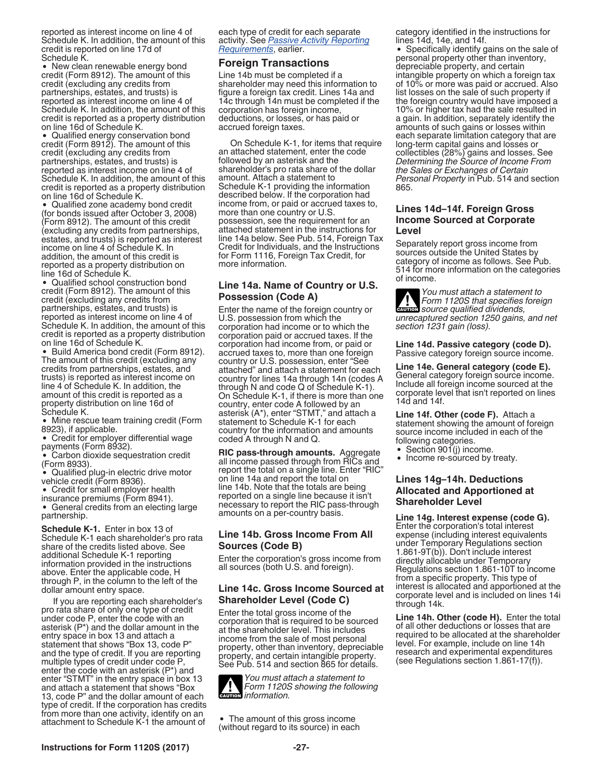<span id="page-26-0"></span>reported as interest income on line 4 of Schedule K. In addition, the amount of this credit is reported on line 17d of Schedule K.

• New clean renewable energy bond credit (Form 8912). The amount of this credit (excluding any credits from partnerships, estates, and trusts) is reported as interest income on line 4 of Schedule K. In addition, the amount of this credit is reported as a property distribution on line 16d of Schedule K.

Qualified energy conservation bond credit (Form 8912). The amount of this credit (excluding any credits from partnerships, estates, and trusts) is reported as interest income on line 4 of Schedule K. In addition, the amount of this credit is reported as a property distribution on line 16d of Schedule K.

Qualified zone academy bond credit (for bonds issued after October 3, 2008) (Form 8912). The amount of this credit (excluding any credits from partnerships, estates, and trusts) is reported as interest income on line 4 of Schedule K. In addition, the amount of this credit is reported as a property distribution on line 16d of Schedule K.

Qualified school construction bond credit (Form 8912). The amount of this credit (excluding any credits from partnerships, estates, and trusts) is reported as interest income on line 4 of Schedule K. In addition, the amount of this credit is reported as a property distribution on line 16d of Schedule K.

Build America bond credit (Form 8912). The amount of this credit (excluding any credits from partnerships, estates, and trusts) is reported as interest income on line 4 of Schedule K. In addition, the amount of this credit is reported as a property distribution on line 16d of Schedule K.

• Mine rescue team training credit (Form 8923), if applicable.

- Credit for employer differential wage payments (Form 8932).
- Carbon dioxide sequestration credit (Form 8933).

Qualified plug-in electric drive motor vehicle credit (Form 8936).

- Credit for small employer health
- insurance premiums (Form 8941).

General credits from an electing large partnership.

**Schedule K-1.** Enter in box 13 of Schedule K-1 each shareholder's pro rata share of the credits listed above. See additional Schedule K-1 reporting information provided in the instructions above. Enter the applicable code, H through P, in the column to the left of the dollar amount entry space.

If you are reporting each shareholder's pro rata share of only one type of credit under code P, enter the code with an asterisk (P\*) and the dollar amount in the entry space in box 13 and attach a statement that shows "Box 13, code P" and the type of credit. If you are reporting multiple types of credit under code P, enter the code with an asterisk (P\*) and enter "STMT" in the entry space in box 13 and attach a statement that shows "Box 13, code P" and the dollar amount of each type of credit. If the corporation has credits from more than one activity, identify on an attachment to Schedule K-1 the amount of each type of credit for each separate activity. See *[Passive Activity Reporting](#page-8-0) [Requirements](#page-8-0)*, earlier.

#### **Foreign Transactions**

Line 14b must be completed if a shareholder may need this information to figure a foreign tax credit. Lines 14a and 14c through 14n must be completed if the corporation has foreign income, deductions, or losses, or has paid or accrued foreign taxes.

On Schedule K-1, for items that require an attached statement, enter the code followed by an asterisk and the shareholder's pro rata share of the dollar amount. Attach a statement to Schedule K-1 providing the information described below. If the corporation had income from, or paid or accrued taxes to, more than one country or U.S. possession, see the requirement for an attached statement in the instructions for line 14a below. See Pub. 514, Foreign Tax Credit for Individuals, and the Instructions for Form 1116, Foreign Tax Credit, for more information.

#### **Line 14a. Name of Country or U.S. Possession (Code A)**

Enter the name of the foreign country or U.S. possession from which the corporation had income or to which the corporation paid or accrued taxes. If the corporation had income from, or paid or accrued taxes to, more than one foreign country or U.S. possession, enter "See attached" and attach a statement for each country for lines 14a through 14n (codes A through N and code Q of Schedule K-1). On Schedule K-1, if there is more than one country, enter code A followed by an asterisk (A\*), enter "STMT," and attach a statement to Schedule K-1 for each country for the information and amounts coded A through N and Q.

**RIC pass-through amounts.** Aggregate all income passed through from RICs and report the total on a single line. Enter "RIC" on line 14a and report the total on line 14b. Note that the totals are being reported on a single line because it isn't necessary to report the RIC pass-through amounts on a per-country basis.

#### **Line 14b. Gross Income From All Sources (Code B)**

Enter the corporation's gross income from all sources (both U.S. and foreign).

#### **Line 14c. Gross Income Sourced at Shareholder Level (Code C)**

Enter the total gross income of the corporation that is required to be sourced at the shareholder level. This includes income from the sale of most personal property, other than inventory, depreciable property, and certain intangible property. See Pub. 514 and section 865 for details.



The amount of this gross income (without regard to its source) in each category identified in the instructions for lines 14d, 14e, and 14f.

Specifically identify gains on the sale of personal property other than inventory, depreciable property, and certain intangible property on which a foreign tax of 10% or more was paid or accrued. Also list losses on the sale of such property if the foreign country would have imposed a 10% or higher tax had the sale resulted in a gain. In addition, separately identify the amounts of such gains or losses within each separate limitation category that are long-term capital gains and losses or collectibles (28%) gains and losses. See *Determining the Source of Income From the Sales or Exchanges of Certain Personal Property* in Pub. 514 and section 865.

#### **Lines 14d–14f. Foreign Gross Income Sourced at Corporate Level**

Separately report gross income from sources outside the United States by category of income as follows. See Pub. 514 for more information on the categories of income.

*You must attach a statement to Form 1120S that specifies foreign Form 1120S that specifies f*<br> **EQUIDE** Source qualified dividends, *unrecaptured section 1250 gains, and net section 1231 gain (loss).*

**Line 14d. Passive category (code D).**  Passive category foreign source income.

**Line 14e. General category (code E).**  General category foreign source income. Include all foreign income sourced at the corporate level that isn't reported on lines 14d and 14f.

**Line 14f. Other (code F).** Attach a statement showing the amount of foreign source income included in each of the following categories.

- Section 901(j) income.
- Income re-sourced by treaty.

#### **Lines 14g–14h. Deductions Allocated and Apportioned at Shareholder Level**

**Line 14g. Interest expense (code G).**  Enter the corporation's total interest expense (including interest equivalents under Temporary Regulations section 1.861-9T(b)). Don't include interest directly allocable under Temporary Regulations section 1.861-10T to income from a specific property. This type of interest is allocated and apportioned at the corporate level and is included on lines 14i through 14k.

**Line 14h. Other (code H).** Enter the total of all other deductions or losses that are required to be allocated at the shareholder level. For example, include on line 14h research and experimental expenditures (see Regulations section 1.861-17(f)).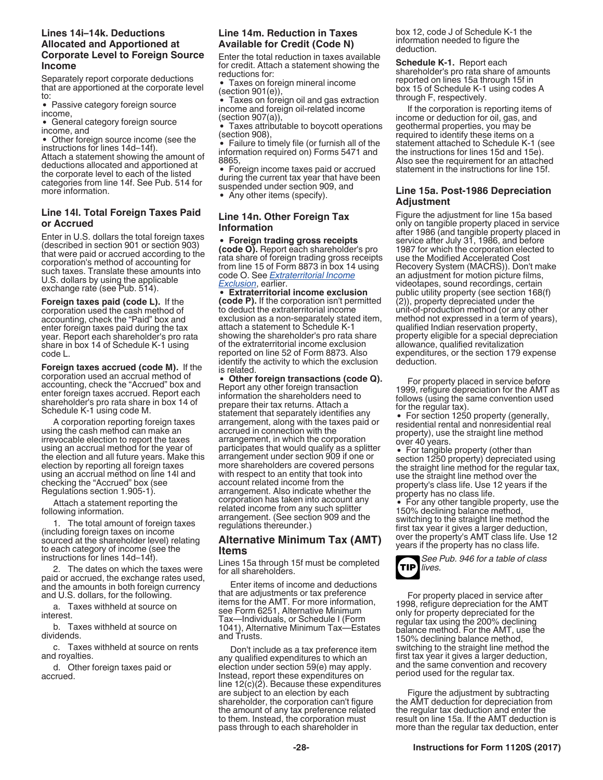#### **Lines 14i–14k. Deductions Allocated and Apportioned at Corporate Level to Foreign Source Income**

Separately report corporate deductions that are apportioned at the corporate level to:

Passive category foreign source income,

General category foreign source income, and

Other foreign source income (see the instructions for lines 14d–14f). Attach a statement showing the amount of deductions allocated and apportioned at the corporate level to each of the listed categories from line 14f. See Pub. 514 for more information.

#### **Line 14l. Total Foreign Taxes Paid or Accrued**

Enter in U.S. dollars the total foreign taxes (described in section 901 or section 903) that were paid or accrued according to the corporation's method of accounting for such taxes. Translate these amounts into U.S. dollars by using the applicable exchange rate (see Pub. 514).

**Foreign taxes paid (code L).** If the corporation used the cash method of accounting, check the "Paid" box and enter foreign taxes paid during the tax year. Report each shareholder's pro rata share in box 14 of Schedule K-1 using code L.

**Foreign taxes accrued (code M).** If the corporation used an accrual method of accounting, check the "Accrued" box and enter foreign taxes accrued. Report each shareholder's pro rata share in box 14 of Schedule K-1 using code M.

A corporation reporting foreign taxes using the cash method can make an irrevocable election to report the taxes using an accrual method for the year of the election and all future years. Make this election by reporting all foreign taxes using an accrual method on line 14l and checking the "Accrued" box (see Regulations section 1.905-1).

Attach a statement reporting the following information.

The total amount of foreign taxes (including foreign taxes on income sourced at the shareholder level) relating to each category of income (see the instructions for lines 14d–14f).

The dates on which the taxes were paid or accrued, the exchange rates used, and the amounts in both foreign currency and U.S. dollars, for the following.

a. Taxes withheld at source on interest.

b. Taxes withheld at source on dividends.

c. Taxes withheld at source on rents and royalties.

d. Other foreign taxes paid or accrued.

### **Line 14m. Reduction in Taxes Available for Credit (Code N)**

Enter the total reduction in taxes available for credit. Attach a statement showing the reductions for:

Taxes on foreign mineral income (section 901(e)),

Taxes on foreign oil and gas extraction income and foreign oil-related income (section 907(a)),

Taxes attributable to boycott operations (section 908),

Failure to timely file (or furnish all of the information required on) Forms 5471 and 8865,

Foreign income taxes paid or accrued during the current tax year that have been suspended under section 909, and • Any other items (specify).

#### **Line 14n. Other Foreign Tax Information**

**Foreign trading gross receipts (code O).** Report each shareholder's pro rata share of foreign trading gross receipts from line 15 of Form 8873 in box 14 using code O. See *[Extraterritorial Income](#page-9-0)  [Exclusion](#page-9-0)*, earlier.

**Extraterritorial income exclusion (code P).** If the corporation isn't permitted to deduct the extraterritorial income exclusion as a non-separately stated item, attach a statement to Schedule K-1 showing the shareholder's pro rata share of the extraterritorial income exclusion reported on line 52 of Form 8873. Also identify the activity to which the exclusion is related.

**Other foreign transactions (code Q).**  Report any other foreign transaction information the shareholders need to prepare their tax returns. Attach a statement that separately identifies any arrangement, along with the taxes paid or accrued in connection with the arrangement, in which the corporation participates that would qualify as a splitter arrangement under section 909 if one or more shareholders are covered persons with respect to an entity that took into account related income from the arrangement. Also indicate whether the corporation has taken into account any related income from any such splitter arrangement. (See section 909 and the regulations thereunder.)

#### **Alternative Minimum Tax (AMT) Items**

Lines 15a through 15f must be completed for all shareholders.

Enter items of income and deductions that are adjustments or tax preference items for the AMT. For more information, see Form 6251, Alternative Minimum Tax—Individuals, or Schedule I (Form 1041), Alternative Minimum Tax—Estates and Trusts.

Don't include as a tax preference item any qualified expenditures to which an election under section 59(e) may apply. Instead, report these expenditures on line 12(c)(2). Because these expenditures are subject to an election by each shareholder, the corporation can't figure the amount of any tax preference related to them. Instead, the corporation must pass through to each shareholder in

box 12, code J of Schedule K-1 the information needed to figure the deduction.

**Schedule K-1.** Report each shareholder's pro rata share of amounts reported on lines 15a through 15f in box 15 of Schedule K-1 using codes A through F, respectively.

If the corporation is reporting items of income or deduction for oil, gas, and geothermal properties, you may be required to identify these items on a statement attached to Schedule K-1 (see the instructions for lines 15d and 15e). Also see the requirement for an attached statement in the instructions for line 15f.

#### **Line 15a. Post-1986 Depreciation Adjustment**

Figure the adjustment for line 15a based only on tangible property placed in service after 1986 (and tangible property placed in service after July 31, 1986, and before 1987 for which the corporation elected to use the Modified Accelerated Cost Recovery System (MACRS)). Don't make an adjustment for motion picture films, videotapes, sound recordings, certain public utility property (see section 168(f) (2)), property depreciated under the unit-of-production method (or any other method not expressed in a term of years), qualified Indian reservation property, property eligible for a special depreciation allowance, qualified revitalization expenditures, or the section 179 expense deduction.

For property placed in service before 1999, refigure depreciation for the AMT as follows (using the same convention used for the regular tax).

For section 1250 property (generally, residential rental and nonresidential real property), use the straight line method over 40 years.

• For tangible property (other than section 1250 property) depreciated using the straight line method for the regular tax, use the straight line method over the property's class life. Use 12 years if the property has no class life.

• For any other tangible property, use the 150% declining balance method, switching to the straight line method the first tax year it gives a larger deduction, over the property's AMT class life. Use 12 years if the property has no class life.



*See Pub. 946 for a table of class lives.*

For property placed in service after 1998, refigure depreciation for the AMT only for property depreciated for the regular tax using the 200% declining balance method. For the AMT, use the 150% declining balance method, switching to the straight line method the first tax year it gives a larger deduction, and the same convention and recovery period used for the regular tax.

Figure the adjustment by subtracting the AMT deduction for depreciation from the regular tax deduction and enter the result on line 15a. If the AMT deduction is more than the regular tax deduction, enter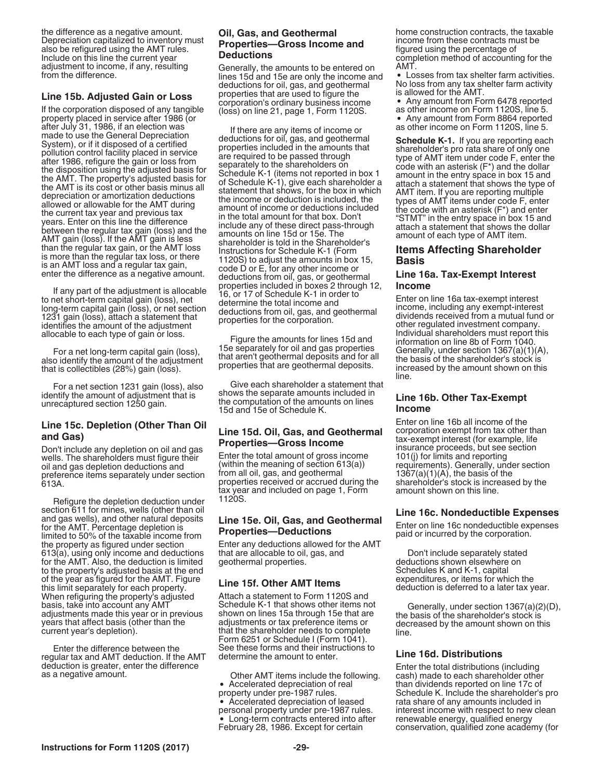<span id="page-28-0"></span>the difference as a negative amount. Depreciation capitalized to inventory must also be refigured using the AMT rules. Include on this line the current year adjustment to income, if any, resulting from the difference.

#### **Line 15b. Adjusted Gain or Loss**

If the corporation disposed of any tangible property placed in service after 1986 (or after July 31, 1986, if an election was made to use the General Depreciation System), or if it disposed of a certified pollution control facility placed in service after 1986, refigure the gain or loss from the disposition using the adjusted basis for the AMT. The property's adjusted basis for the AMT is its cost or other basis minus all depreciation or amortization deductions allowed or allowable for the AMT during the current tax year and previous tax years. Enter on this line the difference between the regular tax gain (loss) and the AMT gain (loss). If the AMT gain is less than the regular tax gain, or the AMT loss is more than the regular tax loss, or there is an AMT loss and a regular tax gain, enter the difference as a negative amount.

If any part of the adjustment is allocable to net short-term capital gain (loss), net long-term capital gain (loss), or net section 1231 gain (loss), attach a statement that identifies the amount of the adjustment allocable to each type of gain or loss.

For a net long-term capital gain (loss), also identify the amount of the adjustment that is collectibles (28%) gain (loss).

For a net section 1231 gain (loss), also identify the amount of adjustment that is unrecaptured section 1250 gain.

#### **Line 15c. Depletion (Other Than Oil and Gas)**

Don't include any depletion on oil and gas wells. The shareholders must figure their oil and gas depletion deductions and preference items separately under section 613A.

Refigure the depletion deduction under section 611 for mines, wells (other than oil and gas wells), and other natural deposits for the AMT. Percentage depletion is limited to 50% of the taxable income from the property as figured under section 613(a), using only income and deductions for the AMT. Also, the deduction is limited to the property's adjusted basis at the end of the year as figured for the AMT. Figure this limit separately for each property. When refiguring the property's adjusted basis, take into account any AMT adjustments made this year or in previous years that affect basis (other than the current year's depletion).

Enter the difference between the regular tax and AMT deduction. If the AMT deduction is greater, enter the difference as a negative amount.

#### **Oil, Gas, and Geothermal Properties—Gross Income and Deductions**

Generally, the amounts to be entered on lines 15d and 15e are only the income and deductions for oil, gas, and geothermal properties that are used to figure the corporation's ordinary business income (loss) on line 21, page 1, Form 1120S.

If there are any items of income or deductions for oil, gas, and geothermal properties included in the amounts that are required to be passed through separately to the shareholders on Schedule K-1 (items not reported in box 1 of Schedule K-1), give each shareholder a statement that shows, for the box in which the income or deduction is included, the amount of income or deductions included in the total amount for that box. Don't include any of these direct pass-through amounts on line 15d or 15e. The shareholder is told in the Shareholder's Instructions for Schedule K-1 (Form 1120S) to adjust the amounts in box 15, code D or E, for any other income or deductions from oil, gas, or geothermal properties included in boxes 2 through 12, 16, or 17 of Schedule K-1 in order to determine the total income and deductions from oil, gas, and geothermal properties for the corporation.

Figure the amounts for lines 15d and 15e separately for oil and gas properties that aren't geothermal deposits and for all properties that are geothermal deposits.

Give each shareholder a statement that shows the separate amounts included in the computation of the amounts on lines 15d and 15e of Schedule K.

#### **Line 15d. Oil, Gas, and Geothermal Properties—Gross Income**

Enter the total amount of gross income (within the meaning of section 613(a)) from all oil, gas, and geothermal properties received or accrued during the tax year and included on page 1, Form 1120S.

#### **Line 15e. Oil, Gas, and Geothermal Properties—Deductions**

Enter any deductions allowed for the AMT that are allocable to oil, gas, and geothermal properties.

#### **Line 15f. Other AMT Items**

Attach a statement to Form 1120S and Schedule K-1 that shows other items not shown on lines 15a through 15e that are adjustments or tax preference items or that the shareholder needs to complete Form 6251 or Schedule I (Form 1041). See these forms and their instructions to determine the amount to enter.

home construction contracts, the taxable income from these contracts must be figured using the percentage of completion method of accounting for the AMT.

Losses from tax shelter farm activities. No loss from any tax shelter farm activity is allowed for the AMT.

Any amount from Form 6478 reported

as other income on Form 1120S, line 5. Any amount from Form 8864 reported  $\bullet$ 

as other income on Form 1120S, line 5.

**Schedule K-1.** If you are reporting each shareholder's pro rata share of only one type of AMT item under code F, enter the code with an asterisk (F\*) and the dollar amount in the entry space in box 15 and attach a statement that shows the type of AMT item. If you are reporting multiple types of AMT items under code F, enter the code with an asterisk (F\*) and enter "STMT" in the entry space in box 15 and attach a statement that shows the dollar amount of each type of AMT item.

#### **Items Affecting Shareholder Basis**

#### **Line 16a. Tax-Exempt Interest Income**

Enter on line 16a tax-exempt interest income, including any exempt-interest dividends received from a mutual fund or other regulated investment company. Individual shareholders must report this information on line 8b of Form 1040. Generally, under section 1367(a)(1)(A), the basis of the shareholder's stock is increased by the amount shown on this line.

#### **Line 16b. Other Tax-Exempt Income**

Enter on line 16b all income of the corporation exempt from tax other than tax-exempt interest (for example, life insurance proceeds, but see section 101(j) for limits and reporting requirements). Generally, under section  $1367(a)(1)(A)$ , the basis of the shareholder's stock is increased by the amount shown on this line.

#### **Line 16c. Nondeductible Expenses**

Enter on line 16c nondeductible expenses paid or incurred by the corporation.

Don't include separately stated deductions shown elsewhere on Schedules K and K-1, capital expenditures, or items for which the deduction is deferred to a later tax year.

Generally, under section 1367(a)(2)(D), the basis of the shareholder's stock is decreased by the amount shown on this line.

#### **Line 16d. Distributions**

Enter the total distributions (including cash) made to each shareholder other than dividends reported on line 17c of Schedule K. Include the shareholder's pro rata share of any amounts included in interest income with respect to new clean renewable energy, qualified energy conservation, qualified zone academy (for

Other AMT items include the following. Accelerated depreciation of real property under pre-1987 rules. Accelerated depreciation of leased personal property under pre-1987 rules. Long-term contracts entered into after February 28, 1986. Except for certain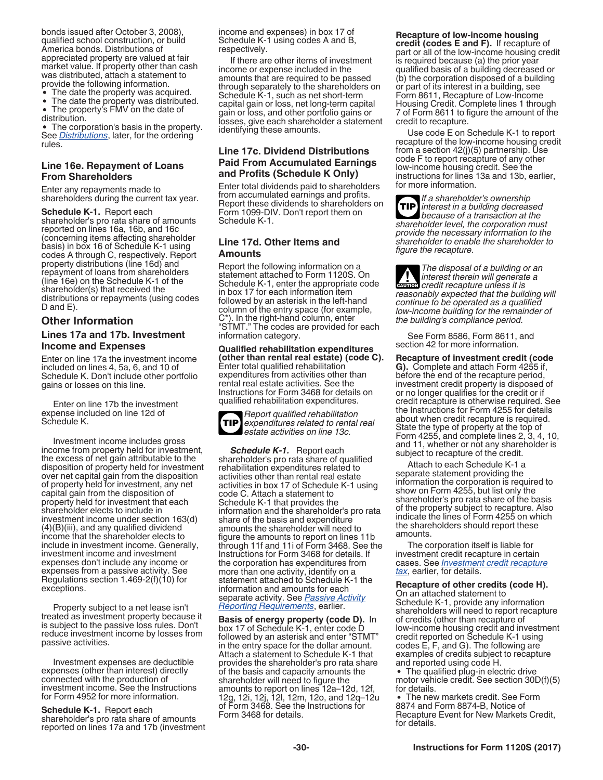<span id="page-29-0"></span>bonds issued after October 3, 2008) qualified school construction, or build America bonds. Distributions of appreciated property are valued at fair market value. If property other than cash was distributed, attach a statement to provide the following information.

The date the property was acquired.

 $\bullet$ The date the property was distributed.

The property's FMV on the date of

distribution. The corporation's basis in the property.

See *[Distributions](#page-33-0)*, later, for the ordering rules.

#### **Line 16e. Repayment of Loans From Shareholders**

Enter any repayments made to shareholders during the current tax year.

**Schedule K-1.** Report each shareholder's pro rata share of amounts reported on lines 16a, 16b, and 16c (concerning items affecting shareholder basis) in box 16 of Schedule K-1 using codes A through C, respectively. Report property distributions (line 16d) and repayment of loans from shareholders (line 16e) on the Schedule K-1 of the shareholder(s) that received the distributions or repayments (using codes D and E).

### **Other Information**

#### **Lines 17a and 17b. Investment Income and Expenses**

Enter on line 17a the investment income included on lines 4, 5a, 6, and 10 of Schedule K. Don't include other portfolio gains or losses on this line.

Enter on line 17b the investment expense included on line 12d of Schedule K.

Investment income includes gross income from property held for investment, the excess of net gain attributable to the disposition of property held for investment over net capital gain from the disposition of property held for investment, any net capital gain from the disposition of property held for investment that each shareholder elects to include in investment income under section 163(d) (4)(B)(iii), and any qualified dividend income that the shareholder elects to include in investment income. Generally, investment income and investment expenses don't include any income or expenses from a passive activity. See Regulations section  $1.469-2(f)(10)$  for exceptions.

Property subject to a net lease isn't treated as investment property because it is subject to the passive loss rules. Don't reduce investment income by losses from passive activities.

Investment expenses are deductible expenses (other than interest) directly connected with the production of investment income. See the Instructions for Form 4952 for more information.

**Schedule K-1.** Report each shareholder's pro rata share of amounts reported on lines 17a and 17b (investment income and expenses) in box 17 of Schedule K-1 using codes A and B, respectively.

If there are other items of investment income or expense included in the amounts that are required to be passed through separately to the shareholders on Schedule K-1, such as net short-term capital gain or loss, net long-term capital gain or loss, and other portfolio gains or losses, give each shareholder a statement identifying these amounts.

#### **Line 17c. Dividend Distributions Paid From Accumulated Earnings and Profits (Schedule K Only)**

Enter total dividends paid to shareholders from accumulated earnings and profits. Report these dividends to shareholders on Form 1099-DIV. Don't report them on Schedule K-1.

#### **Line 17d. Other Items and Amounts**

Report the following information on a statement attached to Form 1120S. On Schedule K-1, enter the appropriate code in box 17 for each information item followed by an asterisk in the left-hand column of the entry space (for example, C\*). In the right-hand column, enter "STMT." The codes are provided for each information category.

**Qualified rehabilitation expenditures (other than rental real estate) (code C).**  Enter total qualified rehabilitation expenditures from activities other than rental real estate activities. See the Instructions for Form 3468 for details on qualified rehabilitation expenditures.



*Report qualified rehabilitation expenditures related to rental real estate activities on line 13c.*

*Schedule K-1.* Report each shareholder's pro rata share of qualified rehabilitation expenditures related to activities other than rental real estate activities in box 17 of Schedule K-1 using code C. Attach a statement to Schedule K-1 that provides the information and the shareholder's pro rata share of the basis and expenditure amounts the shareholder will need to figure the amounts to report on lines 11b through 11f and 11i of Form 3468. See the Instructions for Form 3468 for details. If the corporation has expenditures from more than one activity, identify on a statement attached to Schedule K-1 the information and amounts for each separate activity. See *[Passive Activity](#page-8-0) [Reporting Requirements](#page-8-0)*, earlier.

**Basis of energy property (code D).** In box 17 of Schedule K-1, enter code D followed by an asterisk and enter "STMT" in the entry space for the dollar amount. Attach a statement to Schedule K-1 that provides the shareholder's pro rata share of the basis and capacity amounts the shareholder will need to figure the amounts to report on lines 12a–12d, 12f, 12g, 12i, 12j, 12l, 12m, 12o, and 12q–12u of Form 3468. See the Instructions for Form 3468 for details.

#### **Recapture of low-income housing**

**credit (codes E and F).** If recapture of part or all of the low-income housing credit is required because (a) the prior year qualified basis of a building decreased or (b) the corporation disposed of a building or part of its interest in a building, see Form 8611, Recapture of Low-Income Housing Credit. Complete lines 1 through 7 of Form 8611 to figure the amount of the credit to recapture.

Use code E on Schedule K-1 to report recapture of the low-income housing credit from a section 42(j)(5) partnership. Use code F to report recapture of any other low-income housing credit. See the instructions for lines 13a and 13b, earlier, for more information.

*If a shareholder's ownership interest in a building decreased*  **TIP** *because of a transaction at the shareholder level, the corporation must provide the necessary information to the shareholder to enable the shareholder to figure the recapture.*

*The disposal of a building or an interest therein will generate a credit recapture unless it is*  **CAUTION** *reasonably expected that the building will continue to be operated as a qualified low-income building for the remainder of the building's compliance period.* **!**

See Form 8586, Form 8611, and section 42 for more information.

**Recapture of investment credit (code G).** Complete and attach Form 4255 if, before the end of the recapture period, investment credit property is disposed of or no longer qualifies for the credit or if credit recapture is otherwise required. See the Instructions for Form 4255 for details about when credit recapture is required. State the type of property at the top of Form 4255, and complete lines 2, 3, 4, 10, and 11, whether or not any shareholder is subject to recapture of the credit.

Attach to each Schedule K-1 a separate statement providing the information the corporation is required to show on Form 4255, but list only the shareholder's pro rata share of the basis of the property subject to recapture. Also indicate the lines of Form 4255 on which the shareholders should report these amounts.

The corporation itself is liable for investment credit recapture in certain cases. See *[Investment credit recapture](#page-16-0) [tax](#page-16-0)*, earlier, for details.

# **Recapture of other credits (code H).**

On an attached statement to Schedule K-1, provide any information shareholders will need to report recapture of credits (other than recapture of low-income housing credit and investment credit reported on Schedule K-1 using codes E, F, and G). The following are examples of credits subject to recapture and reported using code H.

• The qualified plug-in electric drive motor vehicle credit. See section 30D(f)(5) for details.

The new markets credit. See Form 8874 and Form 8874-B, Notice of Recapture Event for New Markets Credit, for details.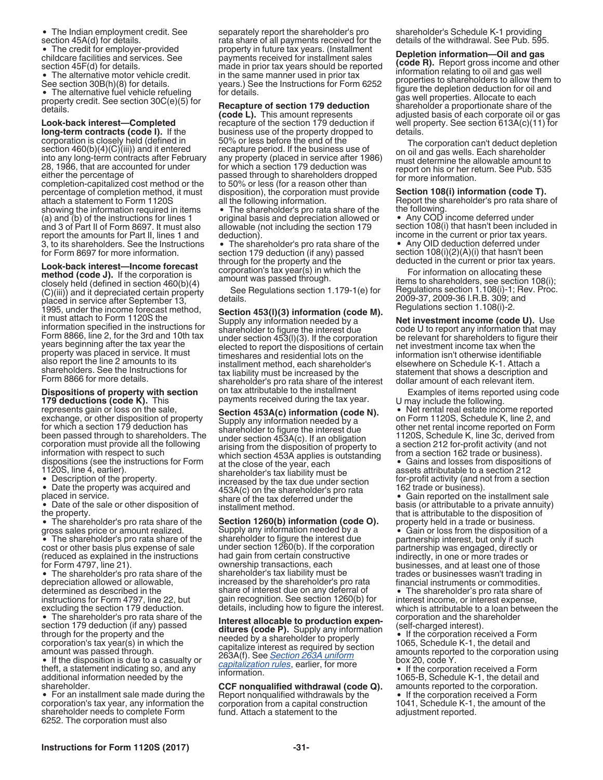<span id="page-30-0"></span>The Indian employment credit. See section 45A(d) for details.

The credit for employer-provided childcare facilities and services. See section 45F(d) for details.

The alternative motor vehicle credit. See section 30B(h)(8) for details.

The alternative fuel vehicle refueling property credit. See section 30C(e)(5) for details.

#### **Look-back interest—Completed**

**long-term contracts (code I).** If the corporation is closely held (defined in section 460(b)(4)(C)(iii)) and it entered into any long-term contracts after February 28, 1986, that are accounted for under either the percentage of completion-capitalized cost method or the percentage of completion method, it must attach a statement to Form 1120S showing the information required in items (a) and (b) of the instructions for lines 1 and 3 of Part II of Form 8697. It must also report the amounts for Part II, lines 1 and 3, to its shareholders. See the Instructions for Form 8697 for more information.

#### **Look-back interest—Income forecast**

**method (code J).** If the corporation is closely held (defined in section 460(b)(4) (C)(iii)) and it depreciated certain property placed in service after September 13, 1995, under the income forecast method, it must attach to Form 1120S the information specified in the instructions for Form 8866, line 2, for the 3rd and 10th tax years beginning after the tax year the property was placed in service. It must also report the line 2 amounts to its shareholders. See the Instructions for Form 8866 for more details.

**Dispositions of property with section 179 deductions (code K).** This represents gain or loss on the sale, exchange, or other disposition of property for which a section 179 deduction has been passed through to shareholders. The

corporation must provide all the following information with respect to such dispositions (see the instructions for Form

1120S, line  $\vec{4}$ , earlier).

Description of the property.

Date the property was acquired and placed in service.

Date of the sale or other disposition of the property.

The shareholder's pro rata share of the gross sales price or amount realized.

The shareholder's pro rata share of the cost or other basis plus expense of sale (reduced as explained in the instructions for Form 4797, line 21).

The shareholder's pro rata share of the depreciation allowed or allowable, determined as described in the instructions for Form 4797, line 22, but excluding the section 179 deduction.

The shareholder's pro rata share of the section 179 deduction (if any) passed through for the property and the corporation's tax year(s) in which the amount was passed through.

• If the disposition is due to a casualty or theft, a statement indicating so, and any additional information needed by the shareholder.

For an installment sale made during the corporation's tax year, any information the shareholder needs to complete Form 6252. The corporation must also

separately report the shareholder's pro rata share of all payments received for the property in future tax years. (Installment payments received for installment sales made in prior tax years should be reported in the same manner used in prior tax years.) See the Instructions for Form 6252 for details.

#### **Recapture of section 179 deduction**

**(code L).** This amount represents recapture of the section 179 deduction if business use of the property dropped to 50% or less before the end of the recapture period. If the business use of any property (placed in service after 1986) for which a section 179 deduction was passed through to shareholders dropped to 50% or less (for a reason other than disposition), the corporation must provide all the following information.

The shareholder's pro rata share of the original basis and depreciation allowed or allowable (not including the section 179 deduction).

The shareholder's pro rata share of the section 179 deduction (if any) passed through for the property and the corporation's tax year(s) in which the amount was passed through.

See Regulations section 1.179-1(e) for details.

**Section 453(l)(3) information (code M).**  Supply any information needed by a shareholder to figure the interest due under section 453(l)(3). If the corporation elected to report the dispositions of certain timeshares and residential lots on the installment method, each shareholder's tax liability must be increased by the shareholder's pro rata share of the interest on tax attributable to the installment payments received during the tax year.

**Section 453A(c) information (code N).**  Supply any information needed by a shareholder to figure the interest due under section 453A(c). If an obligation arising from the disposition of property to which section 453A applies is outstanding at the close of the year, each shareholder's tax liability must be increased by the tax due under section 453A(c) on the shareholder's pro rata share of the tax deferred under the installment method.

**Section 1260(b) information (code O).**  Supply any information needed by a shareholder to figure the interest due under section 1260(b). If the corporation had gain from certain constructive ownership transactions, each shareholder's tax liability must be increased by the shareholder's pro rata share of interest due on any deferral of gain recognition. See section 1260(b) for details, including how to figure the interest.

**Interest allocable to production expenditures (code P).** Supply any information needed by a shareholder to properly capitalize interest as required by section 263A(f). See *[Section 263A uniform](#page-11-0)  [capitalization rules](#page-11-0)*, earlier, for more information.

**CCF nonqualified withdrawal (code Q).**  Report nonqualified withdrawals by the corporation from a capital construction fund. Attach a statement to the

shareholder's Schedule K-1 providing details of the withdrawal. See Pub. 595.

**Depletion information—Oil and gas (code R).** Report gross income and other information relating to oil and gas well properties to shareholders to allow them to figure the depletion deduction for oil and gas well properties. Allocate to each shareholder a proportionate share of the adjusted basis of each corporate oil or gas well property. See section 613A(c)(11) for details.

The corporation can't deduct depletion on oil and gas wells. Each shareholder must determine the allowable amount to report on his or her return. See Pub. 535 for more information.

**Section 108(i) information (code T).**  Report the shareholder's pro rata share of the following.

• Any COD income deferred under section 108(i) that hasn't been included in income in the current or prior tax years. Any OID deduction deferred under

section 108(i)(2)(A)(i) that hasn't been deducted in the current or prior tax years.

For information on allocating these items to shareholders, see section 108(i); Regulations section 1.108(i)-1; Rev. Proc. 2009-37, 2009-36 I.R.B. 309; and Regulations section 1.108(i)-2.

**Net investment income (code U).** Use code U to report any information that may be relevant for shareholders to figure their net investment income tax when the information isn't otherwise identifiable elsewhere on Schedule K-1. Attach a statement that shows a description and dollar amount of each relevant item.

Examples of items reported using code U may include the following.

Net rental real estate income reported on Form 1120S, Schedule K, line 2, and other net rental income reported on Form 1120S, Schedule K, line 3c, derived from a section 212 for-profit activity (and not from a section 162 trade or business).

Gains and losses from dispositions of assets attributable to a section 212 for-profit activity (and not from a section 162 trade or business).

Gain reported on the installment sale basis (or attributable to a private annuity) that is attributable to the disposition of property held in a trade or business.

Gain or loss from the disposition of a partnership interest, but only if such partnership was engaged, directly or indirectly, in one or more trades or businesses, and at least one of those trades or businesses wasn't trading in financial instruments or commodities.

The shareholder's pro rata share of interest income, or interest expense, which is attributable to a loan between the corporation and the shareholder (self-charged interest).

**If the corporation received a Form** 1065, Schedule K-1, the detail and amounts reported to the corporation using box 20, code Y.

• If the corporation received a Form 1065-B, Schedule K-1, the detail and amounts reported to the corporation.

• If the corporation received a Form 1041, Schedule K-1, the amount of the adjustment reported.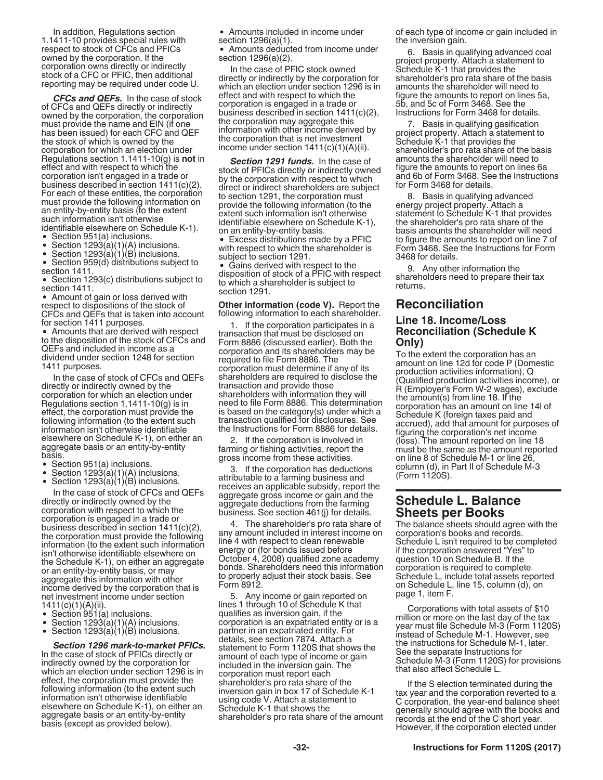<span id="page-31-0"></span>In addition, Regulations section 1.1411-10 provides special rules with respect to stock of CFCs and PFICs owned by the corporation. If the corporation owns directly or indirectly stock of a CFC or PFIC, then additional reporting may be required under code U.

*CFCs and QEFs.* In the case of stock of CFCs and QEFs directly or indirectly owned by the corporation, the corporation must provide the name and EIN (if one has been issued) for each CFC and QEF the stock of which is owned by the corporation for which an election under Regulations section 1.1411-10(g) is **not** in effect and with respect to which the corporation isn't engaged in a trade or business described in section 1411(c)(2). For each of these entities, the corporation must provide the following information on an entity-by-entity basis (to the extent such information isn't otherwise identifiable elsewhere on Schedule K-1).

• Section 951(a) inclusions.

Section 1293(a)(1)(A) inclusions.

Section 1293(a)(1)(B) inclusions.

Section 959(d) distributions subject to section 1411.

Section 1293(c) distributions subject to section 1411.

Amount of gain or loss derived with respect to dispositions of the stock of CFCs and QEFs that is taken into account for section 1411 purposes.

Amounts that are derived with respect to the disposition of the stock of CFCs and QEFs and included in income as a dividend under section 1248 for section 1411 purposes.

In the case of stock of CFCs and QEFs directly or indirectly owned by the corporation for which an election under Regulations section 1.1411-10(g) is in effect, the corporation must provide the following information (to the extent such information isn't otherwise identifiable elsewhere on Schedule K-1), on either an aggregate basis or an entity-by-entity basis.

- Section 951(a) inclusions.
- $\bullet$ Section 1293(a)(1)(A) inclusions.
- Section 1293(a)(1)(B) inclusions.

In the case of stock of CFCs and QEFs directly or indirectly owned by the corporation with respect to which the corporation is engaged in a trade or business described in section 1411(c)(2), the corporation must provide the following information (to the extent such information isn't otherwise identifiable elsewhere on the Schedule K-1), on either an aggregate or an entity-by-entity basis, or may aggregate this information with other income derived by the corporation that is net investment income under section 1411(c)(1)(A)(ii).

- Section 951(a) inclusions.
- Section  $1293(a)(1)(A)$  inclusions.
- $\bullet$ Section 1293(a)(1)(B) inclusions.

#### *Section 1296 mark-to-market PFICs.*

In the case of stock of PFICs directly or indirectly owned by the corporation for which an election under section 1296 is in effect, the corporation must provide the following information (to the extent such information isn't otherwise identifiable elsewhere on Schedule K-1), on either an aggregate basis or an entity-by-entity basis (except as provided below).

Amounts included in income under section 1296(a)(1).

Amounts deducted from income under section 1296(a)(2).

In the case of PFIC stock owned directly or indirectly by the corporation for which an election under section 1296 is in effect and with respect to which the corporation is engaged in a trade or business described in section 1411(c)(2), the corporation may aggregate this information with other income derived by the corporation that is net investment income under section 1411(c)(1)(A)(ii).

*Section 1291 funds.* In the case of stock of PFICs directly or indirectly owned by the corporation with respect to which direct or indirect shareholders are subject to section 1291, the corporation must provide the following information (to the extent such information isn't otherwise identifiable elsewhere on Schedule K-1), on an entity-by-entity basis.

Excess distributions made by a PFIC with respect to which the shareholder is subject to section 1291.

Gains derived with respect to the disposition of stock of a PFIC with respect to which a shareholder is subject to section 1291.

**Other information (code V).** Report the following information to each shareholder.

1. If the corporation participates in a transaction that must be disclosed on Form 8886 (discussed earlier). Both the corporation and its shareholders may be required to file Form 8886. The corporation must determine if any of its shareholders are required to disclose the transaction and provide those shareholders with information they will need to file Form 8886. This determination is based on the category(s) under which a transaction qualified for disclosures. See the Instructions for Form 8886 for details.

2. If the corporation is involved in farming or fishing activities, report the gross income from these activities.

3. If the corporation has deductions attributable to a farming business and receives an applicable subsidy, report the aggregate gross income or gain and the aggregate deductions from the farming business. See section 461(j) for details.

The shareholder's pro rata share of any amount included in interest income on line 4 with respect to clean renewable energy or (for bonds issued before October 4, 2008) qualified zone academy bonds. Shareholders need this information to properly adjust their stock basis. See Form 8912.

5. Any income or gain reported on lines 1 through 10 of Schedule K that qualifies as inversion gain, if the corporation is an expatriated entity or is a partner in an expatriated entity. For details, see section 7874. Attach a statement to Form 1120S that shows the amount of each type of income or gain included in the inversion gain. The corporation must report each shareholder's pro rata share of the inversion gain in box 17 of Schedule K-1 using code V. Attach a statement to Schedule K-1 that shows the shareholder's pro rata share of the amount of each type of income or gain included in the inversion gain.

6. Basis in qualifying advanced coal project property. Attach a statement to Schedule K-1 that provides the shareholder's pro rata share of the basis amounts the shareholder will need to figure the amounts to report on lines 5a, 5b, and 5c of Form 3468. See the Instructions for Form 3468 for details.

Basis in qualifying gasification project property. Attach a statement to Schedule K-1 that provides the shareholder's pro rata share of the basis amounts the shareholder will need to figure the amounts to report on lines 6a and 6b of Form 3468. See the Instructions for Form 3468 for details.

Basis in qualifying advanced energy project property. Attach a statement to Schedule K-1 that provides the shareholder's pro rata share of the basis amounts the shareholder will need to figure the amounts to report on line 7 of Form 3468. See the Instructions for Form 3468 for details.

9. Any other information the shareholders need to prepare their tax returns.

# **Reconciliation**

#### **Line 18. Income/Loss Reconciliation (Schedule K Only)**

To the extent the corporation has an amount on line 12d for code P (Domestic production activities information), Q (Qualified production activities income), or R (Employer's Form W-2 wages), exclude the amount(s) from line 18. If the corporation has an amount on line 14l of Schedule K (foreign taxes paid and accrued), add that amount for purposes of figuring the corporation's net income (loss). The amount reported on line 18 must be the same as the amount reported on line 8 of Schedule M-1 or line 26, column (d), in Part II of Schedule M-3 (Form 1120S).

## **Schedule L. Balance Sheets per Books**

The balance sheets should agree with the corporation's books and records. Schedule L isn't required to be completed if the corporation answered "Yes" to question 10 on Schedule B. If the corporation is required to complete Schedule L, include total assets reported on Schedule L, line 15, column (d), on page 1, item F.

Corporations with total assets of \$10 million or more on the last day of the tax year must file Schedule M-3 (Form 1120S) instead of Schedule M-1. However, see the instructions for Schedule M-1, later. See the separate Instructions for Schedule M-3 (Form 1120S) for provisions that also affect Schedule L.

If the S election terminated during the tax year and the corporation reverted to a C corporation, the year-end balance sheet generally should agree with the books and records at the end of the C short year. However, if the corporation elected under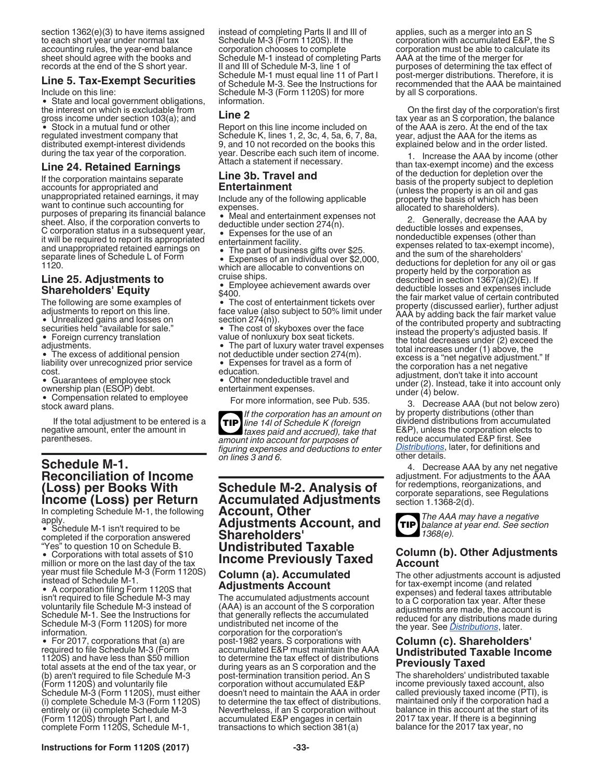<span id="page-32-0"></span>section 1362(e)(3) to have items assigned to each short year under normal tax accounting rules, the year-end balance sheet should agree with the books and records at the end of the S short year.

# **Line 5. Tax-Exempt Securities**

Include on this line:

State and local government obligations, the interest on which is excludable from gross income under section 103(a); and • Stock in a mutual fund or other regulated investment company that distributed exempt-interest dividends during the tax year of the corporation.

### **Line 24. Retained Earnings**

If the corporation maintains separate accounts for appropriated and unappropriated retained earnings, it may want to continue such accounting for purposes of preparing its financial balance sheet. Also, if the corporation converts to C corporation status in a subsequent year, it will be required to report its appropriated and unappropriated retained earnings on separate lines of Schedule L of Form 1120.

### **Line 25. Adjustments to Shareholders' Equity**

The following are some examples of adjustments to report on this line.

Unrealized gains and losses on securities held "available for sale."

• Foreign currency translation

adjustments.

The excess of additional pension liability over unrecognized prior service cost.

Guarantees of employee stock ownership plan (ESOP) debt. Compensation related to employee stock award plans.

If the total adjustment to be entered is a negative amount, enter the amount in parentheses.

### **Schedule M-1. Reconciliation of Income (Loss) per Books With Income (Loss) per Return**

In completing Schedule M-1, the following apply.

Schedule M-1 isn't required to be completed if the corporation answered "Yes" to question 10 on Schedule B.

Corporations with total assets of \$10 million or more on the last day of the tax year must file Schedule M-3 (Form 1120S) instead of Schedule M-1.

A corporation filing Form 1120S that isn't required to file Schedule M-3 may voluntarily file Schedule M-3 instead of Schedule M-1. See the Instructions for Schedule M-3 (Form 1120S) for more information.

• For 2017, corporations that (a) are required to file Schedule M-3 (Form 1120S) and have less than \$50 million total assets at the end of the tax year, or (b) aren't required to file Schedule M-3 (Form 1120S) and voluntarily file Schedule M-3 (Form 1120S), must either (i) complete Schedule M-3 (Form 1120S) entirely or (ii) complete Schedule M-3 (Form 1120S) through Part I, and complete Form 1120S, Schedule M-1,

instead of completing Parts II and III of Schedule M-3 (Form 1120S). If the corporation chooses to complete Schedule M-1 instead of completing Parts II and III of Schedule M-3, line 1 of Schedule M-1 must equal line 11 of Part I of Schedule M-3. See the Instructions for Schedule M-3 (Form 1120S) for more information.

#### **Line 2**

Report on this line income included on Schedule K, lines 1, 2, 3c, 4, 5a, 6, 7, 8a, 9, and 10 not recorded on the books this year. Describe each such item of income. Attach a statement if necessary.

### **Line 3b. Travel and Entertainment**

Include any of the following applicable expenses.

• Meal and entertainment expenses not deductible under section 274(n).

Expenses for the use of an

- entertainment facility.
- The part of business gifts over \$25.

Expenses of an individual over \$2,000, which are allocable to conventions on cruise ships.

Employee achievement awards over  $\bullet$ \$400.

The cost of entertainment tickets over face value (also subject to 50% limit under section  $274(n)$ ).

- The cost of skyboxes over the face value of nonluxury box seat tickets.
- The part of luxury water travel expenses not deductible under section 274(m).

Expenses for travel as a form of

- education.
- Other nondeductible travel and entertainment expenses.

For more information, see Pub. 535.



*If the corporation has an amount on line 14l of Schedule K (foreign taxes paid and accrued), take that amount into account for purposes of figuring expenses and deductions to enter on lines 3 and 6.*

### **Schedule M-2. Analysis of Accumulated Adjustments Account, Other Adjustments Account, and Shareholders' Undistributed Taxable Income Previously Taxed**

### **Column (a). Accumulated Adjustments Account**

The accumulated adjustments account (AAA) is an account of the S corporation that generally reflects the accumulated undistributed net income of the corporation for the corporation's post-1982 years. S corporations with accumulated E&P must maintain the AAA to determine the tax effect of distributions during years as an S corporation and the post-termination transition period. An S corporation without accumulated E&P doesn't need to maintain the AAA in order to determine the tax effect of distributions. Nevertheless, if an S corporation without accumulated E&P engages in certain transactions to which section 381(a)

applies, such as a merger into an S corporation with accumulated E&P, the S corporation must be able to calculate its AAA at the time of the merger for purposes of determining the tax effect of post-merger distributions. Therefore, it is recommended that the AAA be maintained by all S corporations.

On the first day of the corporation's first tax year as an S corporation, the balance of the AAA is zero. At the end of the tax year, adjust the AAA for the items as explained below and in the order listed.

1. Increase the AAA by income (other than tax-exempt income) and the excess of the deduction for depletion over the basis of the property subject to depletion (unless the property is an oil and gas property the basis of which has been allocated to shareholders).

2. Generally, decrease the AAA by deductible losses and expenses, nondeductible expenses (other than expenses related to tax-exempt income), and the sum of the shareholders' deductions for depletion for any oil or gas property held by the corporation as described in section 1367(a)(2)(E). If deductible losses and expenses include the fair market value of certain contributed property (discussed earlier), further adjust AAA by adding back the fair market value of the contributed property and subtracting instead the property's adjusted basis. If the total decreases under (2) exceed the total increases under (1) above, the excess is a "net negative adjustment." If the corporation has a net negative adjustment, don't take it into account under (2). Instead, take it into account only under  $(4)$  below.

3. Decrease AAA (but not below zero) by property distributions (other than dividend distributions from accumulated E&P), unless the corporation elects to reduce accumulated E&P first. See *[Distributions](#page-33-0)*, later, for definitions and other details.

4. Decrease AAA by any net negative adjustment. For adjustments to the AAA for redemptions, reorganizations, and corporate separations, see Regulations section 1.1368-2(d).

*The AAA may have a negative balance at year end. See section 1368(e).* **TIP**

### **Column (b). Other Adjustments Account**

The other adjustments account is adjusted for tax-exempt income (and related expenses) and federal taxes attributable to a C corporation tax year. After these adjustments are made, the account is reduced for any distributions made during the year. See *[Distributions](#page-33-0)*, later.

### **Column (c). Shareholders' Undistributed Taxable Income Previously Taxed**

The shareholders' undistributed taxable income previously taxed account, also called previously taxed income (PTI), is maintained only if the corporation had a balance in this account at the start of its 2017 tax year. If there is a beginning balance for the 2017 tax year, no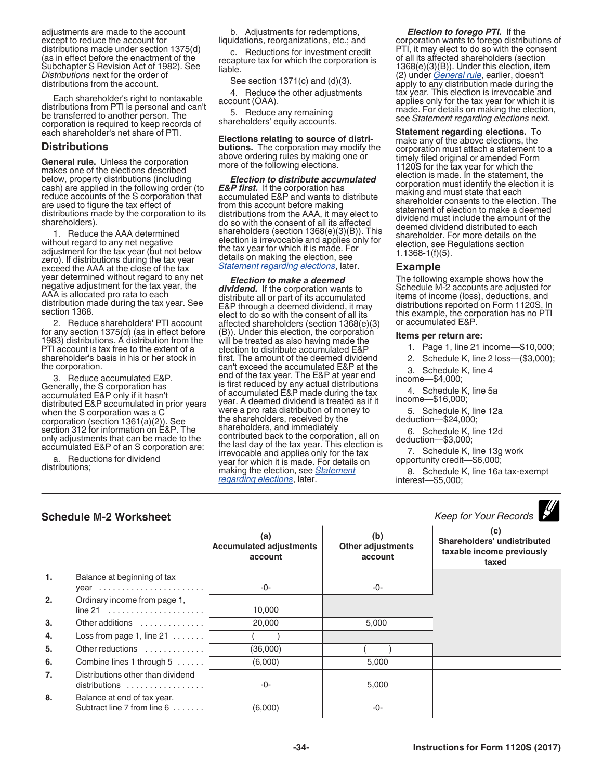<span id="page-33-0"></span>adjustments are made to the account except to reduce the account for distributions made under section 1375(d) (as in effect before the enactment of the Subchapter S Revision Act of 1982). See *Distributions* next for the order of distributions from the account.

Each shareholder's right to nontaxable distributions from PTI is personal and can't be transferred to another person. The corporation is required to keep records of each shareholder's net share of PTI.

#### **Distributions**

**General rule.** Unless the corporation makes one of the elections described below, property distributions (including cash) are applied in the following order (to reduce accounts of the S corporation that are used to figure the tax effect of distributions made by the corporation to its shareholders).

1. Reduce the AAA determined without regard to any net negative adjustment for the tax year (but not below zero). If distributions during the tax year exceed the AAA at the close of the tax year determined without regard to any net negative adjustment for the tax year, the AAA is allocated pro rata to each distribution made during the tax year. See section 1368.

2. Reduce shareholders' PTI account for any section 1375(d) (as in effect before 1983) distributions. A distribution from the PTI account is tax free to the extent of a shareholder's basis in his or her stock in the corporation.

3. Reduce accumulated E&P. Generally, the S corporation has accumulated E&P only if it hasn't distributed E&P accumulated in prior years when the S corporation was a C corporation (section 1361(a)(2)). See section 312 for information on E&P. The only adjustments that can be made to the accumulated E&P of an S corporation are:

a. Reductions for dividend distributions;

b. Adjustments for redemptions, liquidations, reorganizations, etc.; and

c. Reductions for investment credit recapture tax for which the corporation is liable.

See section 1371(c) and (d)(3).

4. Reduce the other adjustments account (OAA).

5. Reduce any remaining shareholders' equity accounts.

**Elections relating to source of distributions.** The corporation may modify the above ordering rules by making one or more of the following elections.

*Election to distribute accumulated*  **E&P first.** If the corporation has accumulated E&P and wants to distribute from this account before making distributions from the AAA, it may elect to do so with the consent of all its affected shareholders (section 1368(e)(3)(B)). This election is irrevocable and applies only for the tax year for which it is made. For details on making the election, see *Statement regarding elections*, later.

*Election to make a deemed dividend.* If the corporation wants to distribute all or part of its accumulated E&P through a deemed dividend, it may elect to do so with the consent of all its affected shareholders (section 1368(e)(3) (B)). Under this election, the corporation will be treated as also having made the election to distribute accumulated E&P first. The amount of the deemed dividend can't exceed the accumulated E&P at the end of the tax year. The E&P at year end is first reduced by any actual distributions of accumulated E&P made during the tax year. A deemed dividend is treated as if it were a pro rata distribution of money to the shareholders, received by the shareholders, and immediately contributed back to the corporation, all on the last day of the tax year. This election is irrevocable and applies only for the tax year for which it is made. For details on making the election, see *Statement regarding elections*, later.

*Election to forego PTI.* If the corporation wants to forego distributions of PTI, it may elect to do so with the consent of all its affected shareholders (section 1368(e)(3)(B)). Under this election, item (2) under *General rule*, earlier, doesn't apply to any distribution made during the tax year. This election is irrevocable and applies only for the tax year for which it is made. For details on making the election, see *Statement regarding elections* next.

**Statement regarding elections.** To make any of the above elections, the corporation must attach a statement to a timely filed original or amended Form 1120S for the tax year for which the election is made. In the statement, the corporation must identify the election it is making and must state that each shareholder consents to the election. The statement of election to make a deemed dividend must include the amount of the deemed dividend distributed to each shareholder. For more details on the election, see Regulations section 1.1368-1(f)(5).

### **Example**

The following example shows how the Schedule M-2 accounts are adjusted for items of income (loss), deductions, and distributions reported on Form 1120S. In this example, the corporation has no PTI or accumulated E&P.

#### **Items per return are:**

- 1. Page 1, line 21 income—\$10,000;
- 2. Schedule K, line 2 loss—(\$3,000);
- 3. Schedule K, line 4
- income—\$4,000; 4. Schedule K, line 5a

income—\$16,000;

- 5. Schedule K, line 12a deduction—\$24,000;
- 6. Schedule K, line 12d deduction—\$3,000;

7. Schedule K, line 13g work opportunity credit—\$6,000;

8. Schedule K, line 16a tax-exempt interest—\$5,000;

| <b>Schedule M-2 Worksheet</b> |                                                            |                                                  |                                            | Keep for Your Records                                                    |
|-------------------------------|------------------------------------------------------------|--------------------------------------------------|--------------------------------------------|--------------------------------------------------------------------------|
|                               |                                                            | (a)<br><b>Accumulated adjustments</b><br>account | (b)<br><b>Other adjustments</b><br>account | (c)<br>Shareholders' undistributed<br>taxable income previously<br>taxed |
| 1.                            | Balance at beginning of tax                                |                                                  |                                            |                                                                          |
|                               | year                                                       | -0-                                              | -0-                                        |                                                                          |
| 2.                            | Ordinary income from page 1,                               |                                                  |                                            |                                                                          |
|                               |                                                            | 10,000                                           |                                            |                                                                          |
| 3.                            | Other additions                                            | 20,000                                           | 5,000                                      |                                                                          |
| 4.                            | Loss from page 1, line $21$                                |                                                  |                                            |                                                                          |
| 5.                            | Other reductions                                           | (36,000)                                         |                                            |                                                                          |
| 6.                            | Combine lines 1 through $5 \ldots$ .                       | (6,000)                                          | 5,000                                      |                                                                          |
| 7.                            | Distributions other than dividend<br>distributions         | -0-                                              | 5,000                                      |                                                                          |
| 8.                            | Balance at end of tax year.<br>Subtract line 7 from line 6 | (6,000)                                          | -0-                                        |                                                                          |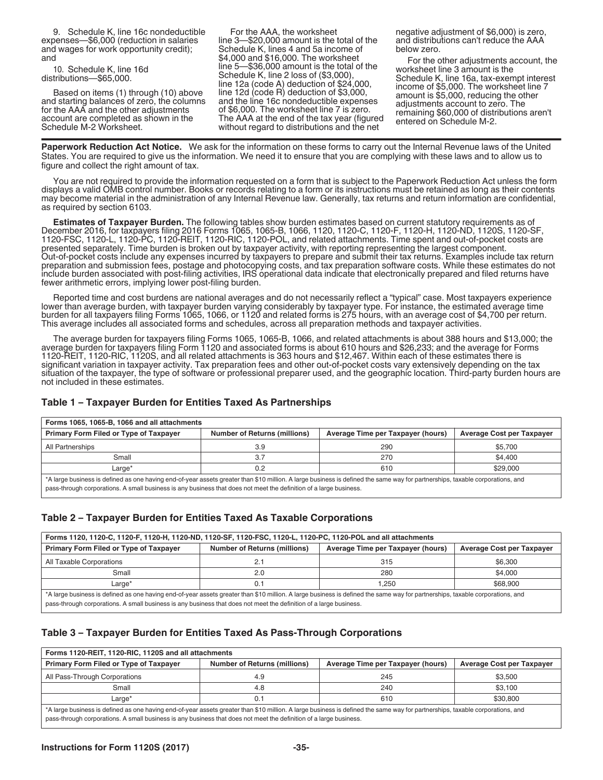9. Schedule K, line 16c nondeductible expenses—\$6,000 (reduction in salaries and wages for work opportunity credit); and

10. Schedule K, line 16d distributions—\$65,000.

Based on items (1) through (10) above and starting balances of zero, the columns for the AAA and the other adjustments account are completed as shown in the Schedule M-2 Worksheet.

For the AAA, the worksheet line 3—\$20,000 amount is the total of the Schedule K, lines 4 and 5a income of \$4,000 and \$16,000. The worksheet line 5—\$36,000 amount is the total of the Schedule K, line 2 loss of (\$3,000), line 12a (code A) deduction of \$24,000, line 12d (code R) deduction of \$3,000, and the line 16c nondeductible expenses of \$6,000. The worksheet line 7 is zero. The AAA at the end of the tax year (figured without regard to distributions and the net

negative adjustment of \$6,000) is zero, and distributions can't reduce the AAA below zero.

For the other adjustments account, the worksheet line 3 amount is the Schedule K, line 16a, tax-exempt interest income of \$5,000. The worksheet line 7 amount is \$5,000, reducing the other adjustments account to zero. The remaining \$60,000 of distributions aren't entered on Schedule M-2.

**Paperwork Reduction Act Notice.** We ask for the information on these forms to carry out the Internal Revenue laws of the United States. You are required to give us the information. We need it to ensure that you are complying with these laws and to allow us to figure and collect the right amount of tax.

You are not required to provide the information requested on a form that is subject to the Paperwork Reduction Act unless the form displays a valid OMB control number. Books or records relating to a form or its instructions must be retained as long as their contents may become material in the administration of any Internal Revenue law. Generally, tax returns and return information are confidential, as required by section 6103.

**Estimates of Taxpayer Burden.** The following tables show burden estimates based on current statutory requirements as of December 2016, for taxpayers filing 2016 Forms 1065, 1065-B, 1066, 1120, 1120-C, 1120-F, 1120-H, 1120-ND, 1120S, 1120-SF, 1120-FSC, 1120-L, 1120-PC, 1120-REIT, 1120-RIC, 1120-POL, and related attachments. Time spent and out-of-pocket costs are presented separately. Time burden is broken out by taxpayer activity, with reporting representing the largest component. Out-of-pocket costs include any expenses incurred by taxpayers to prepare and submit their tax returns. Examples include tax return preparation and submission fees, postage and photocopying costs, and tax preparation software costs. While these estimates do not include burden associated with post-filing activities, IRS operational data indicate that electronically prepared and filed returns have fewer arithmetic errors, implying lower post-filing burden.

Reported time and cost burdens are national averages and do not necessarily reflect a "typical" case. Most taxpayers experience lower than average burden, with taxpayer burden varying considerably by taxpayer type. For instance, the estimated average time burden for all taxpayers filing Forms 1065, 1066, or 1120 and related forms is 275 hours, with an average cost of \$4,700 per return. This average includes all associated forms and schedules, across all preparation methods and taxpayer activities.

The average burden for taxpayers filing Forms 1065, 1065-B, 1066, and related attachments is about 388 hours and \$13,000; the average burden for taxpayers filing Form 1120 and associated forms is about 610 hours and \$26,233; and the average for Forms 1120-REIT, 1120-RIC, 1120S, and all related attachments is 363 hours and \$12,467. Within each of these estimates there is significant variation in taxpayer activity. Tax preparation fees and other out-of-pocket costs vary extensively depending on the tax situation of the taxpayer, the type of software or professional preparer used, and the geographic location. Third-party burden hours are not included in these estimates.

| Forms 1065, 1065-B, 1066 and all attachments                                                                                                                                  |                                     |                                   |                                  |  |
|-------------------------------------------------------------------------------------------------------------------------------------------------------------------------------|-------------------------------------|-----------------------------------|----------------------------------|--|
| Primary Form Filed or Type of Taxpayer                                                                                                                                        | <b>Number of Returns (millions)</b> | Average Time per Taxpayer (hours) | <b>Average Cost per Taxpayer</b> |  |
| All Partnerships                                                                                                                                                              | 3.9                                 | 290                               | \$5.700                          |  |
| Small                                                                                                                                                                         |                                     | 270                               | \$4,400                          |  |
| \$29,000<br>610<br>$Large*$<br>0.2                                                                                                                                            |                                     |                                   |                                  |  |
| *A large business is defined as one having end-of-year assets greater than \$10 million. A large business is defined the same way for partnerships, taxable corporations, and |                                     |                                   |                                  |  |

**Table 1 – Taxpayer Burden for Entities Taxed As Partnerships**

s-through corporations. A small business is any business that does not meet the definition of a large business

### **Table 2 – Taxpayer Burden for Entities Taxed As Taxable Corporations**

| Forms 1120, 1120-C, 1120-F, 1120-H, 1120-ND, 1120-SF, 1120-FSC, 1120-L, 1120-PC, 1120-POL and all attachments                                                                                                                                                                                       |     |     |         |  |
|-----------------------------------------------------------------------------------------------------------------------------------------------------------------------------------------------------------------------------------------------------------------------------------------------------|-----|-----|---------|--|
| Primary Form Filed or Type of Taxpayer<br><b>Number of Returns (millions)</b><br>Average Time per Taxpayer (hours)<br><b>Average Cost per Taxpayer</b>                                                                                                                                              |     |     |         |  |
| All Taxable Corporations                                                                                                                                                                                                                                                                            | 2.1 | 315 | \$6.300 |  |
| 280<br>\$4.000<br>Small<br>2.0                                                                                                                                                                                                                                                                      |     |     |         |  |
| \$68,900<br>1.250<br>Large*<br>0.1                                                                                                                                                                                                                                                                  |     |     |         |  |
| *A large business is defined as one having end-of-year assets greater than \$10 million. A large business is defined the same way for partnerships, taxable corporations, and<br>pass-through corporations. A small business is any business that does not meet the definition of a large business. |     |     |         |  |

## **Table 3 – Taxpayer Burden for Entities Taxed As Pass-Through Corporations**

#### **Forms 1120-REIT, 1120-RIC, 1120S and all attachments**

| Primary Form Filed or Type of Taxpayer                                                                                                                                        | <b>Number of Returns (millions)</b> | Average Time per Taxpayer (hours) | <b>Average Cost per Taxpayer</b> |
|-------------------------------------------------------------------------------------------------------------------------------------------------------------------------------|-------------------------------------|-----------------------------------|----------------------------------|
| All Pass-Through Corporations                                                                                                                                                 | 4.9                                 | 245                               | \$3.500                          |
| Small                                                                                                                                                                         | 4.8                                 | 240                               | \$3.100                          |
| \$30,800<br>610<br>Large <sup>*</sup>                                                                                                                                         |                                     |                                   |                                  |
| *A large business is defined as one having end-of-year assets greater than \$10 million. A large business is defined the same way for partnerships, taxable corporations, and |                                     |                                   |                                  |

pass-through corporations. A small business is any business that does not meet the definition of a large business.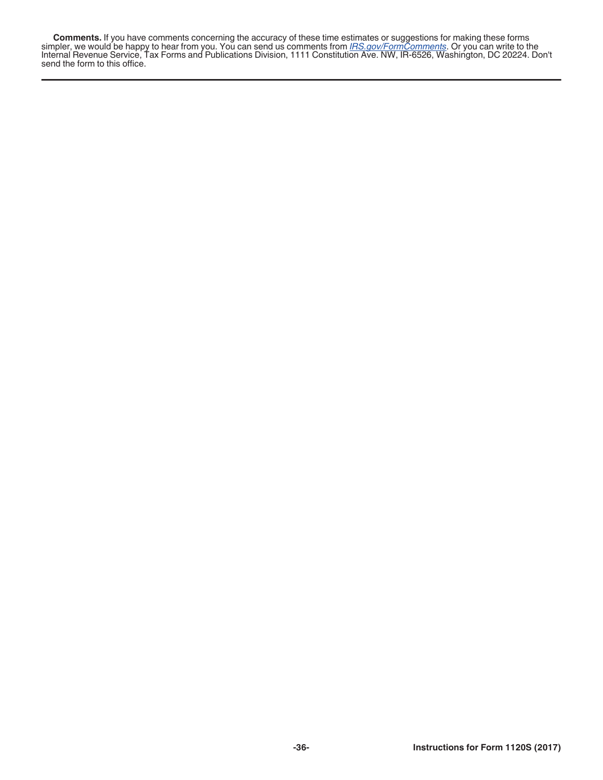**Comments.** If you have comments concerning the accuracy of these time estimates or suggestions for making these forms simpler, we would be happy to hear from you. You can send us comments from *[IRS.gov/FormComments](https://www.irs.gov/formcomments)*. Or you can write to the Internal Revenue Service, Tax Forms and Publications Division, 1111 Constitution Ave. NW, IR-6526, Washington, DC 20224. Don't send the form to this office.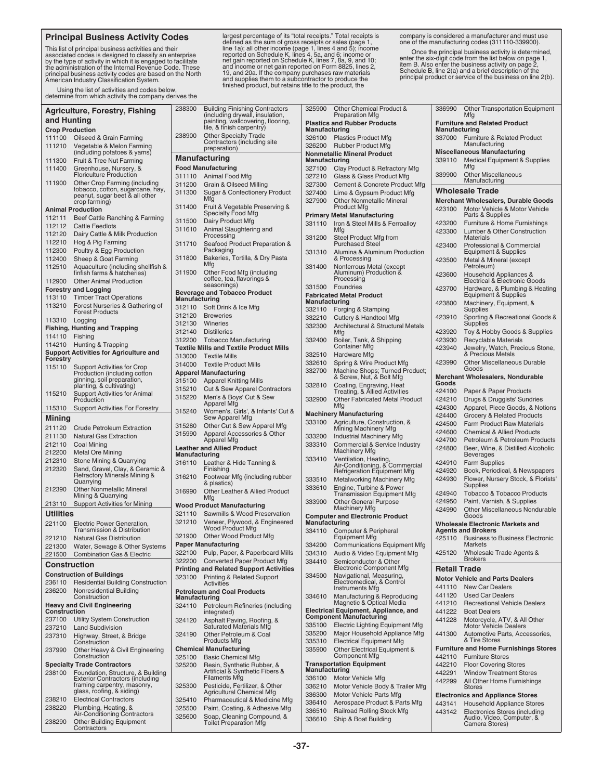#### <span id="page-36-0"></span>**Principal Business Activity Codes**

This list of principal business activities and their<br>associated codes is designed to classify an enterprise<br>by the type of activity in which it is engaged to facilitate<br>the administration of the Internal Revenue Code. Thes

Using the list of activities and codes below, determine from which activity the company derives the

largest percentage of its "total receipts." Total receipts is<br>defined as the sum of gross receipts or sales (page 1,<br>line 1a); all other income (page 1, lines 4 and 5); income<br>reported on Schedule K, lines 4, 5a, and 6; in

company is considered a manufacturer and must use one of the manufacturing codes (311110-339900).

Once the principal business activity is determined,<br>enter the six-digit code from the list below on page 1,<br>item B. Also enter the business activity on page 2,<br>Schedule B, line 2(a) and a brief description of the<br>principal

|                        | Agriculture, Forestry, Fishing                                                      | 238300           | <b>Building Finishing Contractors</b><br>(including drywall, insulation,       |
|------------------------|-------------------------------------------------------------------------------------|------------------|--------------------------------------------------------------------------------|
| and Hunting            |                                                                                     |                  | painting, wallcovering, flooring                                               |
| <b>Crop Production</b> |                                                                                     |                  | tile, & finish carpentry)                                                      |
| 111100                 | Oilseed & Grain Farming                                                             | 238900           | <b>Other Specialty Trade</b><br>Contractors (including site                    |
| 111210                 | Vegetable & Melon Farming                                                           |                  | preparation)                                                                   |
| 111300                 | (including potatoes & yams)<br>Fruit & Tree Nut Farming                             |                  | <b>Manufacturing</b>                                                           |
| 111400                 | Greenhouse, Nursery, &                                                              |                  | <b>Food Manufacturing</b>                                                      |
|                        | <b>Floriculture Production</b>                                                      | 311110           | Animal Food Mfg                                                                |
| 111900                 | Other Crop Farming (including                                                       | 311200           | Grain & Oilseed Milling                                                        |
|                        | tobacco, cotton, sugarcane, hay,<br>peanut, sugar beet & all other<br>crop farming) | 311300           | Sugar & Confectionery Produc<br>Mtg                                            |
|                        | <b>Animal Production</b>                                                            | 311400           | Fruit & Vegetable Preserving &                                                 |
| 112111                 | Beef Cattle Ranching & Farming                                                      |                  | Specialty Food Mfg                                                             |
| 112112                 | <b>Cattle Feedlots</b>                                                              | 311500<br>311610 | Dairy Product Mfg<br>Animal Slaughtering and                                   |
| 112120                 | Dairy Cattle & Milk Production                                                      |                  | Processing                                                                     |
| 112210                 | Hog & Pig Farming                                                                   | 311710           | Seafood Product Preparation &                                                  |
| 112300                 | Poultry & Egg Production                                                            |                  | Packaging                                                                      |
| 112400                 | Sheep & Goat Farming                                                                | 311800           | Bakeries, Tortilla, & Dry Pasta                                                |
| 112510                 | Aquaculture (including shellfish &<br>finfish farms & hatcheries)                   | 311900           | Mtg<br>Other Food Mfg (including<br>coffee, tea, flavorings &                  |
| 112900                 | <b>Other Animal Production</b>                                                      |                  | seasonings)                                                                    |
|                        | <b>Forestry and Logging</b>                                                         |                  | <b>Beverage and Tobacco Product</b>                                            |
| 113110<br>113210       | <b>Timber Tract Operations</b>                                                      | Manufacturing    |                                                                                |
|                        | Forest Nurseries & Gathering of<br><b>Forest Products</b>                           | 312110           | Soft Drink & Ice Mfg                                                           |
| 113310                 | Logging                                                                             | 312120           | <b>Breweries</b>                                                               |
|                        | <b>Fishing, Hunting and Trapping</b>                                                | 312130           | Wineries                                                                       |
| 114110                 | Fishing                                                                             | 312140           | <b>Distilleries</b>                                                            |
| 114210                 | Hunting & Trapping                                                                  | 312200           | <b>Tobacco Manufacturing</b><br><b>Textile Mills and Textile Product Mills</b> |
|                        | <b>Support Activities for Agriculture and</b>                                       | 313000           | <b>Textile Mills</b>                                                           |
| <b>Forestry</b>        |                                                                                     | 314000           | <b>Textile Product Mills</b>                                                   |
| 115110                 | Support Activities for Crop<br>Production (including cotton                         |                  | <b>Apparel Manufacturing</b>                                                   |
|                        | ginning, soil preparation,                                                          | 315100           | <b>Apparel Knitting Mills</b>                                                  |
|                        | planting, & cultivating)                                                            | 315210           | Cut & Sew Apparel Contractors                                                  |
| 115210                 | <b>Support Activities for Animal</b><br>Production                                  | 315220           | Men's & Boys' Cut & Sew<br><b>Apparel Mfg</b>                                  |
| 115310                 | Support Activities For Forestry                                                     | 315240           | Women's, Girls', & Infants' Cut                                                |
| Mining                 |                                                                                     |                  | Sew Apparel Mfg                                                                |
| 211120                 | <b>Crude Petroleum Extraction</b>                                                   | 315280<br>315990 | Other Cut & Sew Apparel Mfg                                                    |
| 211130                 | <b>Natural Gas Extraction</b>                                                       |                  | Apparel Accessories & Other<br><b>Apparel Mfg</b>                              |
| 212110                 | Coal Mining                                                                         |                  | <b>Leather and Allied Product</b>                                              |
| 212200                 | <b>Metal Ore Mining</b>                                                             | Manufacturing    |                                                                                |
| 212310<br>212320       | Stone Mining & Quarrying                                                            | 316110           | Leather & Hide Tanning &                                                       |
|                        | Sand, Gravel, Clay, & Ceramic &<br>Refractory Minerals Mining &<br>Quarrying        | 316210           | Finishing<br>Footwear Mfg (including rubbe<br>& plastics)                      |
| 212390                 | <b>Other Nonmetallic Mineral</b><br>Mining & Quarrying                              | 316990           | Other Leather & Allied Product<br>Mfg                                          |
| 213110                 | Support Activities for Mining                                                       |                  | <b>Wood Product Manufacturing</b>                                              |
| Utilities              |                                                                                     | 321110           | Sawmills & Wood Preservation                                                   |
| 221100                 | Electric Power Generation,                                                          | 321210           | Veneer, Plywood, & Engineere                                                   |
|                        | <b>Transmission &amp; Distribution</b>                                              |                  | Wood Product Mfg                                                               |
| 221210                 | <b>Natural Gas Distribution</b>                                                     | 321900           | Other Wood Product Mfg                                                         |
| 221300                 | Water, Sewage & Other Systems                                                       |                  | <b>Paper Manufacturing</b>                                                     |
| 221500                 | <b>Combination Gas &amp; Electric</b>                                               | 322100<br>322200 | Pulp, Paper, & Paperboard Mil<br>Converted Paper Product Mfg                   |
| Construction           |                                                                                     |                  | <b>Printing and Related Support Activitie</b>                                  |
|                        | <b>Construction of Buildings</b>                                                    | 323100           | Printing & Related Support                                                     |
| 236110                 | <b>Residential Building Construction</b>                                            |                  | <b>Activities</b>                                                              |
| 236200                 | Nonresidential Building<br>Construction                                             | Manufacturing    | <b>Petroleum and Coal Products</b>                                             |
| Construction           | <b>Heavy and Civil Engineering</b>                                                  | 324110           | Petroleum Refineries (including<br>integrated)                                 |
| 237100                 | Utility System Construction                                                         | 324120           | Asphalt Paving, Roofing, &<br>Saturated Materials Mfg                          |
| 237210<br>237310       | <b>Land Subdivision</b><br>Highway, Street, & Bridge                                | 324190           | Other Petroleum & Coal                                                         |
| 237990                 | Construction<br>Other Heavy & Civil Engineering                                     |                  | Products Mfg<br><b>Chemical Manufacturing</b>                                  |
|                        | Construction                                                                        | 325100           | <b>Basic Chemical Mfg</b>                                                      |
|                        | <b>Specialty Trade Contractors</b>                                                  | 325200           | Resin, Synthetic Rubber, &<br>Artificial & Synthetic Fibers &                  |
| 238100                 | Foundation, Structure, & Building<br><b>Exterior Contractors (including</b>         |                  | <b>Filaments Mfg</b>                                                           |
|                        | framing carpentry, masonry,<br>glass, roofing, & siding)                            | 325300           | Pesticide, Fertilizer, & Other<br>Agricultural Chemical Mfg                    |
| 238210                 | <b>Electrical Contractors</b>                                                       | 325410           | Pharmaceutical & Medicine Mf                                                   |
| 238220                 | Plumbing, Heating, &                                                                | 325500           | Paint, Coating, & Adhesive Mfg                                                 |
| 238290                 | <b>Air-Conditioning Contractors</b><br>Other Building Equipment<br>Contractors      | 325600           | Soap, Cleaning Compound, &<br><b>Toilet Preparation Mfg</b>                    |

|                         | painting, wallcovering, flooring,<br>tile, & finish carpentry)                        | PI       |
|-------------------------|---------------------------------------------------------------------------------------|----------|
| 238900                  | Other Specialty Trade<br>Contractors (including site                                  | M<br>32  |
|                         | preparation)                                                                          | 32<br>N  |
|                         | Manufacturing                                                                         | M        |
|                         | <b>Food Manufacturing</b>                                                             | 32       |
| 311110                  | Animal Food Mfg                                                                       | 32       |
| 311200                  | <b>Grain &amp; Oilseed Milling</b>                                                    | 32       |
| 311300                  | Sugar & Confectionery Product<br>Mfg                                                  | 32<br>32 |
| 311400                  | Fruit & Vegetable Preserving &<br>Specialty Food Mfg                                  | Pr       |
| 311500                  | Dairy Product Mfg                                                                     | 33       |
| 311610                  | Animal Slaughtering and                                                               |          |
| 311710                  | Processing<br>Seafood Product Preparation &                                           | 33       |
| 311800                  | Packaging<br>Bakeries, Tortilla, & Dry Pasta                                          | 33       |
| 311900                  | Mfg<br>Other Food Mfg (including                                                      | 33       |
|                         | coffee, tea, flavorings &<br>seasonings)                                              | 33       |
|                         | <b>Beverage and Tobacco Product</b>                                                   | Fa       |
| Manufacturing           |                                                                                       | M        |
| 312110<br>312120        | Soft Drink & Ice Mfg<br><b>Breweries</b>                                              | 33       |
| 312130                  | Wineries                                                                              | 33       |
| 312140                  | <b>Distilleries</b>                                                                   | 33       |
| 312200                  | <b>Tobacco Manufacturing</b>                                                          | 33       |
|                         | <b>Textile Mills and Textile Product Mills</b>                                        |          |
| 313000                  | <b>Textile Mills</b>                                                                  | 33       |
| 314000                  | <b>Textile Product Mills</b>                                                          | 33       |
|                         | <b>Apparel Manufacturing</b>                                                          | 33       |
| 315100                  | <b>Apparel Knitting Mills</b>                                                         |          |
| 315210                  | <b>Cut &amp; Sew Apparel Contractors</b>                                              | 33       |
| 315220                  | Men's & Boys' Cut & Sew<br>Apparel Mfg                                                | 33       |
| 315240                  | Women's, Girls', & Infants' Cut &                                                     | M        |
|                         | Sew Apparel Mfg                                                                       | 33       |
| 315280<br>315990        | Other Cut & Sew Apparel Mfg<br>Apparel Accessories & Other                            | 33       |
|                         | Apparel Mfg<br><b>Leather and Allied Product</b>                                      | 33       |
| Manufacturing           |                                                                                       | 33       |
| 316110                  | Leather & Hide Tanning &<br>Finishing                                                 |          |
| 316210                  | Footwear Mfg (including rubber<br>& plastics)                                         | 33       |
| 316990                  | Other Leather & Allied Product                                                        | 33       |
|                         | Mfg<br>Wood Product Manufacturing                                                     | 33       |
| 321110                  | Sawmills & Wood Preservation                                                          | С        |
| 321210                  | Veneer, Plywood, & Engineered                                                         | M        |
| 321900                  | Wood Product Mfg<br>Other Wood Product Mfg                                            | 33       |
|                         | <b>Paper Manufacturing</b>                                                            | 33       |
| 322100                  | Pulp, Paper, & Paperboard Mills                                                       | 33       |
| 322200                  | Converted Paper Product Mig                                                           | 33       |
| 323100                  | <b>Printing and Related Support Activities</b><br>Printing & Related Support          | 33       |
|                         | <b>Activities</b>                                                                     |          |
|                         | <b>Petroleum and Coal Products</b>                                                    | 33       |
| Manufacturing<br>324110 | Petroleum Refineries (including                                                       |          |
| 324120                  | integrated)<br>Asphalt Paving, Roofing, &                                             | EI<br>С  |
| 324190                  | Saturated Materials Mfg<br>Other Petroleum & Coal                                     | 33<br>33 |
|                         | <b>Products Mfg</b>                                                                   | 33       |
|                         | <b>Chemical Manufacturing</b>                                                         | 33       |
| 325100                  | <b>Basic Chemical Mfg</b>                                                             | Tr       |
| 325200                  | Resin, Synthetic Rubber, &<br>Artificial & Synthetic Fibers &<br><b>Filaments Mfg</b> | M        |
| 325300                  | Pesticide, Fertilizer, & Other                                                        | 33<br>33 |
|                         | Agricultural Chemical Mfg                                                             | 33       |
| 325410                  | Pharmaceutical & Medicine Mfg                                                         | 33       |
| 325500                  | Paint, Coating, & Adhesive Mfg                                                        | 33       |
| 325600                  | Soap, Cleaning Compound, &<br>Toilet Preparation Mfg                                  | 33       |

| 325900                  | Other Chemical Product &<br><b>Preparation Mfg</b>                      | 336990                                  | <b>Other Transportation Equipment</b><br>Mfa                                 |  |  |
|-------------------------|-------------------------------------------------------------------------|-----------------------------------------|------------------------------------------------------------------------------|--|--|
|                         | <b>Plastics and Rubber Products</b>                                     | <b>Furniture and Related Product</b>    |                                                                              |  |  |
| Manufacturing<br>326100 |                                                                         | Manufacturing<br>337000                 |                                                                              |  |  |
| 326200                  | <b>Plastics Product Mfg</b><br><b>Rubber Product Mfg</b>                |                                         | Furniture & Related Product<br>Manufacturing                                 |  |  |
|                         | <b>Nonmetallic Mineral Product</b>                                      |                                         | <b>Miscellaneous Manufacturing</b>                                           |  |  |
| Manufacturing           |                                                                         | 339110                                  | <b>Medical Equipment &amp; Supplies</b><br>Mfa                               |  |  |
| 327100<br>327210        | Clay Product & Refractory Mfg<br>Glass & Glass Product Mfg              | 339900                                  | <b>Other Miscellaneous</b>                                                   |  |  |
| 327300                  | Cement & Concrete Product Mfg                                           |                                         | Manufacturing                                                                |  |  |
| 327400                  | Lime & Gypsum Product Mfg                                               |                                         | <b>Wholesale Trade</b>                                                       |  |  |
| 327900                  | <b>Other Nonmetallic Mineral</b><br><b>Product Mfg</b>                  |                                         | <b>Merchant Wholesalers, Durable Goods</b>                                   |  |  |
|                         | <b>Primary Metal Manufacturing</b>                                      | 423100                                  | Motor Vehicle & Motor Vehicle<br>Parts & Supplies                            |  |  |
| 331110                  | Iron & Steel Mills & Ferroalloy                                         | 423200                                  | Furniture & Home Furnishings                                                 |  |  |
| 331200                  | Mfg<br>Steel Product Mfg from                                           | 423300                                  | Lumber & Other Construction<br><b>Materials</b>                              |  |  |
|                         | <b>Purchased Steel</b>                                                  | 423400                                  | Professional & Commercial                                                    |  |  |
| 331310                  | Alumina & Aluminum Production<br>& Processing                           | 423500                                  | <b>Equipment &amp; Supplies</b><br>Metal & Mineral (except                   |  |  |
| 331400                  | Nonferrous Metal (except                                                |                                         | Petroleum)                                                                   |  |  |
|                         | Aluminum) Production &<br>Processing                                    | 423600                                  | Household Appliances &<br>Electrical & Electronic Goods                      |  |  |
| 331500                  | Foundries                                                               | 423700                                  | Hardware, & Plumbing & Heating                                               |  |  |
| Manufacturing           | <b>Fabricated Metal Product</b>                                         |                                         | Equipment & Supplies                                                         |  |  |
| 332110                  | Forging & Stamping                                                      | 423800                                  | Machinery, Equipment, &<br>Supplies                                          |  |  |
| 332210                  | Cutlery & Handtool Mfg                                                  | 423910                                  | Sporting & Recreational Goods &                                              |  |  |
| 332300                  | Architectural & Structural Metals<br>Mfg                                | 423920                                  | Supplies<br>Toy & Hobby Goods & Supplies                                     |  |  |
| 332400                  |                                                                         | 423930                                  | <b>Recyclable Materials</b>                                                  |  |  |
|                         | Boiler, Tank, & Shipping<br>Container Mfg                               | 423940                                  | Jewelry, Watch, Precious Stone,                                              |  |  |
| 332510<br>332610        | Hardware Mfg<br>Spring & Wire Product Mfg                               | 423990                                  | & Precious Metals<br><b>Other Miscellaneous Durable</b>                      |  |  |
| 332700                  |                                                                         |                                         | Goods                                                                        |  |  |
|                         | Machine Shops; Turned Product;<br>& Screw, Nut, & Bolt Mfg              |                                         | <b>Merchant Wholesalers, Nondurable</b>                                      |  |  |
| 332810                  | Coating, Engraving, Heat<br>Treating, & Allied Activities               | Goods<br>424100                         | Paper & Paper Products                                                       |  |  |
| 332900                  | <b>Other Fabricated Metal Product</b>                                   | 424210                                  | Drugs & Druggists' Sundries                                                  |  |  |
|                         | Mfg<br><b>Machinery Manufacturing</b>                                   | 424300                                  | Apparel, Piece Goods, & Notions                                              |  |  |
| 333100                  | Agriculture, Construction, &                                            | 424400<br>424500                        | Grocery & Related Products<br><b>Farm Product Raw Materials</b>              |  |  |
|                         | Mining Machinery Mfg                                                    | 424600                                  | <b>Chemical &amp; Allied Products</b>                                        |  |  |
| 333200<br>333310        | Industrial Machinery Mfg<br>Commercial & Service Industry               | 424700                                  | Petroleum & Petroleum Products                                               |  |  |
|                         | <b>Machinery Mfg</b>                                                    | 424800                                  | Beer, Wine, & Distilled Alcoholic<br><b>Beverages</b>                        |  |  |
| 333410                  | Ventilation, Heating,<br>Air-Conditioning, & Commercial                 | 424910                                  | <b>Farm Supplies</b>                                                         |  |  |
|                         | <b>Refrigeration Equipment Mfg</b>                                      | 424920                                  | Book, Periodical, & Newspapers                                               |  |  |
| 333510<br>333610        | Metalworking Machinery Mfg                                              | 424930                                  | Flower, Nursery Stock, & Florists'<br><b>Supplies</b>                        |  |  |
|                         | Engine, Turbine & Power<br>Transmission Equipment Mfg                   | 424940                                  | <b>Tobacco &amp; Tobacco Products</b>                                        |  |  |
| 333900                  | <b>Other General Purpose</b>                                            | 424950                                  | Paint, Varnish, & Supplies                                                   |  |  |
|                         | <b>Machinery Mfg</b><br><b>Computer and Electronic Product</b>          | 424990                                  | <b>Other Miscellaneous Nondurable</b><br>Goods                               |  |  |
| Manufacturing           |                                                                         | <b>Wholesale Electronic Markets and</b> |                                                                              |  |  |
| 334110                  | Computer & Peripheral<br><b>Equipment Mfg</b>                           | 425110                                  | <b>Agents and Brokers</b><br><b>Business to Business Electronic</b>          |  |  |
| 334200                  | <b>Communications Equipment Mfg</b>                                     |                                         | Markets                                                                      |  |  |
| 334310<br>334410        | Audio & Video Equipment Mfg                                             | 425120                                  | Wholesale Trade Agents &<br><b>Brokers</b>                                   |  |  |
|                         | Semiconductor & Other<br><b>Electronic Component Mfg</b>                | <b>Retail Trade</b>                     |                                                                              |  |  |
| 334500                  | Navigational, Measuring,                                                | <b>Motor Vehicle and Parts Dealers</b>  |                                                                              |  |  |
|                         | Electromedical, & Control<br><b>Instruments Mfg</b>                     | 441110                                  | <b>New Car Dealers</b>                                                       |  |  |
| 334610                  | Manufacturing & Reproducing                                             | 441120                                  | <b>Used Car Dealers</b>                                                      |  |  |
|                         | Magnetic & Optical Media<br><b>Electrical Equipment, Appliance, and</b> | 441210<br>441222                        | <b>Recreational Vehicle Dealers</b><br><b>Boat Dealers</b>                   |  |  |
|                         | <b>Component Manufacturing</b>                                          | 441228                                  | Motorcycle, ATV, & All Other                                                 |  |  |
| 335100                  | <b>Electric Lighting Equipment Mfg</b>                                  |                                         | Motor Vehicle Dealers                                                        |  |  |
| 335200<br>335310        | Major Household Appliance Mfg<br><b>Electrical Equipment Mfg</b>        | 441300                                  | Automotive Parts, Accessories,<br>& Tire Stores                              |  |  |
| 335900                  | Other Electrical Equipment &                                            |                                         | <b>Furniture and Home Furnishings Stores</b>                                 |  |  |
|                         | <b>Component Mfg</b>                                                    | 442110                                  | <b>Furniture Stores</b>                                                      |  |  |
| Manufacturing           | <b>Transportation Equipment</b>                                         | 442210<br>442291                        | <b>Floor Covering Stores</b><br><b>Window Treatment Stores</b>               |  |  |
| 336100                  | Motor Vehicle Mfg                                                       | 442299                                  | All Other Home Furnishings                                                   |  |  |
| 336210<br>336300        | Motor Vehicle Body & Trailer Mfg<br>Motor Vehicle Parts Mfg             |                                         | <b>Stores</b>                                                                |  |  |
| 336410                  | Aerospace Product & Parts Mfg                                           | 443141                                  | <b>Electronics and Appliance Stores</b><br><b>Household Appliance Stores</b> |  |  |
| 336510                  | Railroad Rolling Stock Mfg                                              | 443142                                  | Electronics Stores (including                                                |  |  |
| 336610                  | Ship & Boat Building                                                    |                                         | Audio, Video, Computer, &<br>Camera Stores)                                  |  |  |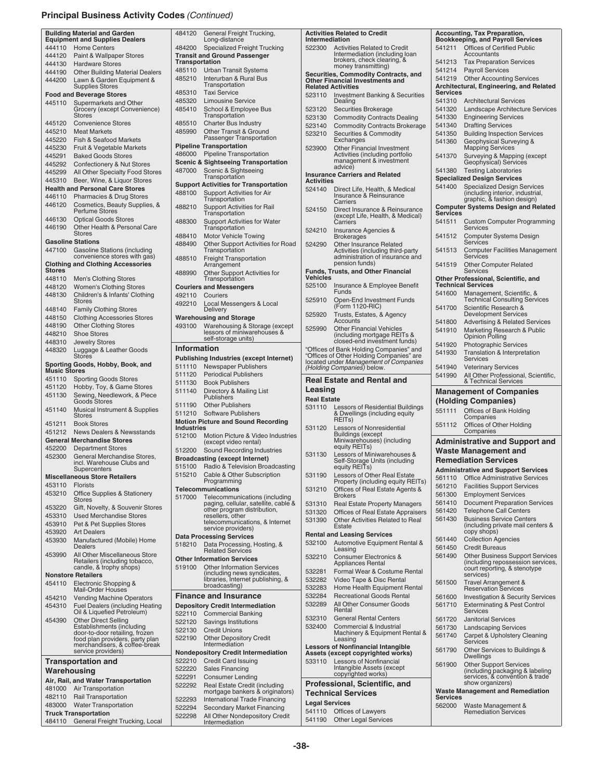#### **Principal Business Activity Codes** *(Continued)*

|                     | <b>Building Material and Garden</b><br><b>Equipment and Supplies Dealers</b> | 484120<br>$\epsilon$     |
|---------------------|------------------------------------------------------------------------------|--------------------------|
| 444110              | <b>Home Centers</b>                                                          | s<br>484200              |
|                     |                                                                              |                          |
| 444120              | Paint & Wallpaper Stores                                                     | Transit an               |
| 444130              | <b>Hardware Stores</b>                                                       | Transport                |
| 444190              | <b>Other Building Material Dealers</b>                                       | 485110<br>ι              |
| 444200              | Lawn & Garden Equipment &                                                    | 485210<br>I              |
|                     | <b>Supplies Stores</b>                                                       | 1                        |
|                     |                                                                              | 485310<br>٦              |
|                     | <b>Food and Beverage Stores</b>                                              |                          |
| 445110              | Supermarkets and Other                                                       | 485320<br>L              |
|                     | Grocery (except Convenience)                                                 | 485410<br>ς              |
|                     | <b>Stores</b>                                                                |                          |
| 445120              | <b>Convenience Stores</b>                                                    | $\overline{C}$<br>485510 |
| 445210              | <b>Meat Markets</b>                                                          | 485990<br>$\overline{C}$ |
|                     |                                                                              |                          |
| 445220              | <b>Fish &amp; Seafood Markets</b>                                            | Pipeline T               |
| 445230              | Fruit & Vegetable Markets                                                    |                          |
| 445291              | <b>Baked Goods Stores</b>                                                    | 486000<br>F              |
| 445292              | Confectionery & Nut Stores                                                   | Scenic & S               |
| 445299              |                                                                              | 487000                   |
|                     | All Other Specialty Food Stores                                              |                          |
| 445310              | Beer, Wine, & Liquor Stores                                                  | <b>Support A</b>         |
|                     | <b>Health and Personal Care Stores</b>                                       |                          |
| 446110              | Pharmacies & Drug Stores                                                     | 488100<br>؟<br>٦         |
| 446120              | Cosmetics, Beauty Supplies, &                                                |                          |
|                     | <b>Perfume Stores</b>                                                        | 488210<br>؟<br>٦         |
|                     |                                                                              |                          |
| 446130              | <b>Optical Goods Stores</b>                                                  | ؟<br>٦<br>488300         |
| 446190              | Other Health & Personal Care                                                 |                          |
|                     | <b>Stores</b>                                                                | 488410<br>N              |
|                     | <b>Gasoline Stations</b>                                                     | 488490<br>$\mathsf{C}$   |
| 447100              | Gasoline Stations (including                                                 |                          |
|                     | convenience stores with gas)                                                 |                          |
|                     |                                                                              | F<br>488510              |
| <b>Stores</b>       | <b>Clothing and Clothing Accessories</b>                                     | ŀ                        |
|                     |                                                                              | 488990<br>C              |
| 448110              | <b>Men's Clothing Stores</b>                                                 |                          |
| 448120              | <b>Women's Clothing Stores</b>                                               | Couriers a               |
| 448130              | Children's & Infants' Clothing                                               | 492110<br>C              |
|                     | <b>Stores</b>                                                                | 492210                   |
| 448140              |                                                                              | L                        |
|                     | <b>Family Clothing Stores</b>                                                | Г                        |
| 448150              | <b>Clothing Accessories Stores</b>                                           | Warehous                 |
| 448190              | <b>Other Clothing Stores</b>                                                 | 493100<br>Λ              |
| 448210              | <b>Shoe Stores</b>                                                           | k                        |
| 448310              |                                                                              | S                        |
|                     | <b>Jewelry Stores</b>                                                        | Informat                 |
| 448320              | Luggage & Leather Goods                                                      |                          |
|                     | <b>Stores</b>                                                                | Publishino               |
|                     | Sporting Goods, Hobby, Book, and                                             | 511110<br>N              |
| <b>Music Stores</b> |                                                                              | 511120<br>F              |
|                     |                                                                              |                          |
| 451110              |                                                                              |                          |
|                     | <b>Sporting Goods Stores</b>                                                 | 511130<br>E              |
| 451120              | Hobby, Toy, & Game Stores                                                    | 511140<br>Г              |
| 451130              | Sewing, Needlework, & Piece                                                  | F                        |
|                     | Goods Stores                                                                 | C                        |
| 451140              | Musical Instrument & Supplies                                                | 511190                   |
|                     | <b>Stores</b>                                                                | 511210<br>s              |
| 451211              | <b>Book Stores</b>                                                           | <b>Motion Pic</b>        |
|                     |                                                                              | <b>Industries</b>        |
| 451212              | <b>News Dealers &amp; Newsstands</b>                                         | 512100<br>Ν              |
|                     | <b>General Merchandise Stores</b>                                            |                          |
| 452200              | <b>Department Stores</b>                                                     | s<br>512200              |
| 452300              | General Merchandise Stores,                                                  |                          |
|                     | incl. Warehouse Clubs and                                                    | <b>Broadcast</b>         |
|                     | Supercenters                                                                 | 515100<br>Ł              |
|                     | <b>Miscellaneous Store Retailers</b>                                         | $\mathsf{C}$<br>515210   |
|                     |                                                                              |                          |
| 453110              | <b>Florists</b>                                                              | Telecomm                 |
| 453210              | <b>Office Supplies &amp; Stationery</b>                                      | 517000<br>٦              |
|                     | <b>Stores</b>                                                                | r                        |
| 453220              | Gift, Novelty, & Souvenir Stores                                             |                          |
| 453310              | <b>Used Merchandise Stores</b>                                               | r                        |
| 453910              | Pet & Pet Supplies Stores                                                    | t                        |
|                     |                                                                              | S                        |
| 453920              | <b>Art Dealers</b>                                                           | Data Proc                |
| 453930              | Manufactured (Mobile) Home                                                   | 518210<br>D              |
|                     | <b>Dealers</b>                                                               |                          |
| 453990              | All Other Miscellaneous Store                                                |                          |
|                     | Retailers (including tobacco,                                                | Other Info               |
|                     | candle, & trophy shops)                                                      | 519100<br>$\mathsf{C}$   |
|                     | <b>Nonstore Retailers</b>                                                    |                          |
| 454110              |                                                                              | li                       |
|                     | Electronic Shopping &<br>Mail-Order Houses                                   | ł                        |
|                     |                                                                              | Finance                  |
| 454210              | <b>Vending Machine Operators</b>                                             |                          |
| 454310              | <b>Fuel Dealers (including Heating</b>                                       | <b>Depositor</b>         |
|                     | Oil & Liquefied Petroleum)                                                   | 522110<br>C              |
| 454390              | <b>Other Direct Selling</b>                                                  | 522120<br>s              |
|                     | Establishments (including                                                    | 522130<br>C              |
|                     | door-to-door retailing, frozen                                               |                          |
|                     |                                                                              | 522190<br>C              |
|                     | food plan providers, party plan<br>merchandisers, & coffee-break             | ŀ                        |
|                     | service providers)                                                           | Nondepos                 |
|                     | <b>Transportation and</b>                                                    | 522210<br>C              |
|                     |                                                                              | 522220<br>s              |
|                     | Warehousing                                                                  | 522291<br>C              |
|                     | Air, Rail, and Water Transportation                                          |                          |
| 481000              | Air Transportation                                                           | 522292<br>F              |
| 482110              |                                                                              | r                        |
|                     | <b>Rail Transportation</b>                                                   | 522293<br>ŀ              |
| 483000              | <b>Water Transportation</b><br><b>Truck Transportation</b>                   | S<br>522294              |

484110 General Freight Trucking, Local

| 484120                | <b>Activitie:</b><br>Intermed                                                     |                                 |
|-----------------------|-----------------------------------------------------------------------------------|---------------------------------|
| 484200                | 522300                                                                            |                                 |
| <b>Transportation</b> | <b>Transit and Ground Passenger</b>                                               |                                 |
| 485110                |                                                                                   |                                 |
| 485210                | Urban Transit Systems<br>Interurban & Rural Bus                                   | Securitie<br>Other Fiı          |
|                       | Transportation                                                                    | Related                         |
| 485310<br>485320      | <b>Taxi Service</b><br><b>Limousine Service</b>                                   | 523110                          |
| 485410                | School & Employee Bus                                                             | 523120                          |
|                       | Transportation                                                                    | 523130                          |
| 485510<br>485990      | <b>Charter Bus Industry</b><br><b>Other Transit &amp; Ground</b>                  | 523140                          |
|                       | <b>Passenger Transportation</b>                                                   | 523210                          |
|                       | <b>Pipeline Transportation</b>                                                    | 523900                          |
| 486000                | <b>Pipeline Transportation</b>                                                    |                                 |
| 487000                | <b>Scenic &amp; Sightseeing Transportation</b><br>Scenic & Sightseeing            |                                 |
|                       | Transportation                                                                    | Insuranc<br><b>Activitie:</b>   |
|                       | <b>Support Activities for Transportation</b>                                      | 524140                          |
| 488100                | Support Activities for Air<br>Transportation                                      |                                 |
| 488210                | Support Activities for Rail                                                       | 524150                          |
| 488300                | Transportation<br><b>Support Activities for Water</b>                             |                                 |
|                       | Transportation                                                                    | 524210                          |
| 488410                | Motor Vehicle Towing                                                              |                                 |
| 488490                | Other Support Activities for Road<br>Transportation                               | 524290                          |
| 488510                | <b>Freight Transportation</b>                                                     |                                 |
|                       | Arrangement                                                                       | Funds. T                        |
| 488990                | Other Support Activities for<br>Transportation                                    | <b>Vehicles</b>                 |
|                       | <b>Couriers and Messengers</b>                                                    | 525100                          |
| 492110                | Couriers                                                                          | 525910                          |
| 492210                | Local Messengers & Local<br>Delivery                                              |                                 |
|                       | <b>Warehousing and Storage</b>                                                    | 525920                          |
| 493100                | Warehousing & Storage (except                                                     | 525990                          |
|                       | lessors of miniwarehouses &<br>self-storage units)                                |                                 |
| Information           |                                                                                   | "Offices o                      |
|                       | <b>Publishing Industries (except Internet)</b>                                    | "Offices o<br>located u         |
| 511110<br>511120      | <b>Newspaper Publishers</b><br><b>Periodical Publishers</b>                       | (Holding                        |
|                       |                                                                                   |                                 |
| 511130                | <b>Book Publishers</b>                                                            | Real Es                         |
| 511140                | Directory & Mailing List                                                          | Leasin                          |
|                       | <b>Publishers</b>                                                                 | <b>Real Est</b>                 |
| 511190<br>511210      | <b>Other Publishers</b><br><b>Software Publishers</b>                             | 531110                          |
|                       | <b>Motion Picture and Sound Recording</b>                                         |                                 |
| <b>Industries</b>     |                                                                                   | 531120                          |
| 512100                | Motion Picture & Video Industries<br>(except video rental)                        |                                 |
| 512200                | Sound Recording Industries                                                        | 531130                          |
|                       | <b>Broadcasting (except Internet)</b>                                             |                                 |
| 515100<br>515210      | Radio & Television Broadcasting<br>Cable & Other Subscription                     | 531190                          |
|                       | Programming                                                                       |                                 |
|                       | Telecommunications                                                                | 531210                          |
| 517000                | Telecommunications (including                                                     | 531310                          |
|                       | paging, cellular, satellite, cable &<br>other program distribution,               | 531320                          |
|                       | resellers, other<br>telecommunications, & Internet                                | 531390                          |
|                       | service providers)                                                                | Rental a                        |
| 518210                | <b>Data Processing Services</b><br>Data Processing, Hosting, &                    | 532100                          |
|                       | <b>Related Services</b>                                                           | 532210                          |
| 519100                | <b>Other Information Services</b><br><b>Other Information Services</b>            |                                 |
|                       |                                                                                   | 532281                          |
|                       | (including news syndicates,<br>libraries, Internet publishing, &<br>broadcasting) | 532282<br>532283                |
|                       | <b>Finance and Insurance</b>                                                      | 532284                          |
|                       | <b>Depository Credit Intermediation</b>                                           | 532289                          |
| 522110                | <b>Commercial Banking</b>                                                         | 532310                          |
| 522120<br>522130      | <b>Savings Institutions</b><br><b>Credit Unions</b>                               | 532400                          |
| 522190                | <b>Other Depository Credit</b>                                                    |                                 |
|                       | Intermediation                                                                    | Lessors                         |
| 522210                | <b>Nondepository Credit Intermediation</b>                                        | Assets ( <sub>'</sub><br>533110 |
| 522220                | <b>Credit Card Issuing</b><br>Sales Financing                                     |                                 |
| 522291                | <b>Consumer Lending</b>                                                           |                                 |
| 522292                | Real Estate Credit (including                                                     | Profes:                         |
| 522293                | mortgage bankers & originators)<br>International Trade Financing                  | Techni                          |
| 522294<br>522298      | Secondary Market Financing<br>All Other Nondepository Credit                      | <b>Legal Se</b><br>541110       |

| Intermediation                                                                            | <b>Activities Related to Credit</b>                                   |                 | <b>Accounting, Tax Preparation,</b><br><b>Bookkeeping, and Payroll Ser</b> |
|-------------------------------------------------------------------------------------------|-----------------------------------------------------------------------|-----------------|----------------------------------------------------------------------------|
| 522300                                                                                    |                                                                       | 541211          | Offices of Certified Pul                                                   |
|                                                                                           | <b>Activities Related to Credit</b><br>Intermediation (including loan |                 | <b>Accountants</b>                                                         |
|                                                                                           | brokers, check clearing, &                                            | 541213          | <b>Tax Preparation Servio</b>                                              |
|                                                                                           | money transmitting)                                                   |                 |                                                                            |
|                                                                                           | Securities, Commodity Contracts, and                                  | 541214          | <b>Payroll Services</b>                                                    |
|                                                                                           | <b>Other Financial Investments and</b>                                | 541219          | <b>Other Accounting Serv</b>                                               |
|                                                                                           | <b>Related Activities</b>                                             |                 | Architectural, Engineering, an                                             |
| 523110                                                                                    | <b>Investment Banking &amp; Securities</b>                            | <b>Services</b> |                                                                            |
|                                                                                           | Dealing                                                               | 541310          | <b>Architectural Services</b>                                              |
| 523120                                                                                    | Securities Brokerage                                                  | 541320          | Landscape Architectui                                                      |
| 523130                                                                                    | <b>Commodity Contracts Dealing</b>                                    | 541330          | <b>Engineering Services</b>                                                |
| 523140                                                                                    | <b>Commodity Contracts Brokerage</b>                                  | 541340          | <b>Drafting Services</b>                                                   |
| 523210                                                                                    | Securities & Commodity                                                | 541350          | <b>Building Inspection Se</b>                                              |
|                                                                                           | Exchanges                                                             | 541360          | Geophysical Surveying                                                      |
| 523900                                                                                    | <b>Other Financial Investment</b>                                     |                 | <b>Mapping Services</b>                                                    |
|                                                                                           | Activities (including portfolio<br>management & investment            | 541370          | Surveying & Mapping                                                        |
|                                                                                           | advice)                                                               |                 | Geophysical) Services                                                      |
|                                                                                           | <b>Insurance Carriers and Related</b>                                 | 541380          | <b>Testing Laboratories</b>                                                |
| <b>Activities</b>                                                                         |                                                                       |                 | <b>Specialized Design Services</b>                                         |
| 524140                                                                                    | Direct Life, Health, & Medical                                        | 541400          | Specialized Design Se                                                      |
|                                                                                           | Insurance & Reinsurance                                               |                 | (including interior, indu                                                  |
|                                                                                           | Carriers                                                              |                 | graphic, & fashion des                                                     |
| 524150                                                                                    | Direct Insurance & Reinsurance                                        | <b>Services</b> | <b>Computer Systems Design an</b>                                          |
|                                                                                           | (except Life, Health, & Medical)                                      | 541511          |                                                                            |
|                                                                                           | Carriers                                                              |                 | <b>Custom Computer Pro</b><br>Services                                     |
| 524210                                                                                    | <b>Insurance Agencies &amp;</b>                                       | 541512          | Computer Systems De                                                        |
|                                                                                           | <b>Brokerages</b>                                                     |                 | <b>Services</b>                                                            |
| 524290                                                                                    | <b>Other Insurance Related</b><br>Activities (including third-party   | 541513          | Computer Facilities Ma                                                     |
|                                                                                           | administration of insurance and                                       |                 | <b>Services</b>                                                            |
|                                                                                           | pension funds)                                                        | 541519          | <b>Other Computer Relat</b>                                                |
|                                                                                           | <b>Funds, Trusts, and Other Financial</b>                             |                 | Services                                                                   |
| Vehicles                                                                                  |                                                                       |                 | Other Professional, Scientific,                                            |
| 525100                                                                                    | Insurance & Employee Benefit                                          |                 | <b>Technical Services</b>                                                  |
|                                                                                           | Funds                                                                 | 541600          | Management, Scientifi                                                      |
| 525910                                                                                    | Open-End Investment Funds                                             |                 | Technical Consulting                                                       |
|                                                                                           | (Form 1120-RIC)                                                       | 541700          | Scientific Research &                                                      |
| 525920                                                                                    | Trusts, Estates, & Agency                                             |                 | <b>Development Services</b>                                                |
|                                                                                           | Accounts                                                              | 541800          | <b>Advertising &amp; Related</b>                                           |
| 525990                                                                                    | Other Financial Vehicles                                              | 541910          | Marketing Research &                                                       |
|                                                                                           | (including mortgage REITs &<br>closed-end investment funds)           |                 | <b>Opinion Polling</b>                                                     |
|                                                                                           | "Offices of Bank Holding Companies" and                               | 541920          | <b>Photographic Services</b>                                               |
|                                                                                           | "Offices of Other Holding Companies" are                              | 541930          | <b>Translation &amp; Interpret</b>                                         |
|                                                                                           | located under Management of Companies                                 |                 | Services                                                                   |
|                                                                                           | (Holding Companies) below.                                            | 541940          | <b>Veterinary Services</b>                                                 |
|                                                                                           | Real Estate and Rental and                                            | 541990          | All Other Professional,<br>& Technical Services                            |
|                                                                                           |                                                                       |                 |                                                                            |
|                                                                                           |                                                                       |                 |                                                                            |
|                                                                                           |                                                                       |                 | <b>Management of Compar</b>                                                |
|                                                                                           |                                                                       |                 | (Holding Companies)                                                        |
|                                                                                           | Lessors of Residential Buildings                                      |                 |                                                                            |
|                                                                                           | & Dwellings (including equity                                         | 551111          | <b>Offices of Bank Holdin</b><br>Companies                                 |
|                                                                                           | REIT <sub>S</sub> )                                                   | 551112          | <b>Offices of Other Holdir</b>                                             |
|                                                                                           | Lessors of Nonresidential                                             |                 | Companies                                                                  |
|                                                                                           | <b>Buildings (except</b>                                              |                 |                                                                            |
|                                                                                           | Miniwarehouses) (including<br>equity REITs)                           |                 | <b>Administrative and Supp</b>                                             |
|                                                                                           | Lessors of Miniwarehouses &                                           |                 | <b>Waste Management and</b>                                                |
|                                                                                           | Self-Storage Units (including                                         |                 | <b>Remediation Services</b>                                                |
|                                                                                           | equity REITs)                                                         |                 |                                                                            |
|                                                                                           | Lessors of Other Real Estate                                          | 561110          | <b>Administrative and Support S</b><br>Office Administrative S             |
|                                                                                           | Property (including equity REITs)                                     |                 |                                                                            |
|                                                                                           | Offices of Real Estate Agents &                                       | 561210          | <b>Facilities Support Serv</b>                                             |
|                                                                                           | <b>Brokers</b>                                                        | 561300          | <b>Employment Services</b>                                                 |
| Leasing<br><b>Real Estate</b><br>531110<br>531120<br>531130<br>531190<br>531210<br>531310 | <b>Real Estate Property Managers</b>                                  | 561410          | <b>Document Preparation</b>                                                |
|                                                                                           | Offices of Real Estate Appraisers                                     | 561420          | <b>Telephone Call Center</b>                                               |
| 531320<br>531390                                                                          | Other Activities Related to Real                                      | 561430          | <b>Business Service Cen</b>                                                |
|                                                                                           | Estate                                                                |                 | (including private mail                                                    |
|                                                                                           | <b>Rental and Leasing Services</b>                                    | 561440          | copy shops)                                                                |
| 532100                                                                                    | Automotive Equipment Rental &                                         |                 | <b>Collection Agencies</b>                                                 |
|                                                                                           | Leasing                                                               | 561450          | <b>Credit Bureaus</b>                                                      |
| 532210                                                                                    | Consumer Electronics &                                                | 561490          | <b>Other Business Suppo</b>                                                |
|                                                                                           | <b>Appliances Rental</b>                                              |                 | (including repossessio<br>court reporting, & sten                          |
| 532281                                                                                    | Formal Wear & Costume Rental                                          |                 | services)                                                                  |
| 532282                                                                                    | Video Tape & Disc Rental                                              | 561500          |                                                                            |
|                                                                                           | Home Health Equipment Rental                                          |                 | Travel Arrangement &<br>Reservation Services                               |
|                                                                                           | <b>Recreational Goods Rental</b>                                      | 561600          | <b>Investigation &amp; Securit</b>                                         |
| 532283<br>532284<br>532289                                                                | All Other Consumer Goods                                              | 561710          | <b>Exterminating &amp; Pest 0</b>                                          |
|                                                                                           | Rental                                                                |                 | Services                                                                   |
|                                                                                           | <b>General Rental Centers</b>                                         | 561720          | <b>Janitorial Services</b>                                                 |
|                                                                                           | Commercial & Industrial                                               | 561730          | <b>Landscaping Services</b>                                                |
|                                                                                           | Machinery & Equipment Rental &                                        | 561740          | Carpet & Upholstery C                                                      |
|                                                                                           | Leasing                                                               |                 | <b>Services</b>                                                            |
|                                                                                           | <b>Lessors of Nonfinancial Intangible</b>                             | 561790          | <b>Other Services to Build</b>                                             |
| 532310<br>532400                                                                          | Assets (except copyrighted works)                                     |                 | <b>Dwellings</b>                                                           |
| 533110                                                                                    | Lessors of Nonfinancial<br>Intangible Assets (except                  | 561900          | Other Support Service                                                      |
|                                                                                           | copyrighted works)                                                    |                 | (including packaging 8                                                     |
|                                                                                           |                                                                       |                 | services, & convention<br>show organizers)                                 |
|                                                                                           | Professional, Scientific, and                                         |                 |                                                                            |
|                                                                                           | <b>Technical Services</b>                                             | <b>Services</b> | <b>Waste Management and Reme</b>                                           |
| <b>Legal Services</b>                                                                     | 541110 Offices of Lawyers                                             | 562000          | Waste Management &<br>Remediation Services                                 |

**Accounting, Tax Preparation, Bookkeeping, and Payroll Services** 5.<br>fices of Certified Public countants x Preparation Services yroll Services .<br>1er Accounting Services **Architectural, Engineering, and Related**  chitectural Services ndscape Architecture Services gineering Services <sub>a</sub><br>541 Services ilding Inspection Services 541360 Geophysical Surveying & Mapping Services ...<br>rveying & Mapping (except cophysical) Services sting Laboratories **Design Services** 541400 Specialized Design Services (including interior, industrial, graphic, & fashion design) **Computer Systems Design and Related**  stom Computer Programming rvices 541512 Computer Systems Design Services mputer Facilities Management rvices her Computer Related rvices **Other Professional, Scientific, and Technical Services** 541600 Management, Scientific, & Technical Consulting Services 541700 Scientific Research & Development Services vertising & Related Services 541910 Marketing Research & Public Opinion Polling otographic Services 541930 Translation & Interpretation Services terinary Services Other Professional, Scientific, **Technical Services Management of Companies** Companies) fices of Bank Holding mpanies fices of Other Holding mpanies **Adding and Support and Waste Management and Remediation Services Road Support Services** fice Administrative Services cilities Support Services 1ployment Services **cument Preparation Services** lephone Call Centers 561430 Business Service Centers (including private mail centers & py shops) ollection Agencies edit Bureaus ner Business Support Services (including repossession services, court reporting, & stenotype services) 561500 Travel Arrangement & Reservation Services estigation & Security Services terminating & Pest Control rvices nitorial Services ndscaping Services 561740 Carpet & Upholstery Cleaning Services ner Services to Buildings & rellings 561900 Other Support Services (including packaging & labeling services, & convention & trade show organizers) **Wagement and Remediation** aste Management &

541190 Other Legal Services

**Intermediation**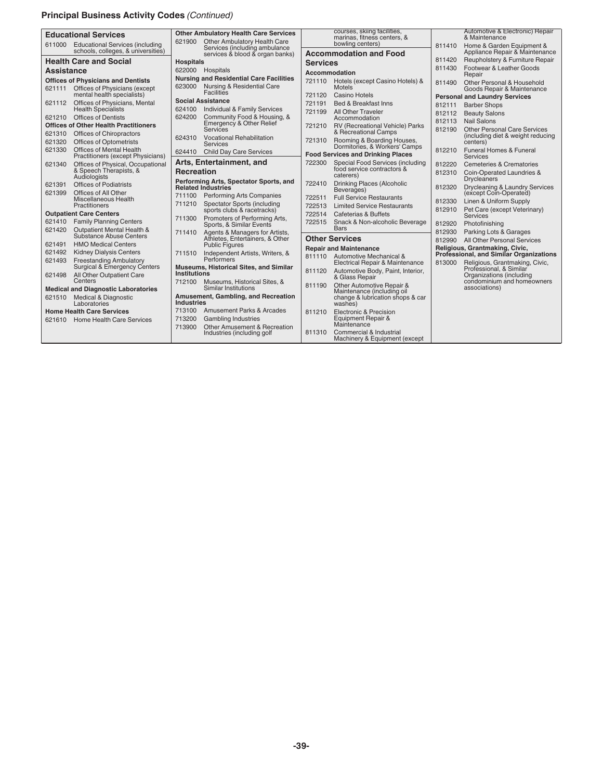# **Principal Business Activity Codes** *(Continued)*

| <b>Educational Services</b>                                                                             |                                                             | <b>Other Ambulatory Health Care Services</b>                                            |                                                                                | courses, skiing facilities,<br>marinas, fitness centers, & |                                                                              |                                                                           | Automotive & Electronic) Repair<br>& Maintenance                         |  |
|---------------------------------------------------------------------------------------------------------|-------------------------------------------------------------|-----------------------------------------------------------------------------------------|--------------------------------------------------------------------------------|------------------------------------------------------------|------------------------------------------------------------------------------|---------------------------------------------------------------------------|--------------------------------------------------------------------------|--|
| 611000                                                                                                  | <b>Educational Services (including</b>                      |                                                                                         | 621900<br><b>Other Ambulatory Health Care</b><br>Services (including ambulance |                                                            | bowling centers)                                                             | 811410                                                                    | Home & Garden Equipment &                                                |  |
|                                                                                                         | schools, colleges, & universities)                          |                                                                                         | services & blood & organ banks)                                                |                                                            | <b>Accommodation and Food</b>                                                |                                                                           | Appliance Repair & Maintenance                                           |  |
| <b>Health Care and Social</b>                                                                           |                                                             | <b>Hospitals</b>                                                                        |                                                                                | <b>Services</b>                                            |                                                                              | 811420<br>811430                                                          | Reupholstery & Furniture Repair                                          |  |
| <b>Assistance</b>                                                                                       |                                                             |                                                                                         | 622000 Hospitals                                                               |                                                            | Accommodation                                                                |                                                                           | Footwear & Leather Goods<br>Repair                                       |  |
| <b>Offices of Physicians and Dentists</b>                                                               |                                                             | <b>Nursing and Residential Care Facilities</b>                                          |                                                                                | 721110                                                     | Hotels (except Casino Hotels) &                                              | 811490                                                                    | Other Personal & Household                                               |  |
| 621111                                                                                                  | Offices of Physicians (except                               | 623000                                                                                  | Nursing & Residential Care                                                     |                                                            | <b>Motels</b>                                                                |                                                                           | Goods Repair & Maintenance                                               |  |
|                                                                                                         | mental health specialists)                                  |                                                                                         | Facilities<br><b>Social Assistance</b>                                         | 721120                                                     | Casino Hotels                                                                |                                                                           | <b>Personal and Laundry Services</b>                                     |  |
| 621112                                                                                                  | Offices of Physicians, Mental<br><b>Health Specialists</b>  | 624100                                                                                  | Individual & Family Services                                                   | 721191                                                     | Bed & Breakfast Inns                                                         | 812111                                                                    | <b>Barber Shops</b>                                                      |  |
| 621210                                                                                                  | <b>Offices of Dentists</b>                                  | 624200                                                                                  | Community Food & Housing, &                                                    | 721199                                                     | <b>All Other Traveler</b><br>Accommodation                                   | 812112                                                                    | <b>Beauty Salons</b>                                                     |  |
|                                                                                                         | <b>Offices of Other Health Practitioners</b>                |                                                                                         | Emergency & Other Relief                                                       | 721210                                                     | RV (Recreational Vehicle) Parks                                              | 812113                                                                    | <b>Nail Salons</b>                                                       |  |
| 621310                                                                                                  | Offices of Chiropractors                                    |                                                                                         | Services                                                                       |                                                            | & Recreational Camps                                                         | 812190                                                                    | <b>Other Personal Care Services</b><br>(including diet & weight reducing |  |
| 621320                                                                                                  | <b>Offices of Optometrists</b>                              | 624310                                                                                  | <b>Vocational Rehabilitation</b><br><b>Services</b>                            | 721310                                                     | Rooming & Boarding Houses,                                                   |                                                                           | centers)                                                                 |  |
| 621330                                                                                                  | <b>Offices of Mental Health</b>                             | 624410                                                                                  | <b>Child Day Care Services</b>                                                 |                                                            | Dormitories, & Workers' Camps                                                | 812210                                                                    | Funeral Homes & Funeral                                                  |  |
|                                                                                                         | Practitioners (except Physicians)                           |                                                                                         |                                                                                |                                                            | <b>Food Services and Drinking Places</b><br>Special Food Services (including |                                                                           | Services                                                                 |  |
| 621340                                                                                                  | Offices of Physical, Occupational<br>& Speech Therapists, & | Arts, Entertainment, and<br><b>Recreation</b><br>Performing Arts, Spectator Sports, and |                                                                                | 722300<br>food service contractors &                       | 812220                                                                       | <b>Cemeteries &amp; Crematories</b>                                       |                                                                          |  |
|                                                                                                         | Audiologists                                                |                                                                                         |                                                                                | caterers)                                                  |                                                                              | 812310                                                                    | Coin-Operated Laundries &<br><b>Drycleaners</b>                          |  |
| 621391                                                                                                  | <b>Offices of Podiatrists</b>                               |                                                                                         | <b>Related Industries</b>                                                      | 722410                                                     | Drinking Places (Alcoholic<br>Beverages)                                     | 812320                                                                    | Drycleaning & Laundry Services                                           |  |
| 621399                                                                                                  | Offices of All Other<br>Miscellaneous Health                | 711100                                                                                  | <b>Performing Arts Companies</b>                                               | 722511                                                     | <b>Full Service Restaurants</b>                                              | 812330                                                                    | (except Coin-Operated)<br>Linen & Uniform Supply                         |  |
|                                                                                                         | <b>Practitioners</b>                                        | 711210                                                                                  | <b>Spectator Sports (including</b>                                             | 722513                                                     | <b>Limited Service Restaurants</b>                                           | 812910                                                                    | Pet Care (except Veterinary)                                             |  |
|                                                                                                         | <b>Outpatient Care Centers</b>                              | sports clubs & racetracks)<br>Promoters of Performing Arts,<br>711300                   |                                                                                | 722514<br>Cafeterias & Buffets                             |                                                                              | Services                                                                  |                                                                          |  |
| 621410                                                                                                  | <b>Family Planning Centers</b>                              |                                                                                         | Sports, & Similar Events                                                       | 722515                                                     | Snack & Non-alcoholic Beverage                                               | 812920                                                                    | Photofinishing                                                           |  |
| 621420                                                                                                  | Outpatient Mental Health &<br>Substance Abuse Centers       | 711410                                                                                  | Agents & Managers for Artists,                                                 | <b>Bars</b>                                                |                                                                              | 812930                                                                    | Parking Lots & Garages                                                   |  |
| 621491                                                                                                  | <b>HMO Medical Centers</b>                                  | Athletes, Entertainers, & Other<br><b>Public Figures</b>                                |                                                                                | <b>Other Services</b>                                      |                                                                              | 812990                                                                    | All Other Personal Services                                              |  |
| 621492                                                                                                  | <b>Kidney Dialysis Centers</b>                              |                                                                                         | Independent Artists, Writers, &                                                | <b>Repair and Maintenance</b>                              |                                                                              | Religious, Grantmaking, Civic,<br>Professional, and Similar Organizations |                                                                          |  |
| 621493                                                                                                  | <b>Freestanding Ambulatory</b>                              | 711510                                                                                  | Performers                                                                     |                                                            | 811110 Automotive Mechanical &<br>Electrical Repair & Maintenance            | 813000                                                                    | Religious, Grantmaking, Civic,                                           |  |
|                                                                                                         | Surgical & Emergency Centers                                |                                                                                         | Museums, Historical Sites, and Similar                                         | 811120                                                     | Automotive Body, Paint, Interior,                                            |                                                                           | Professional, & Similar                                                  |  |
| 621498                                                                                                  | All Other Outpatient Care<br>Centers                        | <b>Institutions</b>                                                                     |                                                                                |                                                            | & Glass Repair                                                               |                                                                           | Organizations (including<br>condominium and homeowners                   |  |
|                                                                                                         |                                                             | 712100                                                                                  | Museums, Historical Sites, &<br><b>Similar Institutions</b>                    | 811190                                                     | Other Automotive Repair &                                                    |                                                                           | associations)                                                            |  |
| <b>Medical and Diagnostic Laboratories</b><br><b>Medical &amp; Diagnostic</b><br>621510<br>Laboratories |                                                             | Amusement, Gambling, and Recreation<br><b>Industries</b>                                |                                                                                |                                                            | Maintenance (including oil<br>change & lubrication shops & car               |                                                                           |                                                                          |  |
|                                                                                                         |                                                             |                                                                                         |                                                                                | washes)                                                    |                                                                              |                                                                           |                                                                          |  |
| <b>Home Health Care Services</b>                                                                        |                                                             | 713100                                                                                  | Amusement Parks & Arcades                                                      | 811210                                                     | Electronic & Precision                                                       |                                                                           |                                                                          |  |
| 621610                                                                                                  | Home Health Care Services                                   | 713200                                                                                  | <b>Gambling Industries</b>                                                     |                                                            | Equipment Repair &<br>Maintenance                                            |                                                                           |                                                                          |  |
|                                                                                                         |                                                             | 713900                                                                                  | Other Amusement & Recreation<br>Industries (including golf                     | 811310                                                     | Commercial & Industrial                                                      |                                                                           |                                                                          |  |
|                                                                                                         |                                                             |                                                                                         |                                                                                |                                                            | Machinery & Equipment (except                                                |                                                                           |                                                                          |  |